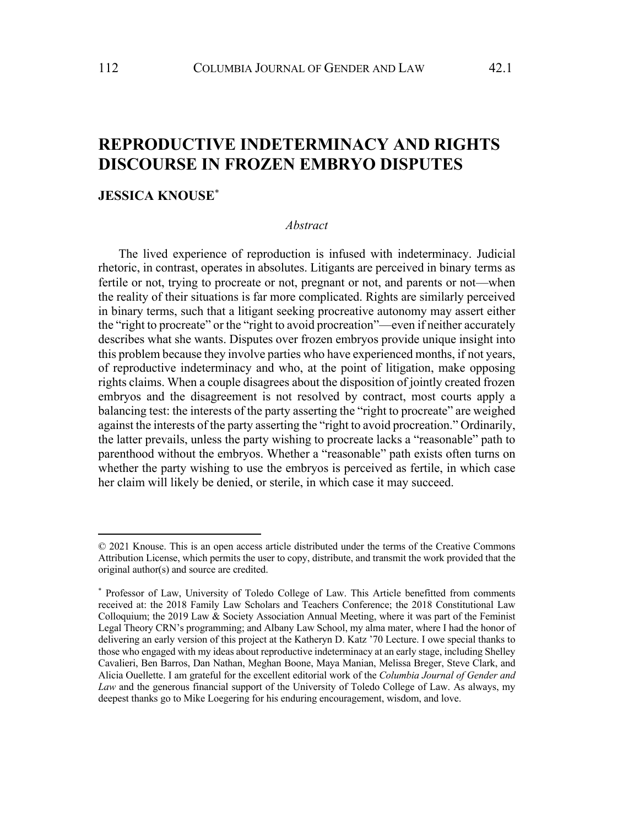# **REPRODUCTIVE INDETERMINACY AND RIGHTS DISCOURSE IN FROZEN EMBRYO DISPUTES**

# **JESSICA KNOUSE**\*

#### *Abstract*

The lived experience of reproduction is infused with indeterminacy. Judicial rhetoric, in contrast, operates in absolutes. Litigants are perceived in binary terms as fertile or not, trying to procreate or not, pregnant or not, and parents or not—when the reality of their situations is far more complicated. Rights are similarly perceived in binary terms, such that a litigant seeking procreative autonomy may assert either the "right to procreate" or the "right to avoid procreation"—even if neither accurately describes what she wants. Disputes over frozen embryos provide unique insight into this problem because they involve parties who have experienced months, if not years, of reproductive indeterminacy and who, at the point of litigation, make opposing rights claims. When a couple disagrees about the disposition of jointly created frozen embryos and the disagreement is not resolved by contract, most courts apply a balancing test: the interests of the party asserting the "right to procreate" are weighed against the interests of the party asserting the "right to avoid procreation." Ordinarily, the latter prevails, unless the party wishing to procreate lacks a "reasonable" path to parenthood without the embryos. Whether a "reasonable" path exists often turns on whether the party wishing to use the embryos is perceived as fertile, in which case her claim will likely be denied, or sterile, in which case it may succeed.

<sup>© 2021</sup> Knouse. This is an open access article distributed under the terms of the Creative Commons Attribution License, which permits the user to copy, distribute, and transmit the work provided that the original author(s) and source are credited.

<sup>\*</sup> Professor of Law, University of Toledo College of Law. This Article benefitted from comments received at: the 2018 Family Law Scholars and Teachers Conference; the 2018 Constitutional Law Colloquium; the 2019 Law & Society Association Annual Meeting, where it was part of the Feminist Legal Theory CRN's programming; and Albany Law School, my alma mater, where I had the honor of delivering an early version of this project at the Katheryn D. Katz '70 Lecture. I owe special thanks to those who engaged with my ideas about reproductive indeterminacy at an early stage, including Shelley Cavalieri, Ben Barros, Dan Nathan, Meghan Boone, Maya Manian, Melissa Breger, Steve Clark, and Alicia Ouellette. I am grateful for the excellent editorial work of the *Columbia Journal of Gender and Law* and the generous financial support of the University of Toledo College of Law. As always, my deepest thanks go to Mike Loegering for his enduring encouragement, wisdom, and love.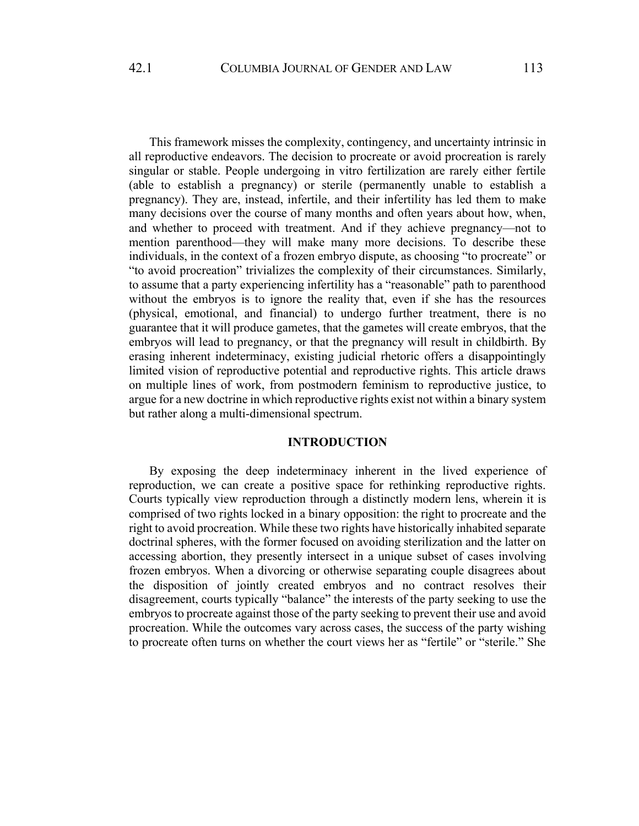This framework misses the complexity, contingency, and uncertainty intrinsic in all reproductive endeavors. The decision to procreate or avoid procreation is rarely singular or stable. People undergoing in vitro fertilization are rarely either fertile (able to establish a pregnancy) or sterile (permanently unable to establish a pregnancy). They are, instead, infertile, and their infertility has led them to make many decisions over the course of many months and often years about how, when, and whether to proceed with treatment. And if they achieve pregnancy—not to mention parenthood—they will make many more decisions. To describe these individuals, in the context of a frozen embryo dispute, as choosing "to procreate" or "to avoid procreation" trivializes the complexity of their circumstances. Similarly, to assume that a party experiencing infertility has a "reasonable" path to parenthood without the embryos is to ignore the reality that, even if she has the resources (physical, emotional, and financial) to undergo further treatment, there is no guarantee that it will produce gametes, that the gametes will create embryos, that the embryos will lead to pregnancy, or that the pregnancy will result in childbirth. By erasing inherent indeterminacy, existing judicial rhetoric offers a disappointingly limited vision of reproductive potential and reproductive rights. This article draws on multiple lines of work, from postmodern feminism to reproductive justice, to argue for a new doctrine in which reproductive rights exist not within a binary system but rather along a multi-dimensional spectrum.

# **INTRODUCTION**

By exposing the deep indeterminacy inherent in the lived experience of reproduction, we can create a positive space for rethinking reproductive rights. Courts typically view reproduction through a distinctly modern lens, wherein it is comprised of two rights locked in a binary opposition: the right to procreate and the right to avoid procreation. While these two rights have historically inhabited separate doctrinal spheres, with the former focused on avoiding sterilization and the latter on accessing abortion, they presently intersect in a unique subset of cases involving frozen embryos. When a divorcing or otherwise separating couple disagrees about the disposition of jointly created embryos and no contract resolves their disagreement, courts typically "balance" the interests of the party seeking to use the embryos to procreate against those of the party seeking to prevent their use and avoid procreation. While the outcomes vary across cases, the success of the party wishing to procreate often turns on whether the court views her as "fertile" or "sterile." She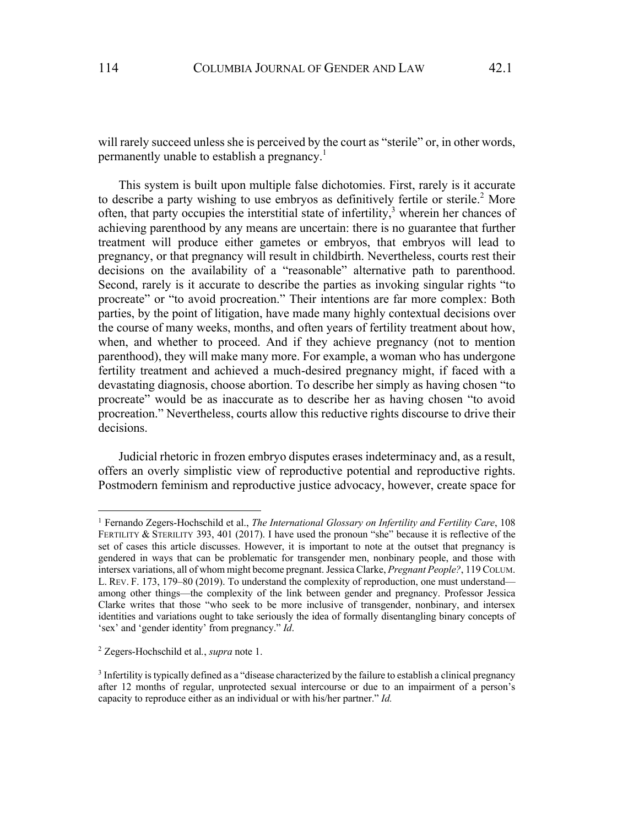will rarely succeed unless she is perceived by the court as "sterile" or, in other words, permanently unable to establish a pregnancy.<sup>1</sup>

This system is built upon multiple false dichotomies. First, rarely is it accurate to describe a party wishing to use embryos as definitively fertile or sterile.<sup>2</sup> More often, that party occupies the interstitial state of infertility, $3$  wherein her chances of achieving parenthood by any means are uncertain: there is no guarantee that further treatment will produce either gametes or embryos, that embryos will lead to pregnancy, or that pregnancy will result in childbirth. Nevertheless, courts rest their decisions on the availability of a "reasonable" alternative path to parenthood. Second, rarely is it accurate to describe the parties as invoking singular rights "to procreate" or "to avoid procreation." Their intentions are far more complex: Both parties, by the point of litigation, have made many highly contextual decisions over the course of many weeks, months, and often years of fertility treatment about how, when, and whether to proceed. And if they achieve pregnancy (not to mention parenthood), they will make many more. For example, a woman who has undergone fertility treatment and achieved a much-desired pregnancy might, if faced with a devastating diagnosis, choose abortion. To describe her simply as having chosen "to procreate" would be as inaccurate as to describe her as having chosen "to avoid procreation." Nevertheless, courts allow this reductive rights discourse to drive their decisions.

Judicial rhetoric in frozen embryo disputes erases indeterminacy and, as a result, offers an overly simplistic view of reproductive potential and reproductive rights. Postmodern feminism and reproductive justice advocacy, however, create space for

<sup>1</sup> Fernando Zegers-Hochschild et al., *The International Glossary on Infertility and Fertility Care*, 108 FERTILITY & STERILITY 393, 401 (2017). I have used the pronoun "she" because it is reflective of the set of cases this article discusses. However, it is important to note at the outset that pregnancy is gendered in ways that can be problematic for transgender men, nonbinary people, and those with intersex variations, all of whom might become pregnant. Jessica Clarke, *Pregnant People?*, 119 COLUM. L. REV. F. 173, 179–80 (2019). To understand the complexity of reproduction, one must understand among other things—the complexity of the link between gender and pregnancy. Professor Jessica Clarke writes that those "who seek to be more inclusive of transgender, nonbinary, and intersex identities and variations ought to take seriously the idea of formally disentangling binary concepts of 'sex' and 'gender identity' from pregnancy." *Id*.

<sup>2</sup> Zegers-Hochschild et al*.*, *supra* note 1.

<sup>&</sup>lt;sup>3</sup> Infertility is typically defined as a "disease characterized by the failure to establish a clinical pregnancy after 12 months of regular, unprotected sexual intercourse or due to an impairment of a person's capacity to reproduce either as an individual or with his/her partner." *Id.*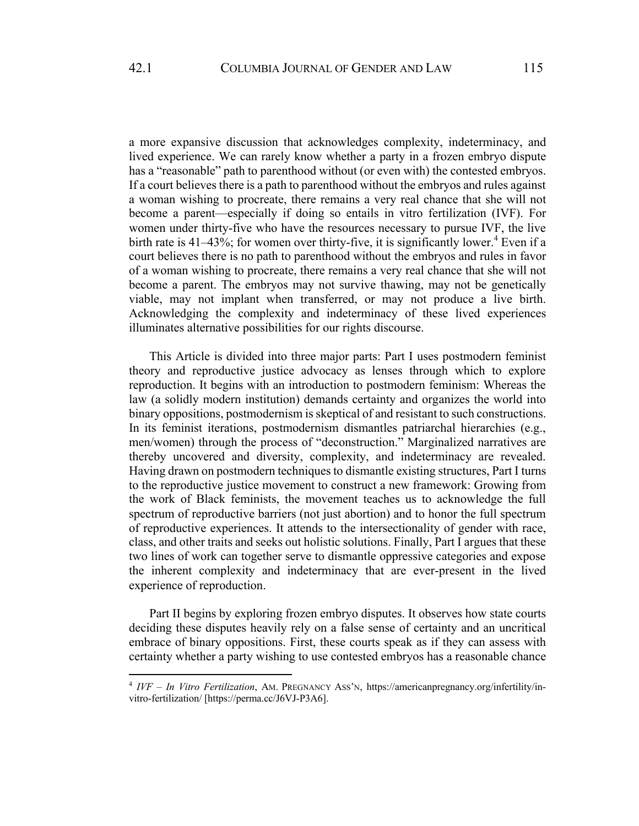a more expansive discussion that acknowledges complexity, indeterminacy, and lived experience. We can rarely know whether a party in a frozen embryo dispute has a "reasonable" path to parenthood without (or even with) the contested embryos. If a court believes there is a path to parenthood without the embryos and rules against a woman wishing to procreate, there remains a very real chance that she will not become a parent—especially if doing so entails in vitro fertilization (IVF). For women under thirty-five who have the resources necessary to pursue IVF, the live birth rate is 41–43%; for women over thirty-five, it is significantly lower.<sup>4</sup> Even if a court believes there is no path to parenthood without the embryos and rules in favor of a woman wishing to procreate, there remains a very real chance that she will not become a parent. The embryos may not survive thawing, may not be genetically viable, may not implant when transferred, or may not produce a live birth. Acknowledging the complexity and indeterminacy of these lived experiences illuminates alternative possibilities for our rights discourse.

This Article is divided into three major parts: Part I uses postmodern feminist theory and reproductive justice advocacy as lenses through which to explore reproduction. It begins with an introduction to postmodern feminism: Whereas the law (a solidly modern institution) demands certainty and organizes the world into binary oppositions, postmodernism is skeptical of and resistant to such constructions. In its feminist iterations, postmodernism dismantles patriarchal hierarchies (e.g., men/women) through the process of "deconstruction." Marginalized narratives are thereby uncovered and diversity, complexity, and indeterminacy are revealed. Having drawn on postmodern techniques to dismantle existing structures, Part I turns to the reproductive justice movement to construct a new framework: Growing from the work of Black feminists, the movement teaches us to acknowledge the full spectrum of reproductive barriers (not just abortion) and to honor the full spectrum of reproductive experiences. It attends to the intersectionality of gender with race, class, and other traits and seeks out holistic solutions. Finally, Part I argues that these two lines of work can together serve to dismantle oppressive categories and expose the inherent complexity and indeterminacy that are ever-present in the lived experience of reproduction.

Part II begins by exploring frozen embryo disputes. It observes how state courts deciding these disputes heavily rely on a false sense of certainty and an uncritical embrace of binary oppositions. First, these courts speak as if they can assess with certainty whether a party wishing to use contested embryos has a reasonable chance

<sup>4</sup> *IVF – In Vitro Fertilization*, AM. PREGNANCY ASS'N, https://americanpregnancy.org/infertility/invitro-fertilization/ [https://perma.cc/J6VJ-P3A6].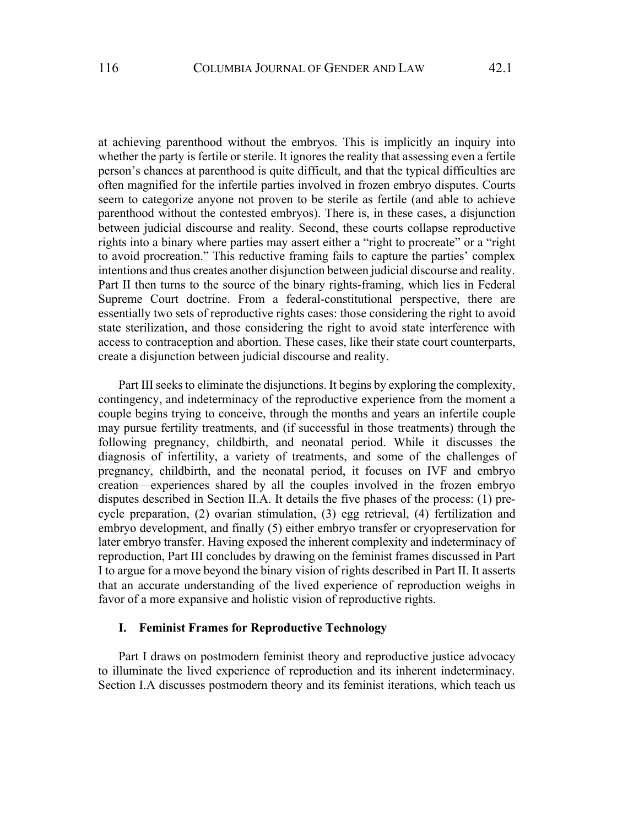at achieving parenthood without the embryos. This is implicitly an inquiry into whether the party is fertile or sterile. It ignores the reality that assessing even a fertile person's chances at parenthood is quite difficult, and that the typical difficulties are often magnified for the infertile parties involved in frozen embryo disputes. Courts seem to categorize anyone not proven to be sterile as fertile (and able to achieve parenthood without the contested embryos). There is, in these cases, a disjunction between judicial discourse and reality. Second, these courts collapse reproductive rights into a binary where parties may assert either a "right to procreate" or a "right to avoid procreation." This reductive framing fails to capture the parties' complex intentions and thus creates another disjunction between judicial discourse and reality. Part II then turns to the source of the binary rights-framing, which lies in Federal Supreme Court doctrine. From a federal-constitutional perspective, there are essentially two sets of reproductive rights cases: those considering the right to avoid state sterilization, and those considering the right to avoid state interference with access to contraception and abortion. These cases, like their state court counterparts, create a disjunction between judicial discourse and reality.

Part III seeks to eliminate the disjunctions. It begins by exploring the complexity, contingency, and indeterminacy of the reproductive experience from the moment a couple begins trying to conceive, through the months and years an infertile couple may pursue fertility treatments, and (if successful in those treatments) through the following pregnancy, childbirth, and neonatal period. While it discusses the diagnosis of infertility, a variety of treatments, and some of the challenges of pregnancy, childbirth, and the neonatal period, it focuses on IVF and embryo creation—experiences shared by all the couples involved in the frozen embryo disputes described in Section II.A. It details the five phases of the process: (1) precycle preparation, (2) ovarian stimulation, (3) egg retrieval, (4) fertilization and embryo development, and finally (5) either embryo transfer or cryopreservation for later embryo transfer. Having exposed the inherent complexity and indeterminacy of reproduction, Part III concludes by drawing on the feminist frames discussed in Part I to argue for a move beyond the binary vision of rights described in Part II. It asserts that an accurate understanding of the lived experience of reproduction weighs in favor of a more expansive and holistic vision of reproductive rights.

### **I. Feminist Frames for Reproductive Technology**

Part I draws on postmodern feminist theory and reproductive justice advocacy to illuminate the lived experience of reproduction and its inherent indeterminacy. Section I.A discusses postmodern theory and its feminist iterations, which teach us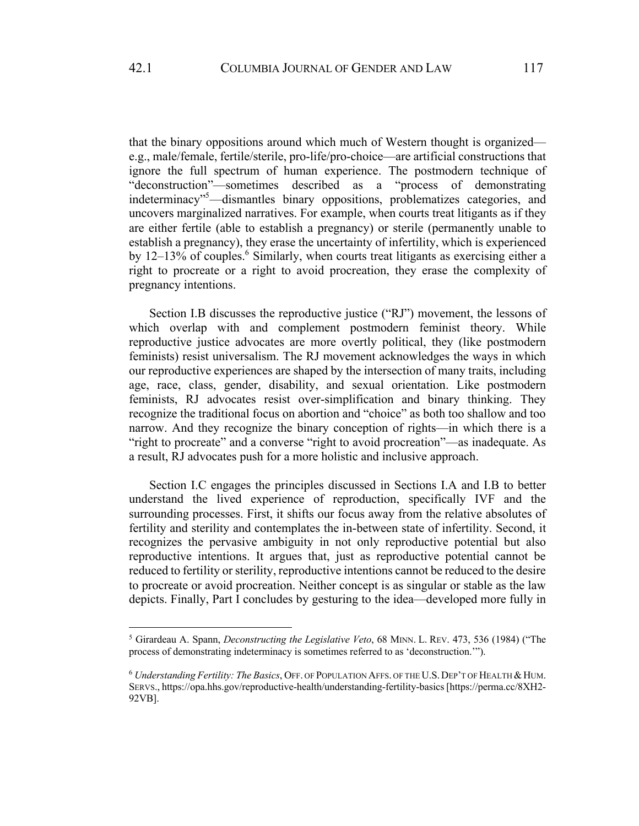that the binary oppositions around which much of Western thought is organized e.g., male/female, fertile/sterile, pro-life/pro-choice—are artificial constructions that ignore the full spectrum of human experience. The postmodern technique of "deconstruction"—sometimes described as a "process of demonstrating indeterminacy"<sup>5</sup>—dismantles binary oppositions, problematizes categories, and uncovers marginalized narratives. For example, when courts treat litigants as if they are either fertile (able to establish a pregnancy) or sterile (permanently unable to establish a pregnancy), they erase the uncertainty of infertility, which is experienced by  $12-13\%$  of couples.<sup>6</sup> Similarly, when courts treat litigants as exercising either a right to procreate or a right to avoid procreation, they erase the complexity of pregnancy intentions.

Section I.B discusses the reproductive justice ("RJ") movement, the lessons of which overlap with and complement postmodern feminist theory. While reproductive justice advocates are more overtly political, they (like postmodern feminists) resist universalism. The RJ movement acknowledges the ways in which our reproductive experiences are shaped by the intersection of many traits, including age, race, class, gender, disability, and sexual orientation. Like postmodern feminists, RJ advocates resist over-simplification and binary thinking. They recognize the traditional focus on abortion and "choice" as both too shallow and too narrow. And they recognize the binary conception of rights—in which there is a "right to procreate" and a converse "right to avoid procreation"—as inadequate. As a result, RJ advocates push for a more holistic and inclusive approach.

Section I.C engages the principles discussed in Sections I.A and I.B to better understand the lived experience of reproduction, specifically IVF and the surrounding processes. First, it shifts our focus away from the relative absolutes of fertility and sterility and contemplates the in-between state of infertility. Second, it recognizes the pervasive ambiguity in not only reproductive potential but also reproductive intentions. It argues that, just as reproductive potential cannot be reduced to fertility or sterility, reproductive intentions cannot be reduced to the desire to procreate or avoid procreation. Neither concept is as singular or stable as the law depicts. Finally, Part I concludes by gesturing to the idea—developed more fully in

<sup>5</sup> Girardeau A. Spann, *Deconstructing the Legislative Veto*, 68 MINN. L. REV. 473, 536 (1984) ("The process of demonstrating indeterminacy is sometimes referred to as 'deconstruction.'").

 $6$  *Understanding Fertility: The Basics*, OFF. OF POPULATION AFFS. OF THE U.S. DEP'T OF HEALTH & HUM. SERVS., https://opa.hhs.gov/reproductive-health/understanding-fertility-basics [https://perma.cc/8XH2- 92VB].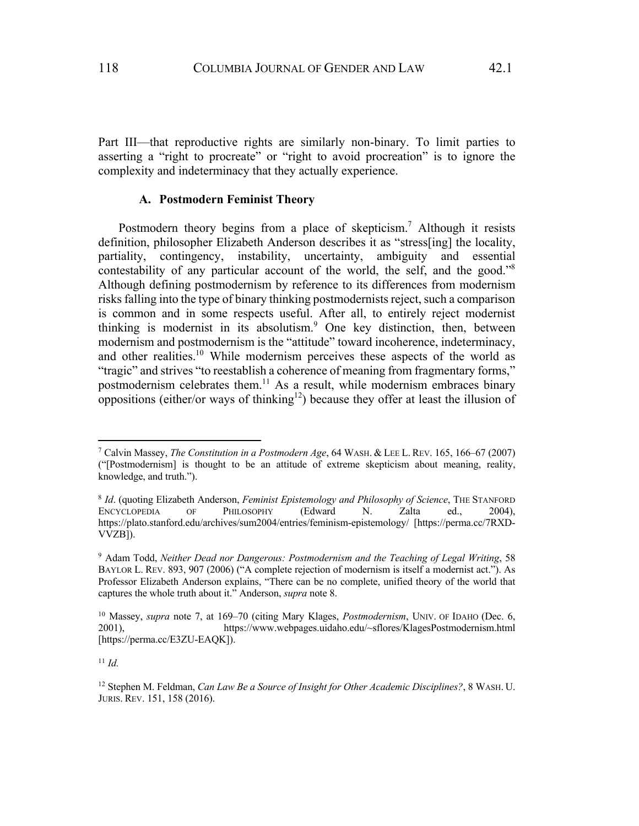Part III—that reproductive rights are similarly non-binary. To limit parties to asserting a "right to procreate" or "right to avoid procreation" is to ignore the complexity and indeterminacy that they actually experience.

## **A. Postmodern Feminist Theory**

Postmodern theory begins from a place of skepticism.<sup>7</sup> Although it resists definition, philosopher Elizabeth Anderson describes it as "stress[ing] the locality, partiality, contingency, instability, uncertainty, ambiguity and essential contestability of any particular account of the world, the self, and the good."8 Although defining postmodernism by reference to its differences from modernism risks falling into the type of binary thinking postmodernists reject, such a comparison is common and in some respects useful. After all, to entirely reject modernist thinking is modernist in its absolutism.<sup>9</sup> One key distinction, then, between modernism and postmodernism is the "attitude" toward incoherence, indeterminacy, and other realities.<sup>10</sup> While modernism perceives these aspects of the world as "tragic" and strives "to reestablish a coherence of meaning from fragmentary forms," postmodernism celebrates them.<sup>11</sup> As a result, while modernism embraces binary oppositions (either/or ways of thinking<sup>12</sup>) because they offer at least the illusion of

<sup>11</sup> *Id.*

<sup>7</sup> Calvin Massey, *The Constitution in a Postmodern Age*, 64 WASH. & LEE L. REV. 165, 166–67 (2007) ("[Postmodernism] is thought to be an attitude of extreme skepticism about meaning, reality, knowledge, and truth.").

<sup>8</sup> *Id*. (quoting Elizabeth Anderson, *Feminist Epistemology and Philosophy of Science*, THE STANFORD ENCYCLOPEDIA OF PHILOSOPHY (Edward N. Zalta ed., 2004), https://plato.stanford.edu/archives/sum2004/entries/feminism-epistemology/ [https://perma.cc/7RXD-VVZB]).

<sup>9</sup> Adam Todd, *Neither Dead nor Dangerous: Postmodernism and the Teaching of Legal Writing*, 58 BAYLOR L. REV. 893, 907 (2006) ("A complete rejection of modernism is itself a modernist act."). As Professor Elizabeth Anderson explains, "There can be no complete, unified theory of the world that captures the whole truth about it." Anderson, *supra* note 8.

<sup>10</sup> Massey, *supra* note 7, at 169–70 (citing Mary Klages, *Postmodernism*, UNIV. OF IDAHO (Dec. 6, 2001), https://www.webpages.uidaho.edu/~sflores/KlagesPostmodernism.html [https://perma.cc/E3ZU-EAQK]).

<sup>12</sup> Stephen M. Feldman, *Can Law Be a Source of Insight for Other Academic Disciplines?*, 8 WASH. U. JURIS. REV. 151, 158 (2016).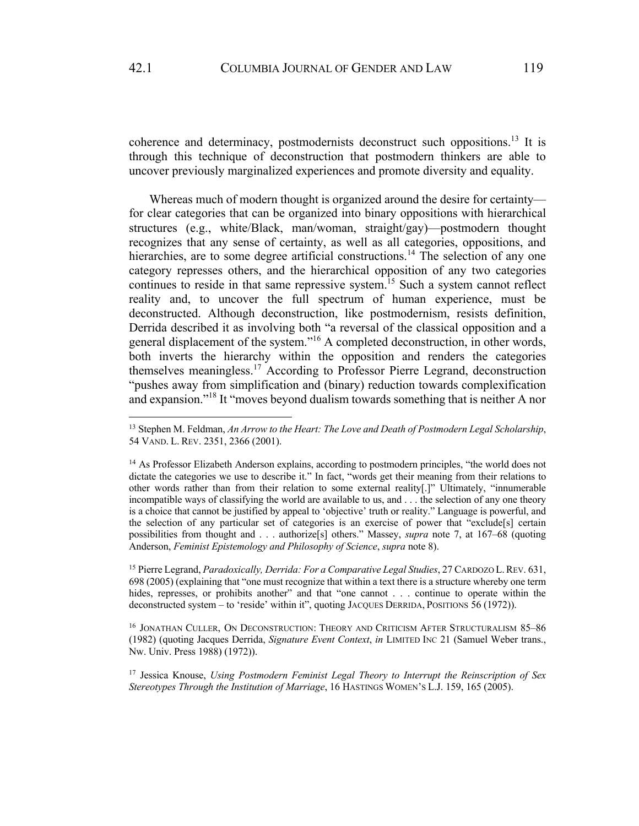coherence and determinacy, postmodernists deconstruct such oppositions.13 It is through this technique of deconstruction that postmodern thinkers are able to uncover previously marginalized experiences and promote diversity and equality.

Whereas much of modern thought is organized around the desire for certainty for clear categories that can be organized into binary oppositions with hierarchical structures (e.g., white/Black, man/woman, straight/gay)—postmodern thought recognizes that any sense of certainty, as well as all categories, oppositions, and hierarchies, are to some degree artificial constructions.<sup>14</sup> The selection of any one category represses others, and the hierarchical opposition of any two categories continues to reside in that same repressive system.<sup>15</sup> Such a system cannot reflect reality and, to uncover the full spectrum of human experience, must be deconstructed. Although deconstruction, like postmodernism, resists definition, Derrida described it as involving both "a reversal of the classical opposition and a general displacement of the system."<sup>16</sup> A completed deconstruction, in other words, both inverts the hierarchy within the opposition and renders the categories themselves meaningless.<sup>17</sup> According to Professor Pierre Legrand, deconstruction "pushes away from simplification and (binary) reduction towards complexification and expansion."<sup>18</sup> It "moves beyond dualism towards something that is neither A nor

<sup>15</sup> Pierre Legrand, *Paradoxically, Derrida: For a Comparative Legal Studies*, 27 CARDOZO L.REV. 631, 698 (2005) (explaining that "one must recognize that within a text there is a structure whereby one term hides, represses, or prohibits another" and that "one cannot . . . continue to operate within the deconstructed system – to 'reside' within it", quoting JACQUES DERRIDA, POSITIONS 56 (1972)).

<sup>16</sup> JONATHAN CULLER, ON DECONSTRUCTION: THEORY AND CRITICISM AFTER STRUCTURALISM 85-86 (1982) (quoting Jacques Derrida, *Signature Event Context*, *in* LIMITED INC 21 (Samuel Weber trans., Nw. Univ. Press 1988) (1972)).

<sup>17</sup> Jessica Knouse, *Using Postmodern Feminist Legal Theory to Interrupt the Reinscription of Sex Stereotypes Through the Institution of Marriage*, 16 HASTINGS WOMEN'S L.J. 159, 165 (2005).

<sup>13</sup> Stephen M. Feldman, *An Arrow to the Heart: The Love and Death of Postmodern Legal Scholarship*, 54 VAND. L. REV. 2351, 2366 (2001).

<sup>&</sup>lt;sup>14</sup> As Professor Elizabeth Anderson explains, according to postmodern principles, "the world does not dictate the categories we use to describe it." In fact, "words get their meaning from their relations to other words rather than from their relation to some external reality[.]" Ultimately, "innumerable incompatible ways of classifying the world are available to us, and . . . the selection of any one theory is a choice that cannot be justified by appeal to 'objective' truth or reality." Language is powerful, and the selection of any particular set of categories is an exercise of power that "exclude[s] certain possibilities from thought and . . . authorize[s] others." Massey, *supra* note 7, at 167–68 (quoting Anderson, *Feminist Epistemology and Philosophy of Science*, *supra* note 8).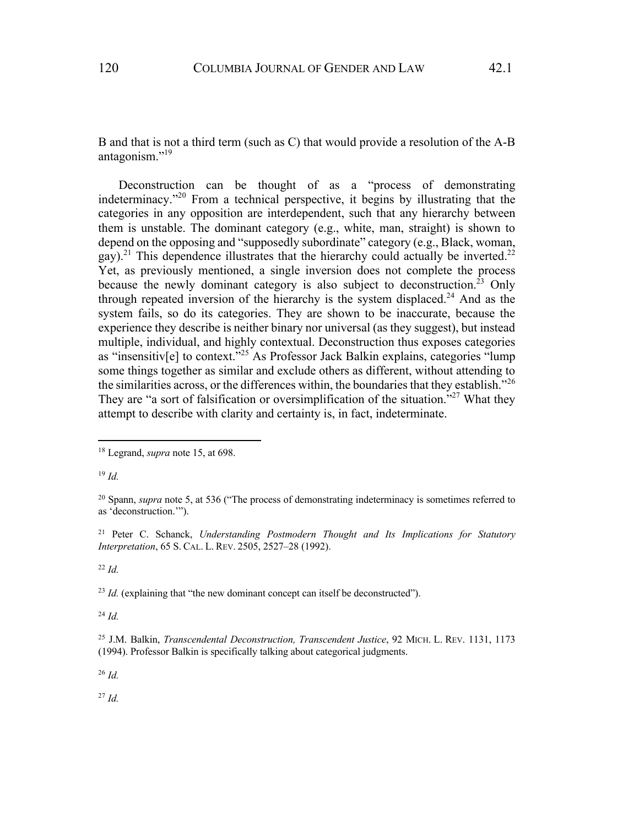B and that is not a third term (such as C) that would provide a resolution of the A-B antagonism."19

Deconstruction can be thought of as a "process of demonstrating indeterminacy."<sup>20</sup> From a technical perspective, it begins by illustrating that the categories in any opposition are interdependent, such that any hierarchy between them is unstable. The dominant category (e.g., white, man, straight) is shown to depend on the opposing and "supposedly subordinate" category (e.g., Black, woman, gay).<sup>21</sup> This dependence illustrates that the hierarchy could actually be inverted.<sup>22</sup> Yet, as previously mentioned, a single inversion does not complete the process because the newly dominant category is also subject to deconstruction.<sup>23</sup> Only through repeated inversion of the hierarchy is the system displaced.<sup>24</sup> And as the system fails, so do its categories. They are shown to be inaccurate, because the experience they describe is neither binary nor universal (as they suggest), but instead multiple, individual, and highly contextual. Deconstruction thus exposes categories as "insensitiv[e] to context."<sup>25</sup> As Professor Jack Balkin explains, categories "lump" some things together as similar and exclude others as different, without attending to the similarities across, or the differences within, the boundaries that they establish."<sup>26</sup> They are "a sort of falsification or oversimplification of the situation."<sup>27</sup> What they attempt to describe with clarity and certainty is, in fact, indeterminate.

<sup>19</sup> *Id.*

<sup>22</sup> *Id.*

<sup>23</sup> *Id.* (explaining that "the new dominant concept can itself be deconstructed").

<sup>24</sup> *Id.*

<sup>26</sup> *Id.*

<sup>27</sup> *Id.*

<sup>18</sup> Legrand, *supra* note 15, at 698.

<sup>20</sup> Spann, *supra* note 5, at 536 ("The process of demonstrating indeterminacy is sometimes referred to as 'deconstruction.'").

<sup>21</sup> Peter C. Schanck, *Understanding Postmodern Thought and Its Implications for Statutory Interpretation*, 65 S. CAL. L. REV. 2505, 2527–28 (1992).

<sup>25</sup> J.M. Balkin, *Transcendental Deconstruction, Transcendent Justice*, 92 MICH. L. REV. 1131, 1173 (1994). Professor Balkin is specifically talking about categorical judgments.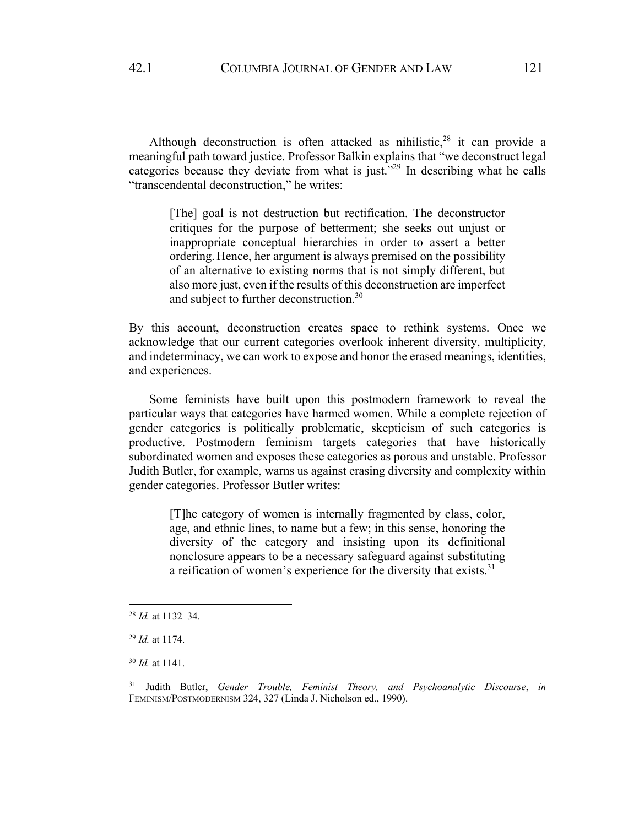Although deconstruction is often attacked as nihilistic,  $28$  it can provide a meaningful path toward justice. Professor Balkin explains that "we deconstruct legal categories because they deviate from what is just."<sup>29</sup> In describing what he calls "transcendental deconstruction," he writes:

> [The] goal is not destruction but rectification. The deconstructor critiques for the purpose of betterment; she seeks out unjust or inappropriate conceptual hierarchies in order to assert a better ordering. Hence, her argument is always premised on the possibility of an alternative to existing norms that is not simply different, but also more just, even if the results of this deconstruction are imperfect and subject to further deconstruction.<sup>30</sup>

By this account, deconstruction creates space to rethink systems. Once we acknowledge that our current categories overlook inherent diversity, multiplicity, and indeterminacy, we can work to expose and honor the erased meanings, identities, and experiences.

Some feminists have built upon this postmodern framework to reveal the particular ways that categories have harmed women. While a complete rejection of gender categories is politically problematic, skepticism of such categories is productive. Postmodern feminism targets categories that have historically subordinated women and exposes these categories as porous and unstable. Professor Judith Butler, for example, warns us against erasing diversity and complexity within gender categories. Professor Butler writes:

[T]he category of women is internally fragmented by class, color, age, and ethnic lines, to name but a few; in this sense, honoring the diversity of the category and insisting upon its definitional nonclosure appears to be a necessary safeguard against substituting a reification of women's experience for the diversity that exists. $31$ 

<sup>28</sup> *Id.* at 1132–34.

<sup>29</sup> *Id.* at 1174.

<sup>30</sup> *Id.* at 1141.

<sup>31</sup> Judith Butler, *Gender Trouble, Feminist Theory, and Psychoanalytic Discourse*, *in* FEMINISM/POSTMODERNISM 324, 327 (Linda J. Nicholson ed., 1990).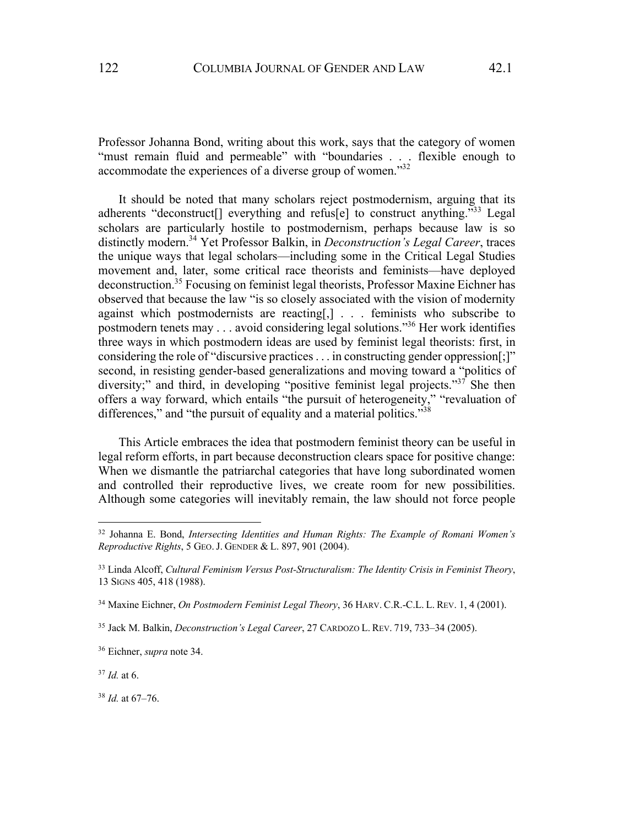Professor Johanna Bond, writing about this work, says that the category of women "must remain fluid and permeable" with "boundaries . . . flexible enough to accommodate the experiences of a diverse group of women."<sup>32</sup>

It should be noted that many scholars reject postmodernism, arguing that its adherents "deconstruct<sup>[]</sup> everything and refus<sup>[e]</sup> to construct anything."<sup>33</sup> Legal scholars are particularly hostile to postmodernism, perhaps because law is so distinctly modern.<sup>34</sup> Yet Professor Balkin, in *Deconstruction's Legal Career*, traces the unique ways that legal scholars—including some in the Critical Legal Studies movement and, later, some critical race theorists and feminists—have deployed deconstruction.35 Focusing on feminist legal theorists, Professor Maxine Eichner has observed that because the law "is so closely associated with the vision of modernity against which postmodernists are reacting[,] . . . feminists who subscribe to postmodern tenets may  $\dots$  avoid considering legal solutions.<sup>356</sup> Her work identifies three ways in which postmodern ideas are used by feminist legal theorists: first, in considering the role of "discursive practices . . . in constructing gender oppression[;]" second, in resisting gender-based generalizations and moving toward a "politics of diversity;" and third, in developing "positive feminist legal projects."<sup>37</sup> She then offers a way forward, which entails "the pursuit of heterogeneity," "revaluation of differences," and "the pursuit of equality and a material politics."<sup>38</sup>

This Article embraces the idea that postmodern feminist theory can be useful in legal reform efforts, in part because deconstruction clears space for positive change: When we dismantle the patriarchal categories that have long subordinated women and controlled their reproductive lives, we create room for new possibilities. Although some categories will inevitably remain, the law should not force people

<sup>37</sup> *Id.* at 6.

<sup>38</sup> *Id.* at 67–76.

<sup>32</sup> Johanna E. Bond, *Intersecting Identities and Human Rights: The Example of Romani Women's Reproductive Rights*, 5 GEO.J. GENDER & L. 897, 901 (2004).

<sup>33</sup> Linda Alcoff, *Cultural Feminism Versus Post-Structuralism: The Identity Crisis in Feminist Theory*, 13 SIGNS 405, 418 (1988).

<sup>34</sup> Maxine Eichner, *On Postmodern Feminist Legal Theory*, 36 HARV. C.R.-C.L. L. REV. 1, 4 (2001).

<sup>35</sup> Jack M. Balkin, *Deconstruction's Legal Career*, 27 CARDOZO L. REV. 719, 733–34 (2005).

<sup>36</sup> Eichner, *supra* note 34.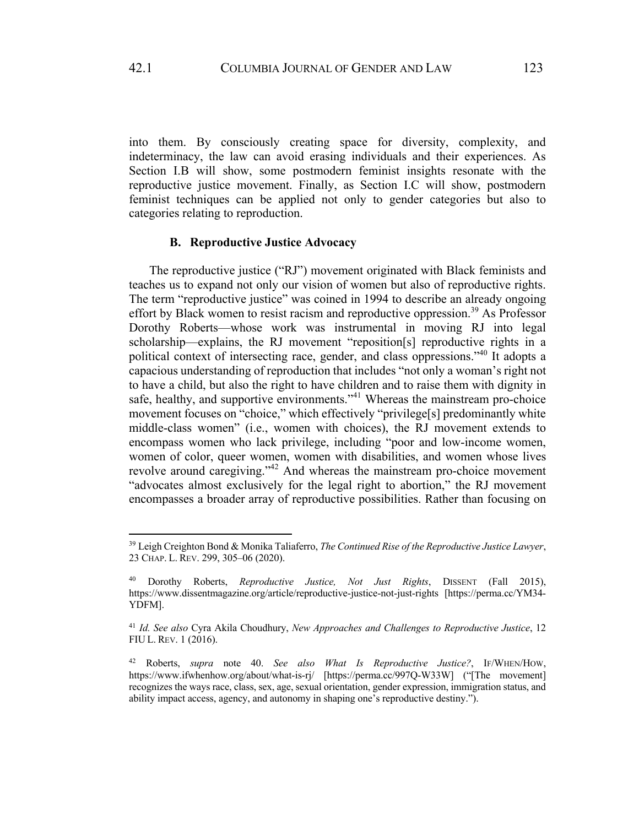into them. By consciously creating space for diversity, complexity, and indeterminacy, the law can avoid erasing individuals and their experiences. As Section I.B will show, some postmodern feminist insights resonate with the reproductive justice movement. Finally, as Section I.C will show, postmodern feminist techniques can be applied not only to gender categories but also to categories relating to reproduction.

### **B. Reproductive Justice Advocacy**

The reproductive justice ("RJ") movement originated with Black feminists and teaches us to expand not only our vision of women but also of reproductive rights. The term "reproductive justice" was coined in 1994 to describe an already ongoing effort by Black women to resist racism and reproductive oppression.<sup>39</sup> As Professor Dorothy Roberts—whose work was instrumental in moving RJ into legal scholarship—explains, the RJ movement "reposition[s] reproductive rights in a political context of intersecting race, gender, and class oppressions."40 It adopts a capacious understanding of reproduction that includes "not only a woman's right not to have a child, but also the right to have children and to raise them with dignity in safe, healthy, and supportive environments."<sup>41</sup> Whereas the mainstream pro-choice movement focuses on "choice," which effectively "privilege[s] predominantly white middle-class women" (i.e., women with choices), the RJ movement extends to encompass women who lack privilege, including "poor and low-income women, women of color, queer women, women with disabilities, and women whose lives revolve around caregiving."<sup>42</sup> And whereas the mainstream pro-choice movement "advocates almost exclusively for the legal right to abortion," the RJ movement encompasses a broader array of reproductive possibilities. Rather than focusing on

<sup>39</sup> Leigh Creighton Bond & Monika Taliaferro, *The Continued Rise of the Reproductive Justice Lawyer*, 23 CHAP. L. REV. 299, 305–06 (2020).

<sup>40</sup> Dorothy Roberts, *Reproductive Justice, Not Just Rights*, DISSENT (Fall 2015), https://www.dissentmagazine.org/article/reproductive-justice-not-just-rights [https://perma.cc/YM34- YDFM].

<sup>41</sup> *Id. See also* Cyra Akila Choudhury, *New Approaches and Challenges to Reproductive Justice*, 12 FIU L. REV. 1 (2016).

<sup>42</sup> Roberts, *supra* note 40. *See also What Is Reproductive Justice?*, IF/WHEN/HOW, https://www.ifwhenhow.org/about/what-is-rj/ [https://perma.cc/997Q-W33W] ("[The movement] recognizes the ways race, class, sex, age, sexual orientation, gender expression, immigration status, and ability impact access, agency, and autonomy in shaping one's reproductive destiny.").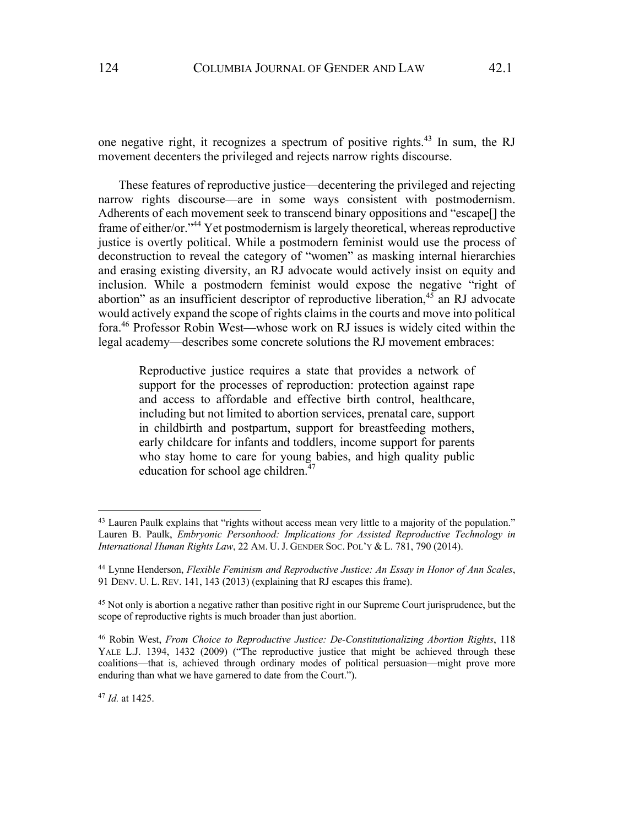one negative right, it recognizes a spectrum of positive rights.43 In sum, the RJ movement decenters the privileged and rejects narrow rights discourse.

These features of reproductive justice—decentering the privileged and rejecting narrow rights discourse—are in some ways consistent with postmodernism. Adherents of each movement seek to transcend binary oppositions and "escape[] the frame of either/or."44 Yet postmodernism is largely theoretical, whereas reproductive justice is overtly political. While a postmodern feminist would use the process of deconstruction to reveal the category of "women" as masking internal hierarchies and erasing existing diversity, an RJ advocate would actively insist on equity and inclusion. While a postmodern feminist would expose the negative "right of abortion" as an insufficient descriptor of reproductive liberation, $45$  an RJ advocate would actively expand the scope of rights claims in the courts and move into political fora.46 Professor Robin West—whose work on RJ issues is widely cited within the legal academy—describes some concrete solutions the RJ movement embraces:

Reproductive justice requires a state that provides a network of support for the processes of reproduction: protection against rape and access to affordable and effective birth control, healthcare, including but not limited to abortion services, prenatal care, support in childbirth and postpartum, support for breastfeeding mothers, early childcare for infants and toddlers, income support for parents who stay home to care for young babies, and high quality public education for school age children.<sup>47</sup>

<sup>&</sup>lt;sup>43</sup> Lauren Paulk explains that "rights without access mean very little to a majority of the population." Lauren B. Paulk, *Embryonic Personhood: Implications for Assisted Reproductive Technology in International Human Rights Law*, 22 AM. U.J. GENDER SOC. POL'Y & L. 781, 790 (2014).

<sup>44</sup> Lynne Henderson, *Flexible Feminism and Reproductive Justice: An Essay in Honor of Ann Scales*, 91 DENV. U. L. REV. 141, 143 (2013) (explaining that RJ escapes this frame).

<sup>&</sup>lt;sup>45</sup> Not only is abortion a negative rather than positive right in our Supreme Court jurisprudence, but the scope of reproductive rights is much broader than just abortion.

<sup>46</sup> Robin West, *From Choice to Reproductive Justice: De-Constitutionalizing Abortion Rights*, 118 YALE L.J. 1394, 1432 (2009) ("The reproductive justice that might be achieved through these coalitions—that is, achieved through ordinary modes of political persuasion—might prove more enduring than what we have garnered to date from the Court.").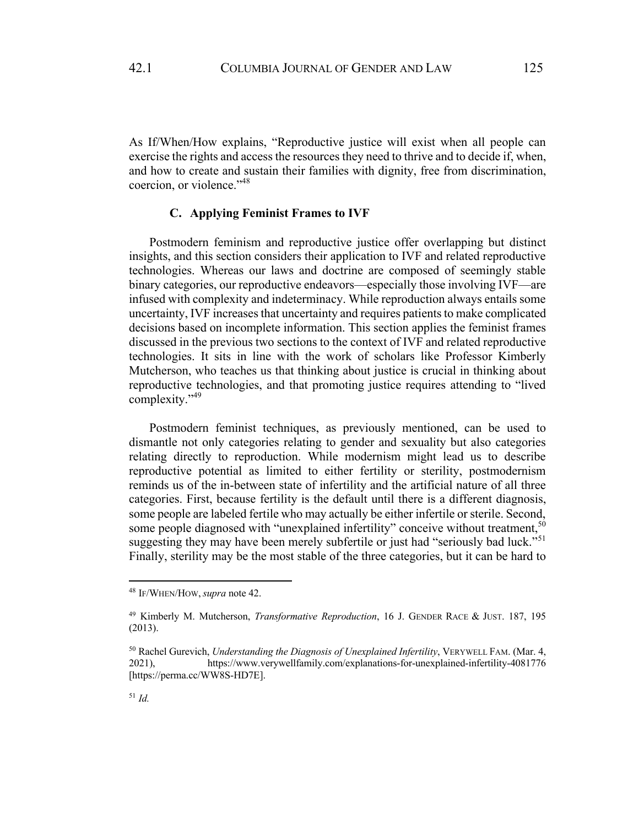As If/When/How explains, "Reproductive justice will exist when all people can exercise the rights and access the resources they need to thrive and to decide if, when, and how to create and sustain their families with dignity, free from discrimination, coercion, or violence."48

# **C. Applying Feminist Frames to IVF**

Postmodern feminism and reproductive justice offer overlapping but distinct insights, and this section considers their application to IVF and related reproductive technologies. Whereas our laws and doctrine are composed of seemingly stable binary categories, our reproductive endeavors—especially those involving IVF—are infused with complexity and indeterminacy. While reproduction always entails some uncertainty, IVF increases that uncertainty and requires patients to make complicated decisions based on incomplete information. This section applies the feminist frames discussed in the previous two sections to the context of IVF and related reproductive technologies. It sits in line with the work of scholars like Professor Kimberly Mutcherson, who teaches us that thinking about justice is crucial in thinking about reproductive technologies, and that promoting justice requires attending to "lived complexity."49

Postmodern feminist techniques, as previously mentioned, can be used to dismantle not only categories relating to gender and sexuality but also categories relating directly to reproduction. While modernism might lead us to describe reproductive potential as limited to either fertility or sterility, postmodernism reminds us of the in-between state of infertility and the artificial nature of all three categories. First, because fertility is the default until there is a different diagnosis, some people are labeled fertile who may actually be either infertile or sterile. Second, some people diagnosed with "unexplained infertility" conceive without treatment,<sup>50</sup> suggesting they may have been merely subfertile or just had "seriously bad luck."<sup>51</sup> Finally, sterility may be the most stable of the three categories, but it can be hard to

<sup>48</sup> IF/WHEN/HOW,*supra* note 42.

<sup>49</sup> Kimberly M. Mutcherson, *Transformative Reproduction*, 16 J. GENDER RACE & JUST. 187, 195 (2013).

<sup>50</sup> Rachel Gurevich, *Understanding the Diagnosis of Unexplained Infertility*, VERYWELL FAM. (Mar. 4, 2021), https://www.verywellfamily.com/explanations-for-unexplained-infertility-4081776 [https://perma.cc/WW8S-HD7E].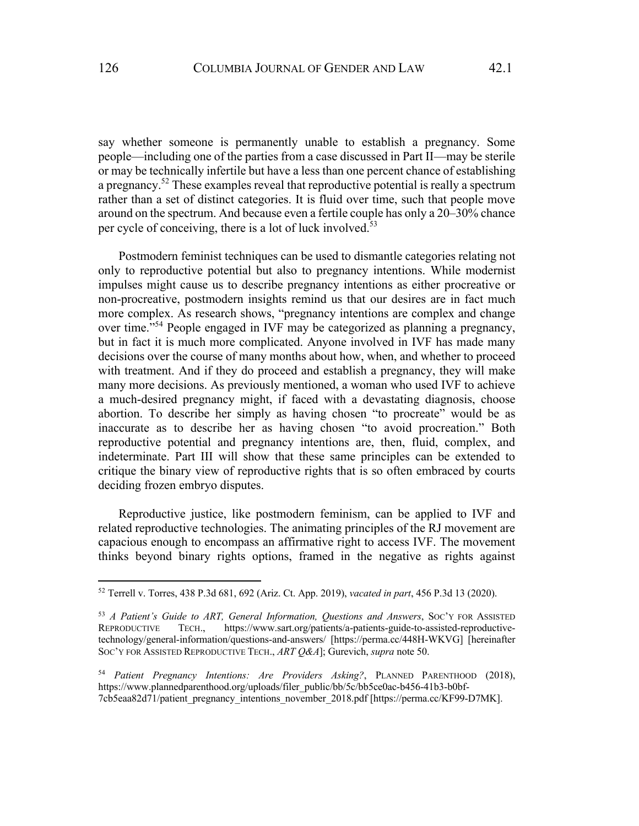say whether someone is permanently unable to establish a pregnancy. Some people—including one of the parties from a case discussed in Part II—may be sterile or may be technically infertile but have a less than one percent chance of establishing a pregnancy.<sup>52</sup> These examples reveal that reproductive potential is really a spectrum rather than a set of distinct categories. It is fluid over time, such that people move around on the spectrum. And because even a fertile couple has only a 20–30% chance per cycle of conceiving, there is a lot of luck involved.<sup>53</sup>

Postmodern feminist techniques can be used to dismantle categories relating not only to reproductive potential but also to pregnancy intentions. While modernist impulses might cause us to describe pregnancy intentions as either procreative or non-procreative, postmodern insights remind us that our desires are in fact much more complex. As research shows, "pregnancy intentions are complex and change over time."54 People engaged in IVF may be categorized as planning a pregnancy, but in fact it is much more complicated. Anyone involved in IVF has made many decisions over the course of many months about how, when, and whether to proceed with treatment. And if they do proceed and establish a pregnancy, they will make many more decisions. As previously mentioned, a woman who used IVF to achieve a much-desired pregnancy might, if faced with a devastating diagnosis, choose abortion. To describe her simply as having chosen "to procreate" would be as inaccurate as to describe her as having chosen "to avoid procreation." Both reproductive potential and pregnancy intentions are, then, fluid, complex, and indeterminate. Part III will show that these same principles can be extended to critique the binary view of reproductive rights that is so often embraced by courts deciding frozen embryo disputes.

Reproductive justice, like postmodern feminism, can be applied to IVF and related reproductive technologies. The animating principles of the RJ movement are capacious enough to encompass an affirmative right to access IVF. The movement thinks beyond binary rights options, framed in the negative as rights against

<sup>52</sup> Terrell v. Torres, 438 P.3d 681, 692 (Ariz. Ct. App. 2019), *vacated in part*, 456 P.3d 13 (2020).

<sup>53</sup> *A Patient's Guide to ART, General Information, Questions and Answers*, SOC'Y FOR ASSISTED REPRODUCTIVE TECH., https://www.sart.org/patients/a-patients-guide-to-assisted-reproductivetechnology/general-information/questions-and-answers/ [https://perma.cc/448H-WKVG] [hereinafter SOC'Y FOR ASSISTED REPRODUCTIVE TECH., *ART Q&A*]; Gurevich, *supra* note 50.

<sup>54</sup> *Patient Pregnancy Intentions: Are Providers Asking?*, PLANNED PARENTHOOD (2018), https://www.plannedparenthood.org/uploads/filer\_public/bb/5c/bb5ce0ac-b456-41b3-b0bf-7cb5eaa82d71/patient\_pregnancy\_intentions\_november\_2018.pdf [https://perma.cc/KF99-D7MK].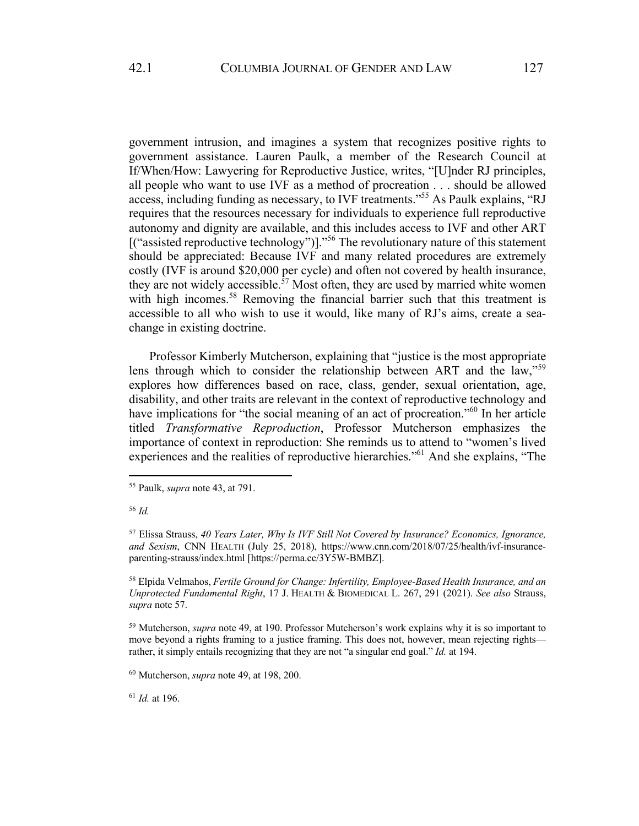government intrusion, and imagines a system that recognizes positive rights to government assistance. Lauren Paulk, a member of the Research Council at If/When/How: Lawyering for Reproductive Justice, writes, "[U]nder RJ principles, all people who want to use IVF as a method of procreation . . . should be allowed access, including funding as necessary, to IVF treatments."55 As Paulk explains, "RJ requires that the resources necessary for individuals to experience full reproductive autonomy and dignity are available, and this includes access to IVF and other ART [("assisted reproductive technology")]."<sup>56</sup> The revolutionary nature of this statement should be appreciated: Because IVF and many related procedures are extremely costly (IVF is around \$20,000 per cycle) and often not covered by health insurance, they are not widely accessible.<sup>57</sup> Most often, they are used by married white women with high incomes.<sup>58</sup> Removing the financial barrier such that this treatment is accessible to all who wish to use it would, like many of RJ's aims, create a seachange in existing doctrine.

Professor Kimberly Mutcherson, explaining that "justice is the most appropriate lens through which to consider the relationship between ART and the law,"<sup>59</sup> explores how differences based on race, class, gender, sexual orientation, age, disability, and other traits are relevant in the context of reproductive technology and have implications for "the social meaning of an act of procreation."<sup>60</sup> In her article titled *Transformative Reproduction*, Professor Mutcherson emphasizes the importance of context in reproduction: She reminds us to attend to "women's lived experiences and the realities of reproductive hierarchies."61 And she explains, "The

<sup>58</sup> Elpida Velmahos, *Fertile Ground for Change: Infertility, Employee-Based Health Insurance, and an Unprotected Fundamental Right*, 17 J. HEALTH & BIOMEDICAL L. 267, 291 (2021). *See also* Strauss, *supra* note 57.

<sup>59</sup> Mutcherson, *supra* note 49, at 190. Professor Mutcherson's work explains why it is so important to move beyond a rights framing to a justice framing. This does not, however, mean rejecting rights rather, it simply entails recognizing that they are not "a singular end goal." *Id.* at 194.

<sup>60</sup> Mutcherson, *supra* note 49, at 198, 200.

<sup>61</sup> *Id.* at 196.

<sup>55</sup> Paulk, *supra* note 43, at 791.

<sup>56</sup> *Id.*

<sup>57</sup> Elissa Strauss, *40 Years Later, Why Is IVF Still Not Covered by Insurance? Economics, Ignorance, and Sexism*, CNN HEALTH (July 25, 2018), https://www.cnn.com/2018/07/25/health/ivf-insuranceparenting-strauss/index.html [https://perma.cc/3Y5W-BMBZ].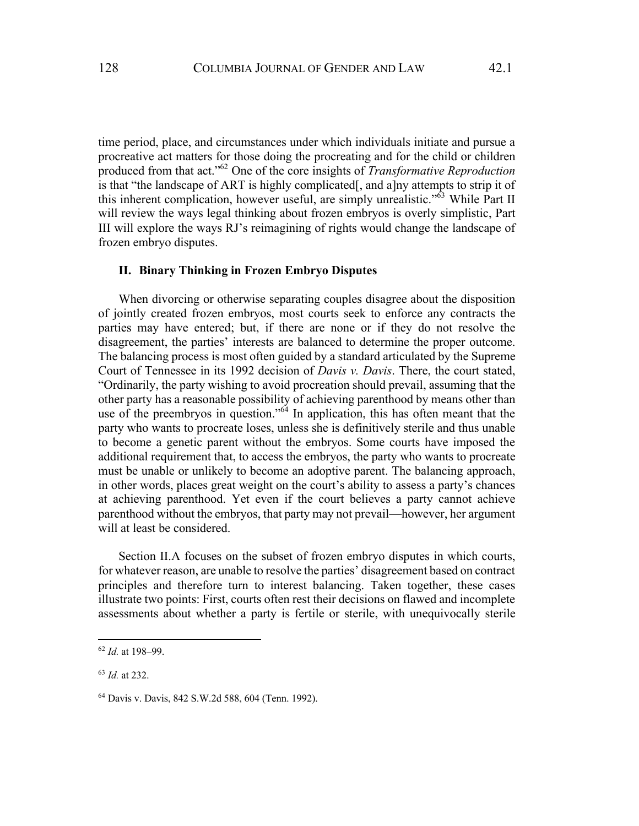time period, place, and circumstances under which individuals initiate and pursue a procreative act matters for those doing the procreating and for the child or children produced from that act."62 One of the core insights of *Transformative Reproduction* is that "the landscape of ART is highly complicated[, and a]ny attempts to strip it of this inherent complication, however useful, are simply unrealistic."<sup>63</sup> While Part II will review the ways legal thinking about frozen embryos is overly simplistic, Part III will explore the ways RJ's reimagining of rights would change the landscape of frozen embryo disputes.

### **II. Binary Thinking in Frozen Embryo Disputes**

When divorcing or otherwise separating couples disagree about the disposition of jointly created frozen embryos, most courts seek to enforce any contracts the parties may have entered; but, if there are none or if they do not resolve the disagreement, the parties' interests are balanced to determine the proper outcome. The balancing process is most often guided by a standard articulated by the Supreme Court of Tennessee in its 1992 decision of *Davis v. Davis*. There, the court stated, "Ordinarily, the party wishing to avoid procreation should prevail, assuming that the other party has a reasonable possibility of achieving parenthood by means other than use of the preembryos in question."<sup>64</sup> In application, this has often meant that the party who wants to procreate loses, unless she is definitively sterile and thus unable to become a genetic parent without the embryos. Some courts have imposed the additional requirement that, to access the embryos, the party who wants to procreate must be unable or unlikely to become an adoptive parent. The balancing approach, in other words, places great weight on the court's ability to assess a party's chances at achieving parenthood. Yet even if the court believes a party cannot achieve parenthood without the embryos, that party may not prevail—however, her argument will at least be considered.

Section II.A focuses on the subset of frozen embryo disputes in which courts, for whatever reason, are unable to resolve the parties' disagreement based on contract principles and therefore turn to interest balancing. Taken together, these cases illustrate two points: First, courts often rest their decisions on flawed and incomplete assessments about whether a party is fertile or sterile, with unequivocally sterile

<sup>62</sup> *Id.* at 198–99.

<sup>63</sup> *Id.* at 232.

<sup>64</sup> Davis v. Davis, 842 S.W.2d 588, 604 (Tenn. 1992).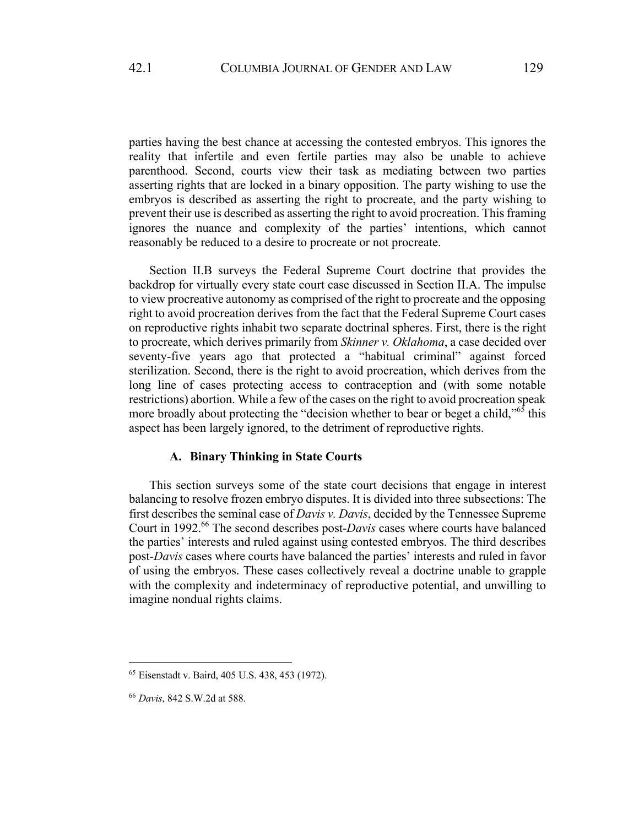parties having the best chance at accessing the contested embryos. This ignores the reality that infertile and even fertile parties may also be unable to achieve parenthood. Second, courts view their task as mediating between two parties asserting rights that are locked in a binary opposition. The party wishing to use the embryos is described as asserting the right to procreate, and the party wishing to prevent their use is described as asserting the right to avoid procreation. This framing ignores the nuance and complexity of the parties' intentions, which cannot reasonably be reduced to a desire to procreate or not procreate.

Section II.B surveys the Federal Supreme Court doctrine that provides the backdrop for virtually every state court case discussed in Section II.A. The impulse to view procreative autonomy as comprised of the right to procreate and the opposing right to avoid procreation derives from the fact that the Federal Supreme Court cases on reproductive rights inhabit two separate doctrinal spheres. First, there is the right to procreate, which derives primarily from *Skinner v. Oklahoma*, a case decided over seventy-five years ago that protected a "habitual criminal" against forced sterilization. Second, there is the right to avoid procreation, which derives from the long line of cases protecting access to contraception and (with some notable restrictions) abortion. While a few of the cases on the right to avoid procreation speak more broadly about protecting the "decision whether to bear or beget a child,"<sup>65</sup> this aspect has been largely ignored, to the detriment of reproductive rights.

### **A. Binary Thinking in State Courts**

This section surveys some of the state court decisions that engage in interest balancing to resolve frozen embryo disputes. It is divided into three subsections: The first describes the seminal case of *Davis v. Davis*, decided by the Tennessee Supreme Court in 1992.<sup>66</sup> The second describes post-*Davis* cases where courts have balanced the parties' interests and ruled against using contested embryos. The third describes post-*Davis* cases where courts have balanced the parties' interests and ruled in favor of using the embryos. These cases collectively reveal a doctrine unable to grapple with the complexity and indeterminacy of reproductive potential, and unwilling to imagine nondual rights claims.

<sup>65</sup> Eisenstadt v. Baird, 405 U.S. 438, 453 (1972).

<sup>66</sup> *Davis*, 842 S.W.2d at 588.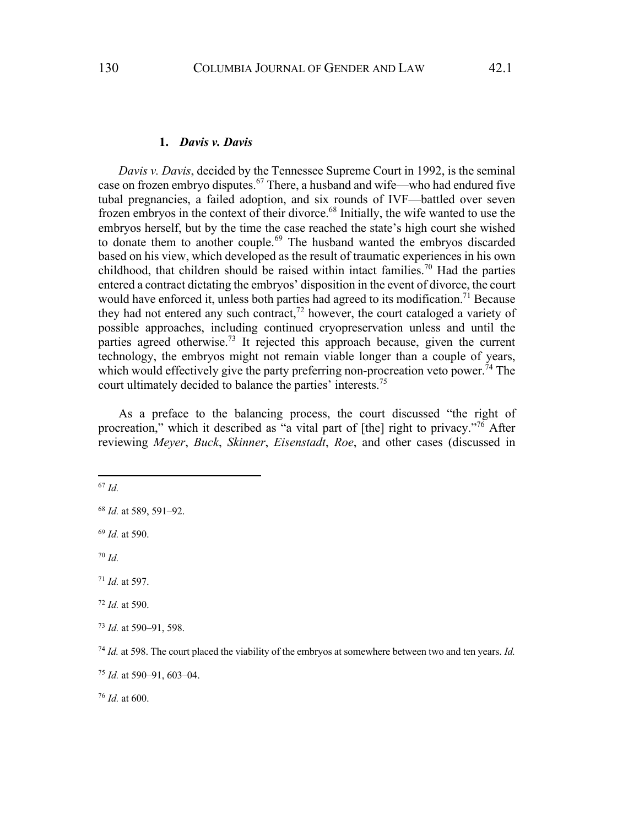#### **1.** *Davis v. Davis*

*Davis v. Davis*, decided by the Tennessee Supreme Court in 1992, is the seminal case on frozen embryo disputes.<sup>67</sup> There, a husband and wife—who had endured five tubal pregnancies, a failed adoption, and six rounds of IVF—battled over seven frozen embryos in the context of their divorce.<sup>68</sup> Initially, the wife wanted to use the embryos herself, but by the time the case reached the state's high court she wished to donate them to another couple.<sup>69</sup> The husband wanted the embryos discarded based on his view, which developed as the result of traumatic experiences in his own childhood, that children should be raised within intact families.<sup>70</sup> Had the parties entered a contract dictating the embryos' disposition in the event of divorce, the court would have enforced it, unless both parties had agreed to its modification.<sup>71</sup> Because they had not entered any such contract, $72$  however, the court cataloged a variety of possible approaches, including continued cryopreservation unless and until the parties agreed otherwise.<sup>73</sup> It rejected this approach because, given the current technology, the embryos might not remain viable longer than a couple of years, which would effectively give the party preferring non-procreation veto power.<sup>74</sup> The court ultimately decided to balance the parties' interests.<sup>75</sup>

As a preface to the balancing process, the court discussed "the right of procreation," which it described as "a vital part of [the] right to privacy."<sup>76</sup> After reviewing *Meyer*, *Buck*, *Skinner*, *Eisenstadt*, *Roe*, and other cases (discussed in

<sup>67</sup> *Id.*

<sup>69</sup> *Id.* at 590.

<sup>70</sup> *Id.*

<sup>76</sup> *Id.* at 600.

<sup>68</sup> *Id.* at 589, 591–92.

<sup>71</sup> *Id.* at 597.

<sup>72</sup> *Id.* at 590.

<sup>73</sup> *Id.* at 590–91, 598.

<sup>74</sup> *Id.* at 598. The court placed the viability of the embryos at somewhere between two and ten years. *Id.*

<sup>75</sup> *Id.* at 590–91, 603–04.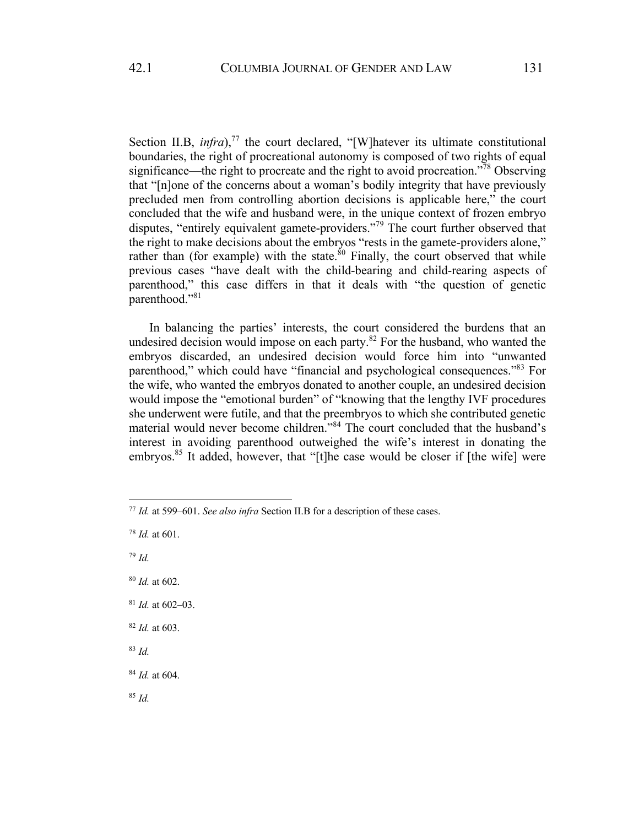Section II.B,  $\text{infra}$ ,<sup>77</sup> the court declared, "[W]hatever its ultimate constitutional boundaries, the right of procreational autonomy is composed of two rights of equal significance—the right to procreate and the right to avoid procreation.<sup>778</sup> Observing that "[n]one of the concerns about a woman's bodily integrity that have previously precluded men from controlling abortion decisions is applicable here," the court concluded that the wife and husband were, in the unique context of frozen embryo disputes, "entirely equivalent gamete-providers."<sup>79</sup> The court further observed that the right to make decisions about the embryos "rests in the gamete-providers alone," rather than (for example) with the state.<sup>80</sup> Finally, the court observed that while previous cases "have dealt with the child-bearing and child-rearing aspects of parenthood," this case differs in that it deals with "the question of genetic parenthood."81

In balancing the parties' interests, the court considered the burdens that an undesired decision would impose on each party.<sup>82</sup> For the husband, who wanted the embryos discarded, an undesired decision would force him into "unwanted parenthood," which could have "financial and psychological consequences."83 For the wife, who wanted the embryos donated to another couple, an undesired decision would impose the "emotional burden" of "knowing that the lengthy IVF procedures she underwent were futile, and that the preembryos to which she contributed genetic material would never become children."<sup>84</sup> The court concluded that the husband's interest in avoiding parenthood outweighed the wife's interest in donating the embryos.<sup>85</sup> It added, however, that "[t]he case would be closer if [the wife] were

<sup>79</sup> *Id.*

- <sup>80</sup> *Id.* at 602.
- <sup>81</sup> *Id.* at 602–03.
- <sup>82</sup> *Id.* at 603.
- <sup>83</sup> *Id.*

<sup>85</sup> *Id.*

<sup>77</sup> *Id.* at 599–601. *See also infra* Section II.B for a description of these cases.

<sup>78</sup> *Id.* at 601.

<sup>84</sup> *Id.* at 604.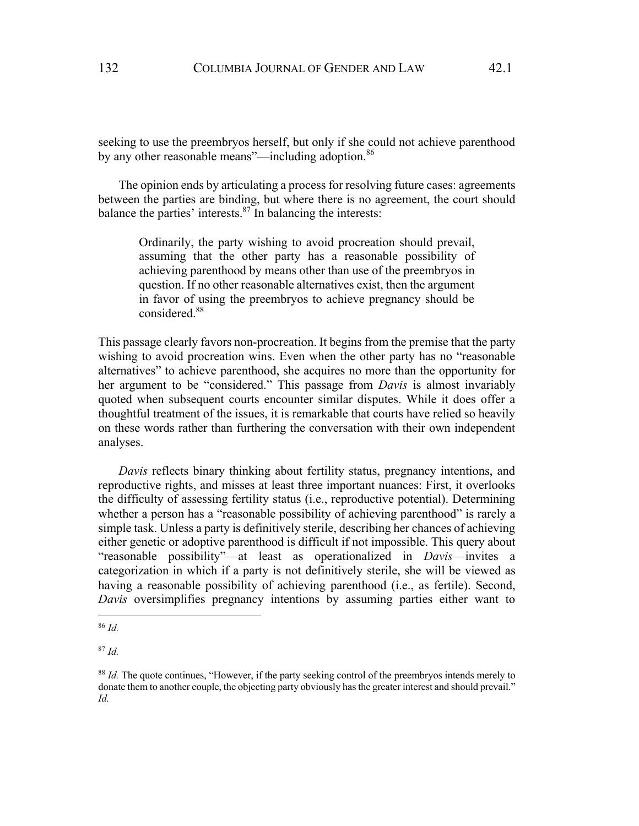seeking to use the preembryos herself, but only if she could not achieve parenthood by any other reasonable means"—including adoption.<sup>86</sup>

The opinion ends by articulating a process for resolving future cases: agreements between the parties are binding, but where there is no agreement, the court should balance the parties' interests. $87$  In balancing the interests:

Ordinarily, the party wishing to avoid procreation should prevail, assuming that the other party has a reasonable possibility of achieving parenthood by means other than use of the preembryos in question. If no other reasonable alternatives exist, then the argument in favor of using the preembryos to achieve pregnancy should be considered.88

This passage clearly favors non-procreation. It begins from the premise that the party wishing to avoid procreation wins. Even when the other party has no "reasonable" alternatives" to achieve parenthood, she acquires no more than the opportunity for her argument to be "considered." This passage from *Davis* is almost invariably quoted when subsequent courts encounter similar disputes. While it does offer a thoughtful treatment of the issues, it is remarkable that courts have relied so heavily on these words rather than furthering the conversation with their own independent analyses.

*Davis* reflects binary thinking about fertility status, pregnancy intentions, and reproductive rights, and misses at least three important nuances: First, it overlooks the difficulty of assessing fertility status (i.e., reproductive potential). Determining whether a person has a "reasonable possibility of achieving parenthood" is rarely a simple task. Unless a party is definitively sterile, describing her chances of achieving either genetic or adoptive parenthood is difficult if not impossible. This query about "reasonable possibility"—at least as operationalized in *Davis*—invites a categorization in which if a party is not definitively sterile, she will be viewed as having a reasonable possibility of achieving parenthood (i.e., as fertile). Second, *Davis* oversimplifies pregnancy intentions by assuming parties either want to

<sup>86</sup> *Id.*

<sup>87</sup> *Id.*

<sup>88</sup> *Id.* The quote continues, "However, if the party seeking control of the preembryos intends merely to donate them to another couple, the objecting party obviously has the greater interest and should prevail." *Id.*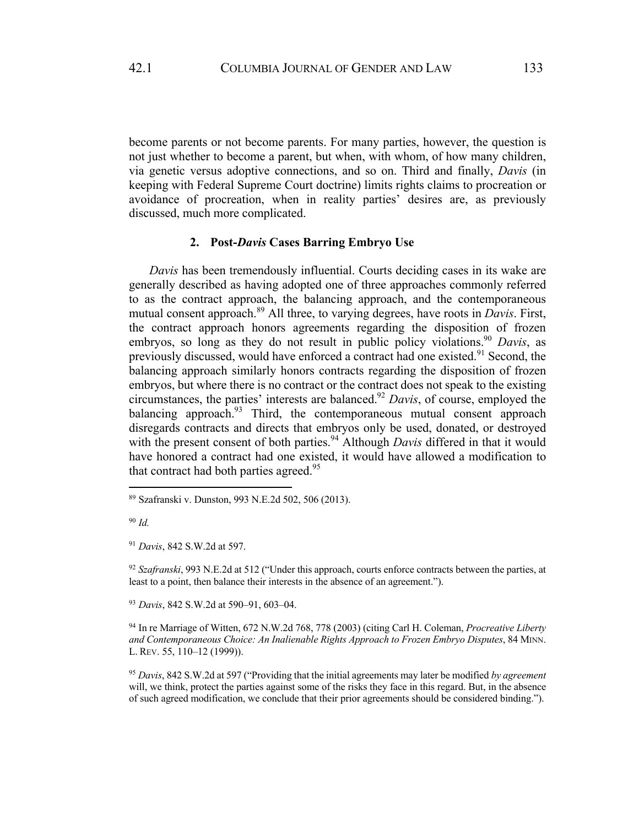become parents or not become parents. For many parties, however, the question is not just whether to become a parent, but when, with whom, of how many children, via genetic versus adoptive connections, and so on. Third and finally, *Davis* (in keeping with Federal Supreme Court doctrine) limits rights claims to procreation or avoidance of procreation, when in reality parties' desires are, as previously discussed, much more complicated.

### **2. Post-***Davis* **Cases Barring Embryo Use**

*Davis* has been tremendously influential. Courts deciding cases in its wake are generally described as having adopted one of three approaches commonly referred to as the contract approach, the balancing approach, and the contemporaneous mutual consent approach.<sup>89</sup> All three, to varying degrees, have roots in *Davis*. First, the contract approach honors agreements regarding the disposition of frozen embryos, so long as they do not result in public policy violations.<sup>90</sup> *Davis*, as previously discussed, would have enforced a contract had one existed.<sup>91</sup> Second, the balancing approach similarly honors contracts regarding the disposition of frozen embryos, but where there is no contract or the contract does not speak to the existing circumstances, the parties' interests are balanced.92 *Davis*, of course, employed the balancing approach.<sup>93</sup> Third, the contemporaneous mutual consent approach disregards contracts and directs that embryos only be used, donated, or destroyed with the present consent of both parties.<sup>94</sup> Although *Davis* differed in that it would have honored a contract had one existed, it would have allowed a modification to that contract had both parties agreed.<sup>95</sup>

<sup>92</sup> *Szafranski*, 993 N.E.2d at 512 ("Under this approach, courts enforce contracts between the parties, at least to a point, then balance their interests in the absence of an agreement.").

<sup>93</sup> *Davis*, 842 S.W.2d at 590–91, 603–04.

<sup>94</sup> In re Marriage of Witten, 672 N.W.2d 768, 778 (2003) (citing Carl H. Coleman, *Procreative Liberty and Contemporaneous Choice: An Inalienable Rights Approach to Frozen Embryo Disputes*, 84 MINN. L. REV. 55, 110–12 (1999)).

<sup>95</sup> *Davis*, 842 S.W.2d at 597 ("Providing that the initial agreements may later be modified *by agreement* will, we think, protect the parties against some of the risks they face in this regard. But, in the absence of such agreed modification, we conclude that their prior agreements should be considered binding.").

<sup>89</sup> Szafranski v. Dunston, 993 N.E.2d 502, 506 (2013).

<sup>90</sup> *Id.*

<sup>91</sup> *Davis*, 842 S.W.2d at 597.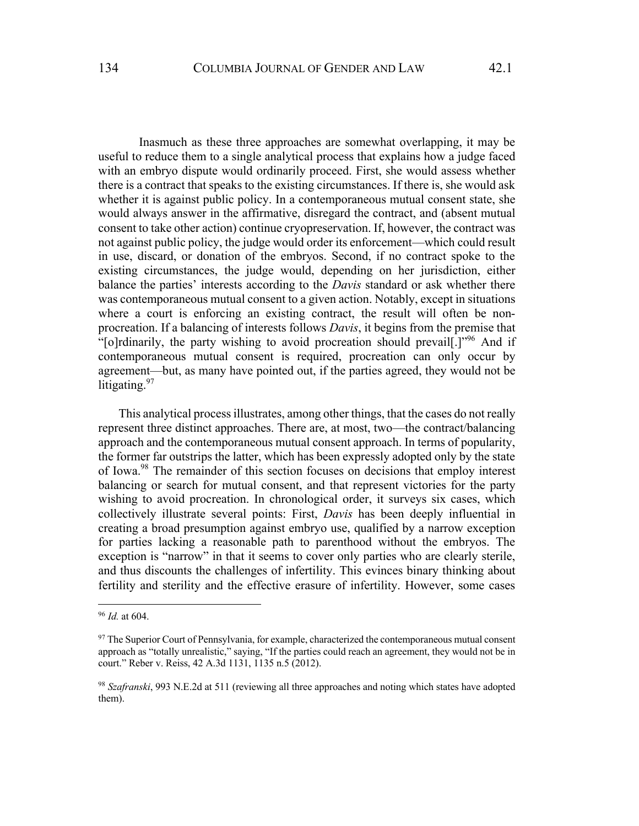Inasmuch as these three approaches are somewhat overlapping, it may be useful to reduce them to a single analytical process that explains how a judge faced with an embryo dispute would ordinarily proceed. First, she would assess whether there is a contract that speaks to the existing circumstances. If there is, she would ask whether it is against public policy. In a contemporaneous mutual consent state, she would always answer in the affirmative, disregard the contract, and (absent mutual consent to take other action) continue cryopreservation. If, however, the contract was not against public policy, the judge would order its enforcement—which could result in use, discard, or donation of the embryos. Second, if no contract spoke to the existing circumstances, the judge would, depending on her jurisdiction, either balance the parties' interests according to the *Davis* standard or ask whether there was contemporaneous mutual consent to a given action. Notably, except in situations where a court is enforcing an existing contract, the result will often be nonprocreation. If a balancing of interests follows *Davis*, it begins from the premise that "[o]rdinarily, the party wishing to avoid procreation should prevail[.]"<sup>96</sup> And if contemporaneous mutual consent is required, procreation can only occur by agreement—but, as many have pointed out, if the parties agreed, they would not be litigating.<sup>97</sup>

This analytical process illustrates, among other things, that the cases do not really represent three distinct approaches. There are, at most, two—the contract/balancing approach and the contemporaneous mutual consent approach. In terms of popularity, the former far outstrips the latter, which has been expressly adopted only by the state of Iowa.98 The remainder of this section focuses on decisions that employ interest balancing or search for mutual consent, and that represent victories for the party wishing to avoid procreation. In chronological order, it surveys six cases, which collectively illustrate several points: First, *Davis* has been deeply influential in creating a broad presumption against embryo use, qualified by a narrow exception for parties lacking a reasonable path to parenthood without the embryos. The exception is "narrow" in that it seems to cover only parties who are clearly sterile, and thus discounts the challenges of infertility. This evinces binary thinking about fertility and sterility and the effective erasure of infertility. However, some cases

<sup>96</sup> *Id.* at 604.

 $97$  The Superior Court of Pennsylvania, for example, characterized the contemporaneous mutual consent approach as "totally unrealistic," saying, "If the parties could reach an agreement, they would not be in court." Reber v. Reiss, 42 A.3d 1131, 1135 n.5 (2012).

<sup>98</sup> *Szafranski*, 993 N.E.2d at 511 (reviewing all three approaches and noting which states have adopted them).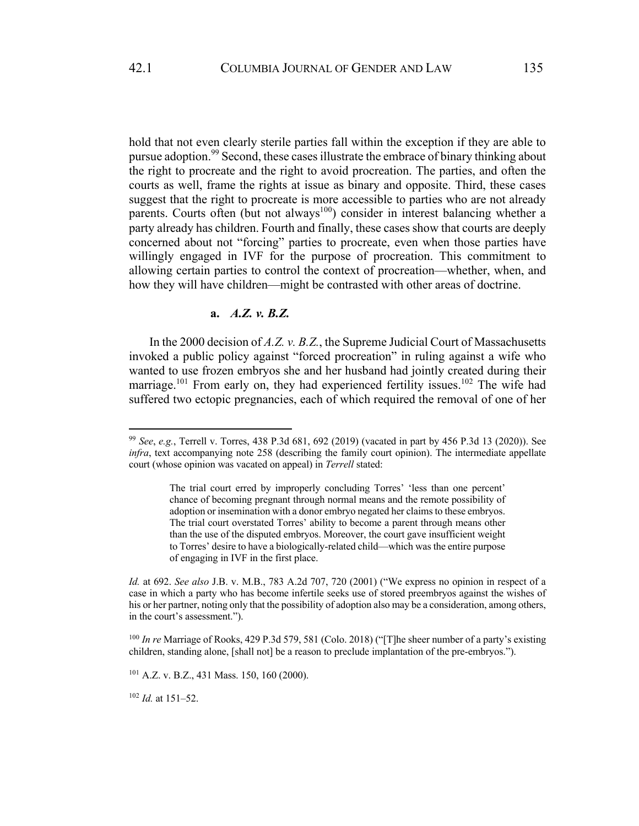hold that not even clearly sterile parties fall within the exception if they are able to pursue adoption.<sup>99</sup> Second, these cases illustrate the embrace of binary thinking about the right to procreate and the right to avoid procreation. The parties, and often the courts as well, frame the rights at issue as binary and opposite. Third, these cases suggest that the right to procreate is more accessible to parties who are not already parents. Courts often (but not always<sup>100</sup>) consider in interest balancing whether a party already has children. Fourth and finally, these cases show that courts are deeply concerned about not "forcing" parties to procreate, even when those parties have willingly engaged in IVF for the purpose of procreation. This commitment to allowing certain parties to control the context of procreation—whether, when, and how they will have children—might be contrasted with other areas of doctrine.

# **a.** *A.Z. v. B.Z.*

In the 2000 decision of *A.Z. v. B.Z.*, the Supreme Judicial Court of Massachusetts invoked a public policy against "forced procreation" in ruling against a wife who wanted to use frozen embryos she and her husband had jointly created during their marriage.<sup>101</sup> From early on, they had experienced fertility issues.<sup>102</sup> The wife had suffered two ectopic pregnancies, each of which required the removal of one of her

<sup>99</sup> *See*, *e.g.*, Terrell v. Torres, 438 P.3d 681, 692 (2019) (vacated in part by 456 P.3d 13 (2020)). See *infra*, text accompanying note 258 (describing the family court opinion). The intermediate appellate court (whose opinion was vacated on appeal) in *Terrell* stated:

The trial court erred by improperly concluding Torres' 'less than one percent' chance of becoming pregnant through normal means and the remote possibility of adoption or insemination with a donor embryo negated her claims to these embryos. The trial court overstated Torres' ability to become a parent through means other than the use of the disputed embryos. Moreover, the court gave insufficient weight to Torres' desire to have a biologically-related child—which was the entire purpose of engaging in IVF in the first place.

*Id.* at 692. *See also* J.B. v. M.B., 783 A.2d 707, 720 (2001) ("We express no opinion in respect of a case in which a party who has become infertile seeks use of stored preembryos against the wishes of his or her partner, noting only that the possibility of adoption also may be a consideration, among others, in the court's assessment.").

<sup>100</sup> *In re* Marriage of Rooks, 429 P.3d 579, 581 (Colo. 2018) ("[T]he sheer number of a party's existing children, standing alone, [shall not] be a reason to preclude implantation of the pre-embryos.").

<sup>101</sup> A.Z. v. B.Z., 431 Mass. 150, 160 (2000).

<sup>102</sup> *Id.* at 151–52.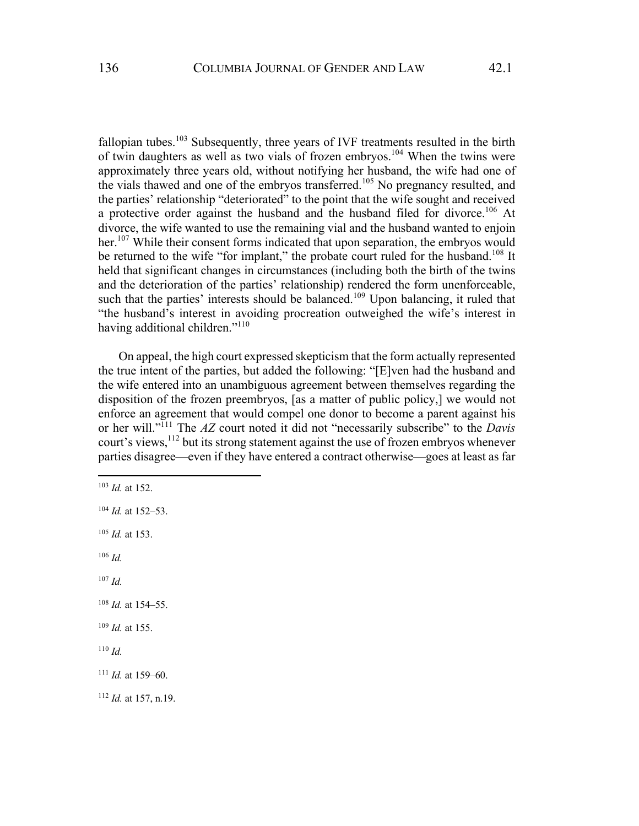fallopian tubes.<sup>103</sup> Subsequently, three years of IVF treatments resulted in the birth of twin daughters as well as two vials of frozen embryos.<sup>104</sup> When the twins were approximately three years old, without notifying her husband, the wife had one of the vials thawed and one of the embryos transferred.<sup>105</sup> No pregnancy resulted, and the parties' relationship "deteriorated" to the point that the wife sought and received a protective order against the husband and the husband filed for divorce.<sup>106</sup> At divorce, the wife wanted to use the remaining vial and the husband wanted to enjoin her.<sup>107</sup> While their consent forms indicated that upon separation, the embryos would be returned to the wife "for implant," the probate court ruled for the husband.<sup>108</sup> It held that significant changes in circumstances (including both the birth of the twins and the deterioration of the parties' relationship) rendered the form unenforceable, such that the parties' interests should be balanced.<sup>109</sup> Upon balancing, it ruled that "the husband's interest in avoiding procreation outweighed the wife's interest in having additional children."<sup>110</sup>

On appeal, the high court expressed skepticism that the form actually represented the true intent of the parties, but added the following: "[E]ven had the husband and the wife entered into an unambiguous agreement between themselves regarding the disposition of the frozen preembryos, [as a matter of public policy,] we would not enforce an agreement that would compel one donor to become a parent against his or her will."111 The *AZ* court noted it did not "necessarily subscribe" to the *Davis* court's views,  $12$  but its strong statement against the use of frozen embryos whenever parties disagree—even if they have entered a contract otherwise—goes at least as far

 *Id.* at 152. *Id.* at 152–53. *Id.* at 153. <sup>106</sup> *Id.* <sup>107</sup> *Id. Id.* at 154–55. *Id.* at 155. <sup>110</sup> *Id. Id.* at 159–60. *Id.* at 157, n.19.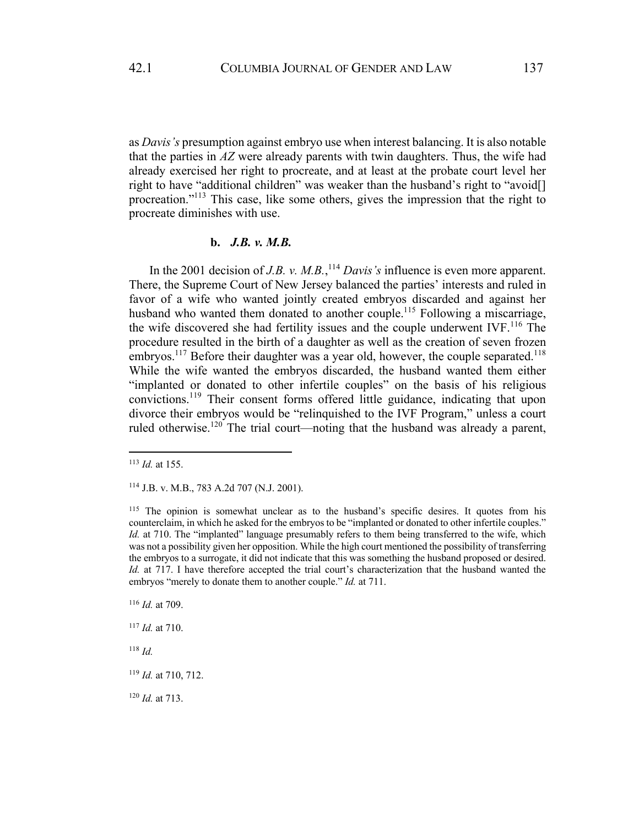as *Davis's* presumption against embryo use when interest balancing. It is also notable that the parties in *AZ* were already parents with twin daughters. Thus, the wife had already exercised her right to procreate, and at least at the probate court level her right to have "additional children" was weaker than the husband's right to "avoid[] procreation."113 This case, like some others, gives the impression that the right to procreate diminishes with use.

### **b.** *J.B. v. M.B.*

In the 2001 decision of *J.B. v. M.B.*,<sup>114</sup> *Davis's* influence is even more apparent. There, the Supreme Court of New Jersey balanced the parties' interests and ruled in favor of a wife who wanted jointly created embryos discarded and against her husband who wanted them donated to another couple.<sup>115</sup> Following a miscarriage, the wife discovered she had fertility issues and the couple underwent  $IVF<sup>116</sup>$ . The procedure resulted in the birth of a daughter as well as the creation of seven frozen embryos.<sup>117</sup> Before their daughter was a year old, however, the couple separated.<sup>118</sup> While the wife wanted the embryos discarded, the husband wanted them either "implanted or donated to other infertile couples" on the basis of his religious convictions.<sup>119</sup> Their consent forms offered little guidance, indicating that upon divorce their embryos would be "relinquished to the IVF Program," unless a court ruled otherwise.<sup>120</sup> The trial court—noting that the husband was already a parent,

<sup>116</sup> *Id.* at 709.

<sup>118</sup> *Id.*

<sup>120</sup> *Id.* at 713.

<sup>113</sup> *Id.* at 155.

<sup>114</sup> J.B. v. M.B., 783 A.2d 707 (N.J. 2001).

<sup>&</sup>lt;sup>115</sup> The opinion is somewhat unclear as to the husband's specific desires. It quotes from his counterclaim, in which he asked for the embryos to be "implanted or donated to other infertile couples." *Id.* at 710. The "implanted" language presumably refers to them being transferred to the wife, which was not a possibility given her opposition. While the high court mentioned the possibility of transferring the embryos to a surrogate, it did not indicate that this was something the husband proposed or desired. *Id.* at 717. I have therefore accepted the trial court's characterization that the husband wanted the embryos "merely to donate them to another couple." *Id.* at 711.

<sup>117</sup> *Id.* at 710.

<sup>119</sup> *Id.* at 710, 712.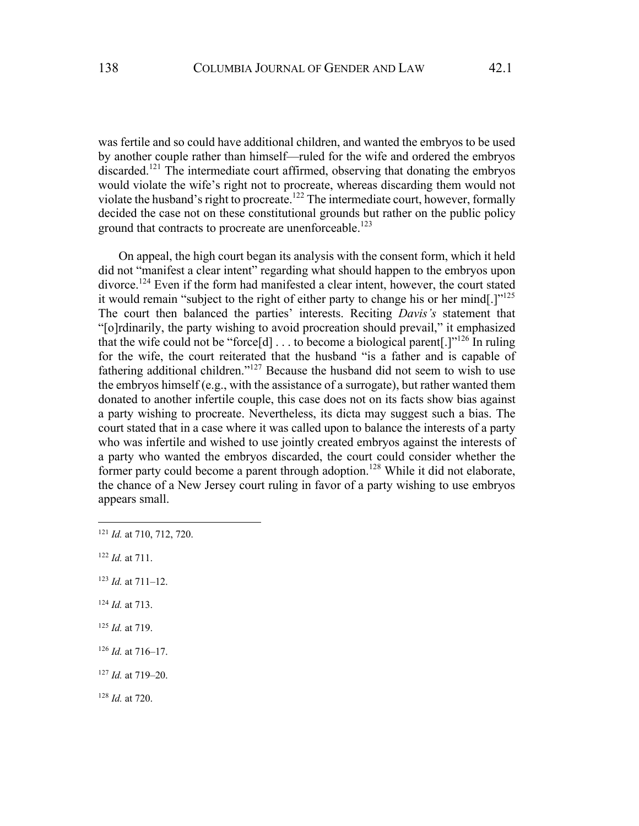was fertile and so could have additional children, and wanted the embryos to be used by another couple rather than himself—ruled for the wife and ordered the embryos discarded.<sup>121</sup> The intermediate court affirmed, observing that donating the embryos would violate the wife's right not to procreate, whereas discarding them would not violate the husband's right to procreate.<sup>122</sup> The intermediate court, however, formally decided the case not on these constitutional grounds but rather on the public policy ground that contracts to procreate are unenforceable.<sup>123</sup>

On appeal, the high court began its analysis with the consent form, which it held did not "manifest a clear intent" regarding what should happen to the embryos upon divorce.<sup>124</sup> Even if the form had manifested a clear intent, however, the court stated it would remain "subject to the right of either party to change his or her mind.]"<sup>125</sup> The court then balanced the parties' interests. Reciting *Davis's* statement that "[o]rdinarily, the party wishing to avoid procreation should prevail," it emphasized that the wife could not be "force[d]  $\dots$  to become a biological parent[.]"<sup>126</sup> In ruling for the wife, the court reiterated that the husband "is a father and is capable of fathering additional children."<sup>127</sup> Because the husband did not seem to wish to use the embryos himself (e.g., with the assistance of a surrogate), but rather wanted them donated to another infertile couple, this case does not on its facts show bias against a party wishing to procreate. Nevertheless, its dicta may suggest such a bias. The court stated that in a case where it was called upon to balance the interests of a party who was infertile and wished to use jointly created embryos against the interests of a party who wanted the embryos discarded, the court could consider whether the former party could become a parent through adoption.<sup>128</sup> While it did not elaborate, the chance of a New Jersey court ruling in favor of a party wishing to use embryos appears small.

- <sup>122</sup> *Id.* at 711.
- <sup>123</sup> *Id.* at 711–12.
- <sup>124</sup> *Id.* at 713.
- <sup>125</sup> *Id.* at 719.
- <sup>126</sup> *Id.* at 716–17.
- <sup>127</sup> *Id.* at 719–20.
- <sup>128</sup> *Id.* at 720.

<sup>121</sup> *Id.* at 710, 712, 720.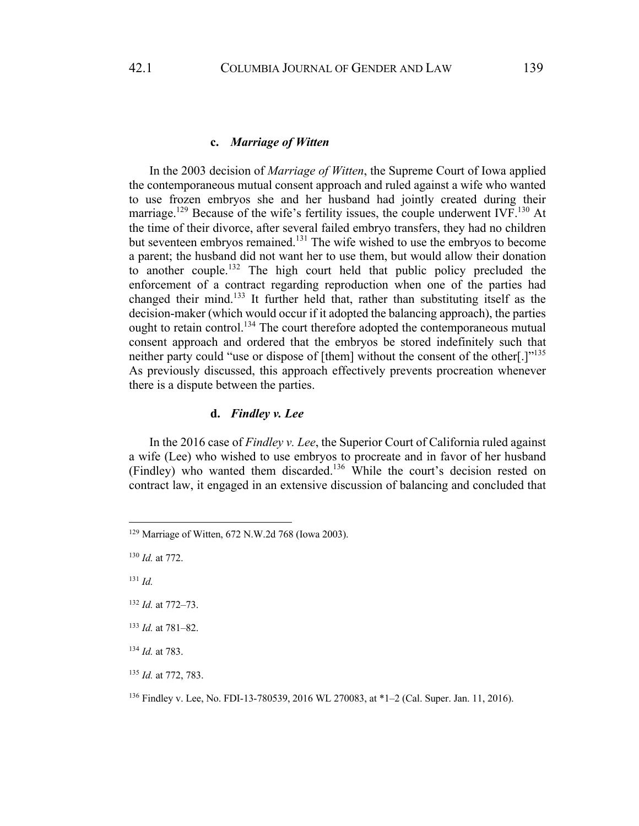### **c.** *Marriage of Witten*

In the 2003 decision of *Marriage of Witten*, the Supreme Court of Iowa applied the contemporaneous mutual consent approach and ruled against a wife who wanted to use frozen embryos she and her husband had jointly created during their marriage.<sup>129</sup> Because of the wife's fertility issues, the couple underwent IVF.<sup>130</sup> At the time of their divorce, after several failed embryo transfers, they had no children but seventeen embryos remained.<sup>131</sup> The wife wished to use the embryos to become a parent; the husband did not want her to use them, but would allow their donation to another couple.<sup>132</sup> The high court held that public policy precluded the enforcement of a contract regarding reproduction when one of the parties had changed their mind.<sup>133</sup> It further held that, rather than substituting itself as the decision-maker (which would occur if it adopted the balancing approach), the parties ought to retain control.<sup>134</sup> The court therefore adopted the contemporaneous mutual consent approach and ordered that the embryos be stored indefinitely such that neither party could "use or dispose of [them] without the consent of the other[.]"<sup>135</sup> As previously discussed, this approach effectively prevents procreation whenever there is a dispute between the parties.

# **d.** *Findley v. Lee*

In the 2016 case of *Findley v. Lee*, the Superior Court of California ruled against a wife (Lee) who wished to use embryos to procreate and in favor of her husband (Findley) who wanted them discarded.136 While the court's decision rested on contract law, it engaged in an extensive discussion of balancing and concluded that

- <sup>131</sup> *Id.*
- <sup>132</sup> *Id.* at 772–73.
- <sup>133</sup> *Id.* at 781–82.
- <sup>134</sup> *Id.* at 783.

<sup>129</sup> Marriage of Witten, 672 N.W.2d 768 (Iowa 2003).

<sup>130</sup> *Id.* at 772.

<sup>135</sup> *Id.* at 772, 783.

<sup>136</sup> Findley v. Lee, No. FDI-13-780539, 2016 WL 270083, at \*1–2 (Cal. Super. Jan. 11, 2016).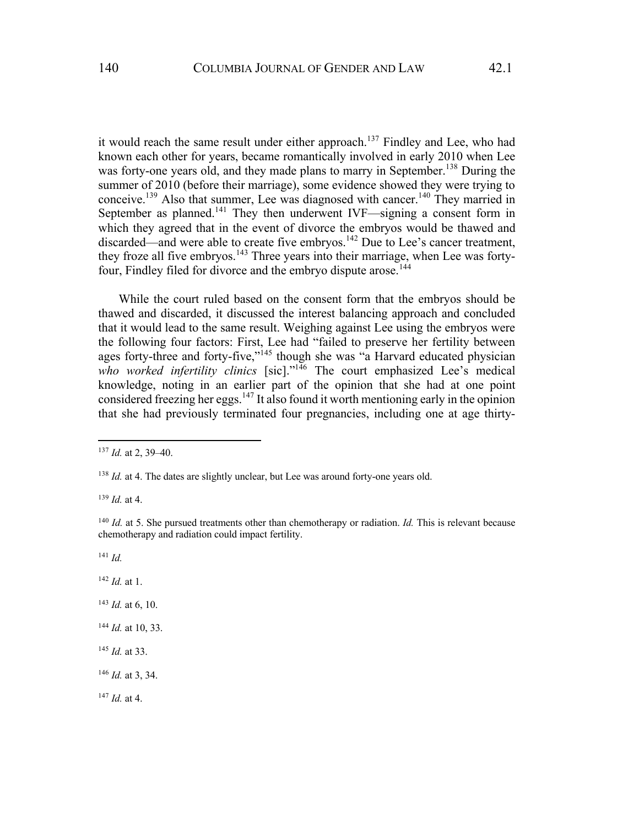it would reach the same result under either approach.<sup>137</sup> Findley and Lee, who had known each other for years, became romantically involved in early 2010 when Lee was forty-one years old, and they made plans to marry in September.<sup>138</sup> During the summer of 2010 (before their marriage), some evidence showed they were trying to conceive.<sup>139</sup> Also that summer, Lee was diagnosed with cancer.<sup>140</sup> They married in September as planned.<sup>141</sup> They then underwent IVF—signing a consent form in which they agreed that in the event of divorce the embryos would be thawed and discarded—and were able to create five embryos.<sup>142</sup> Due to Lee's cancer treatment, they froze all five embryos.<sup>143</sup> Three years into their marriage, when Lee was fortyfour, Findley filed for divorce and the embryo dispute arose.<sup>144</sup>

While the court ruled based on the consent form that the embryos should be thawed and discarded, it discussed the interest balancing approach and concluded that it would lead to the same result. Weighing against Lee using the embryos were the following four factors: First, Lee had "failed to preserve her fertility between ages forty-three and forty-five,"<sup>145</sup> though she was "a Harvard educated physician who worked infertility clinics [sic]."<sup>146</sup> The court emphasized Lee's medical knowledge, noting in an earlier part of the opinion that she had at one point considered freezing her eggs.<sup>147</sup> It also found it worth mentioning early in the opinion that she had previously terminated four pregnancies, including one at age thirty-

<sup>139</sup> *Id.* at 4.

<sup>141</sup> *Id.*

<sup>142</sup> *Id.* at 1.

- <sup>143</sup> *Id.* at 6, 10.
- <sup>144</sup> *Id.* at 10, 33.
- <sup>145</sup> *Id.* at 33.

<sup>146</sup> *Id.* at 3, 34.

<sup>147</sup> *Id.* at 4.

<sup>137</sup> *Id.* at 2, 39–40.

<sup>&</sup>lt;sup>138</sup> *Id.* at 4. The dates are slightly unclear, but Lee was around forty-one years old.

<sup>&</sup>lt;sup>140</sup> *Id.* at 5. She pursued treatments other than chemotherapy or radiation. *Id.* This is relevant because chemotherapy and radiation could impact fertility.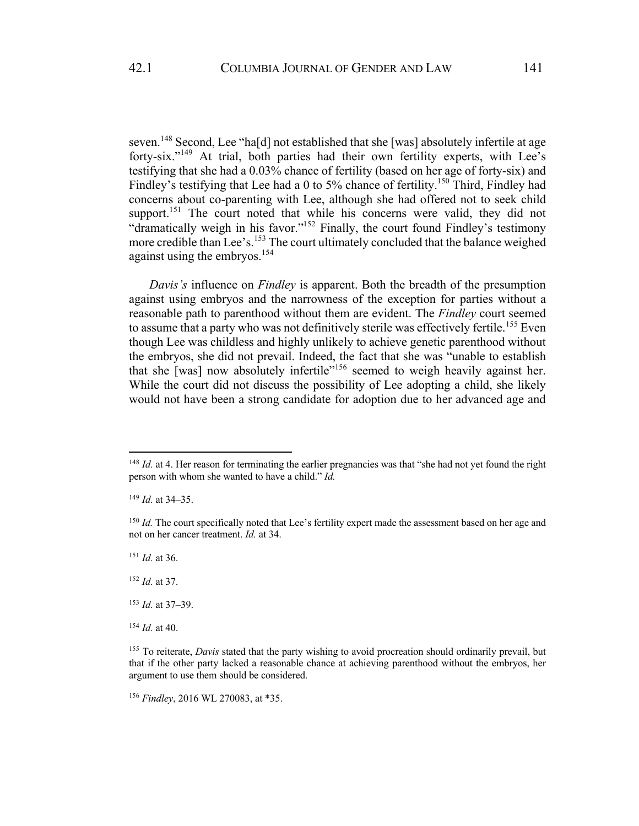seven.<sup>148</sup> Second, Lee "ha<sup>[d]</sup> not established that she [was] absolutely infertile at age forty-six."<sup>149</sup> At trial, both parties had their own fertility experts, with Lee's testifying that she had a 0.03% chance of fertility (based on her age of forty-six) and Findley's testifying that Lee had a 0 to 5% chance of fertility.<sup>150</sup> Third, Findley had concerns about co-parenting with Lee, although she had offered not to seek child support.<sup>151</sup> The court noted that while his concerns were valid, they did not "dramatically weigh in his favor."<sup>152</sup> Finally, the court found Findley's testimony more credible than Lee's.<sup>153</sup> The court ultimately concluded that the balance weighed against using the embryos.<sup>154</sup>

*Davis's* influence on *Findley* is apparent. Both the breadth of the presumption against using embryos and the narrowness of the exception for parties without a reasonable path to parenthood without them are evident. The *Findley* court seemed to assume that a party who was not definitively sterile was effectively fertile.<sup>155</sup> Even though Lee was childless and highly unlikely to achieve genetic parenthood without the embryos, she did not prevail. Indeed, the fact that she was "unable to establish that she [was] now absolutely infertile<sup>"156</sup> seemed to weigh heavily against her. While the court did not discuss the possibility of Lee adopting a child, she likely would not have been a strong candidate for adoption due to her advanced age and

<sup>151</sup> *Id.* at 36.

<sup>152</sup> *Id.* at 37.

<sup>153</sup> *Id.* at 37–39.

<sup>154</sup> *Id.* at 40.

<sup>156</sup> *Findley*, 2016 WL 270083, at \*35.

<sup>&</sup>lt;sup>148</sup> *Id.* at 4. Her reason for terminating the earlier pregnancies was that "she had not yet found the right person with whom she wanted to have a child." *Id.*

<sup>149</sup> *Id.* at 34–35.

<sup>&</sup>lt;sup>150</sup> *Id.* The court specifically noted that Lee's fertility expert made the assessment based on her age and not on her cancer treatment. *Id.* at 34.

<sup>&</sup>lt;sup>155</sup> To reiterate, *Davis* stated that the party wishing to avoid procreation should ordinarily prevail, but that if the other party lacked a reasonable chance at achieving parenthood without the embryos, her argument to use them should be considered.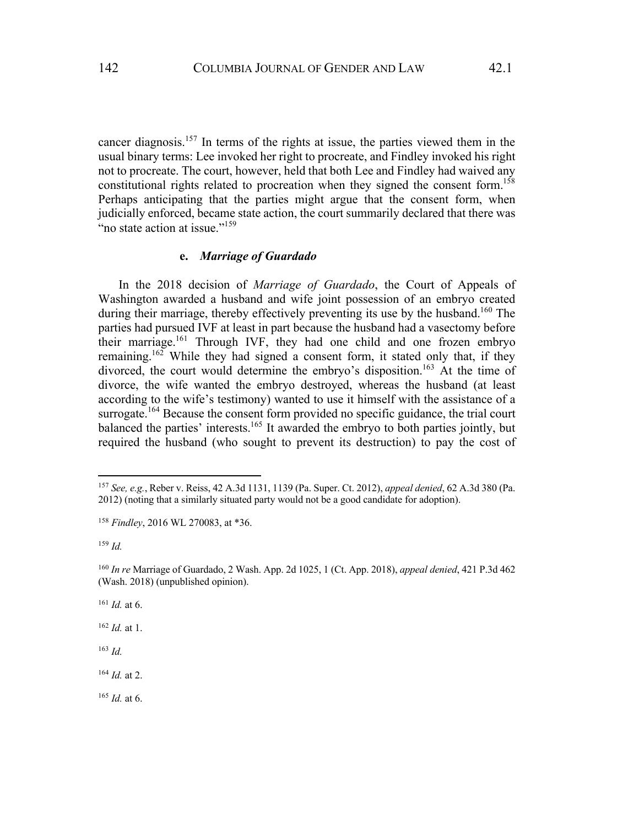cancer diagnosis.<sup>157</sup> In terms of the rights at issue, the parties viewed them in the usual binary terms: Lee invoked her right to procreate, and Findley invoked his right not to procreate. The court, however, held that both Lee and Findley had waived any constitutional rights related to procreation when they signed the consent form.<sup>158</sup> Perhaps anticipating that the parties might argue that the consent form, when judicially enforced, became state action, the court summarily declared that there was "no state action at issue."<sup>159</sup>

### **e.** *Marriage of Guardado*

In the 2018 decision of *Marriage of Guardado*, the Court of Appeals of Washington awarded a husband and wife joint possession of an embryo created during their marriage, thereby effectively preventing its use by the husband.<sup>160</sup> The parties had pursued IVF at least in part because the husband had a vasectomy before their marriage.161 Through IVF, they had one child and one frozen embryo remaining.<sup>162</sup> While they had signed a consent form, it stated only that, if they divorced, the court would determine the embryo's disposition.<sup>163</sup> At the time of divorce, the wife wanted the embryo destroyed, whereas the husband (at least according to the wife's testimony) wanted to use it himself with the assistance of a surrogate.<sup>164</sup> Because the consent form provided no specific guidance, the trial court balanced the parties' interests.<sup>165</sup> It awarded the embryo to both parties jointly, but required the husband (who sought to prevent its destruction) to pay the cost of

<sup>161</sup> *Id.* at 6.

<sup>162</sup> *Id.* at 1.

<sup>163</sup> *Id.*

<sup>164</sup> *Id.* at 2.

<sup>165</sup> *Id.* at 6.

<sup>157</sup> *See, e.g.*, Reber v. Reiss, 42 A.3d 1131, 1139 (Pa. Super. Ct. 2012), *appeal denied*, 62 A.3d 380 (Pa. 2012) (noting that a similarly situated party would not be a good candidate for adoption).

<sup>158</sup> *Findley*, 2016 WL 270083, at \*36.

<sup>159</sup> *Id.*

<sup>160</sup> *In re* Marriage of Guardado, 2 Wash. App. 2d 1025, 1 (Ct. App. 2018), *appeal denied*, 421 P.3d 462 (Wash. 2018) (unpublished opinion).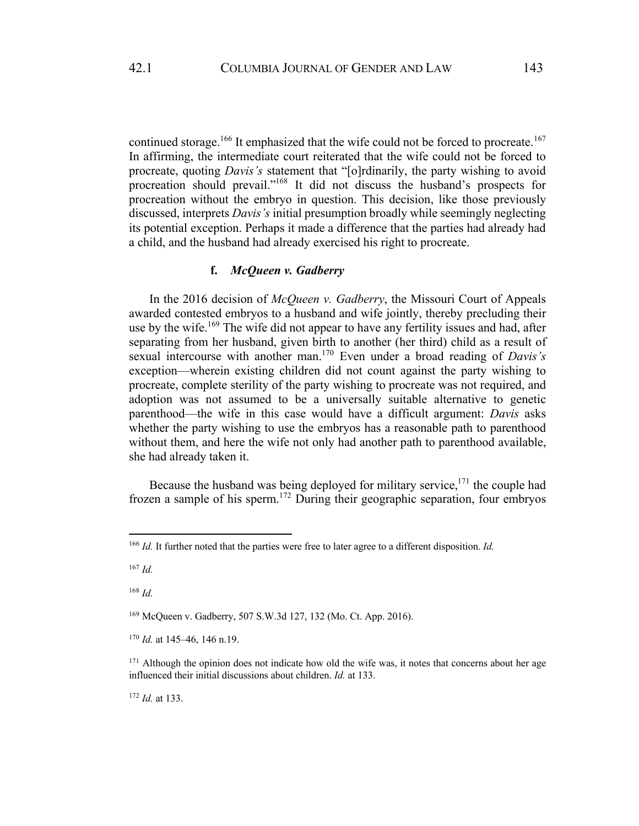continued storage.<sup>166</sup> It emphasized that the wife could not be forced to procreate.<sup>167</sup> In affirming, the intermediate court reiterated that the wife could not be forced to procreate, quoting *Davis's* statement that "[o]rdinarily, the party wishing to avoid procreation should prevail."168 It did not discuss the husband's prospects for procreation without the embryo in question. This decision, like those previously discussed, interprets *Davis's* initial presumption broadly while seemingly neglecting its potential exception. Perhaps it made a difference that the parties had already had a child, and the husband had already exercised his right to procreate.

## **f.** *McQueen v. Gadberry*

In the 2016 decision of *McQueen v. Gadberry*, the Missouri Court of Appeals awarded contested embryos to a husband and wife jointly, thereby precluding their use by the wife.<sup>169</sup> The wife did not appear to have any fertility issues and had, after separating from her husband, given birth to another (her third) child as a result of sexual intercourse with another man.<sup>170</sup> Even under a broad reading of *Davis's* exception—wherein existing children did not count against the party wishing to procreate, complete sterility of the party wishing to procreate was not required, and adoption was not assumed to be a universally suitable alternative to genetic parenthood—the wife in this case would have a difficult argument: *Davis* asks whether the party wishing to use the embryos has a reasonable path to parenthood without them, and here the wife not only had another path to parenthood available, she had already taken it.

Because the husband was being deployed for military service,  $171$  the couple had frozen a sample of his sperm.172 During their geographic separation, four embryos

<sup>168</sup> *Id.*

<sup>169</sup> McQueen v. Gadberry, 507 S.W.3d 127, 132 (Mo. Ct. App. 2016).

<sup>170</sup> *Id.* at 145–46, 146 n.19.

<sup>172</sup> *Id.* at 133.

<sup>166</sup> *Id.* It further noted that the parties were free to later agree to a different disposition. *Id.*

<sup>167</sup> *Id.*

<sup>&</sup>lt;sup>171</sup> Although the opinion does not indicate how old the wife was, it notes that concerns about her age influenced their initial discussions about children. *Id.* at 133.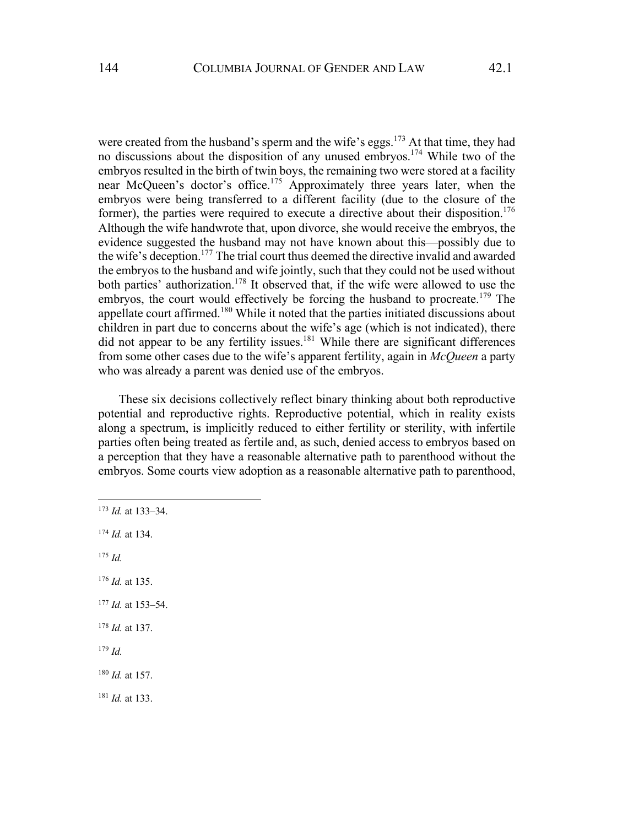were created from the husband's sperm and the wife's eggs.<sup>173</sup> At that time, they had no discussions about the disposition of any unused embryos.<sup>174</sup> While two of the embryos resulted in the birth of twin boys, the remaining two were stored at a facility near McQueen's doctor's office.<sup>175</sup> Approximately three years later, when the embryos were being transferred to a different facility (due to the closure of the former), the parties were required to execute a directive about their disposition.<sup>176</sup> Although the wife handwrote that, upon divorce, she would receive the embryos, the evidence suggested the husband may not have known about this—possibly due to the wife's deception.<sup>177</sup> The trial court thus deemed the directive invalid and awarded the embryos to the husband and wife jointly, such that they could not be used without both parties' authorization.<sup>178</sup> It observed that, if the wife were allowed to use the embryos, the court would effectively be forcing the husband to procreate.<sup>179</sup> The appellate court affirmed.<sup>180</sup> While it noted that the parties initiated discussions about children in part due to concerns about the wife's age (which is not indicated), there did not appear to be any fertility issues.<sup>181</sup> While there are significant differences from some other cases due to the wife's apparent fertility, again in *McQueen* a party who was already a parent was denied use of the embryos.

These six decisions collectively reflect binary thinking about both reproductive potential and reproductive rights. Reproductive potential, which in reality exists along a spectrum, is implicitly reduced to either fertility or sterility, with infertile parties often being treated as fertile and, as such, denied access to embryos based on a perception that they have a reasonable alternative path to parenthood without the embryos. Some courts view adoption as a reasonable alternative path to parenthood,

<sup>175</sup> *Id.*

<sup>176</sup> *Id.* at 135.

<sup>179</sup> *Id.*

<sup>173</sup> *Id.* at 133–34.

<sup>174</sup> *Id.* at 134.

<sup>177</sup> *Id.* at 153–54.

<sup>178</sup> *Id.* at 137.

<sup>180</sup> *Id.* at 157.

<sup>181</sup> *Id.* at 133.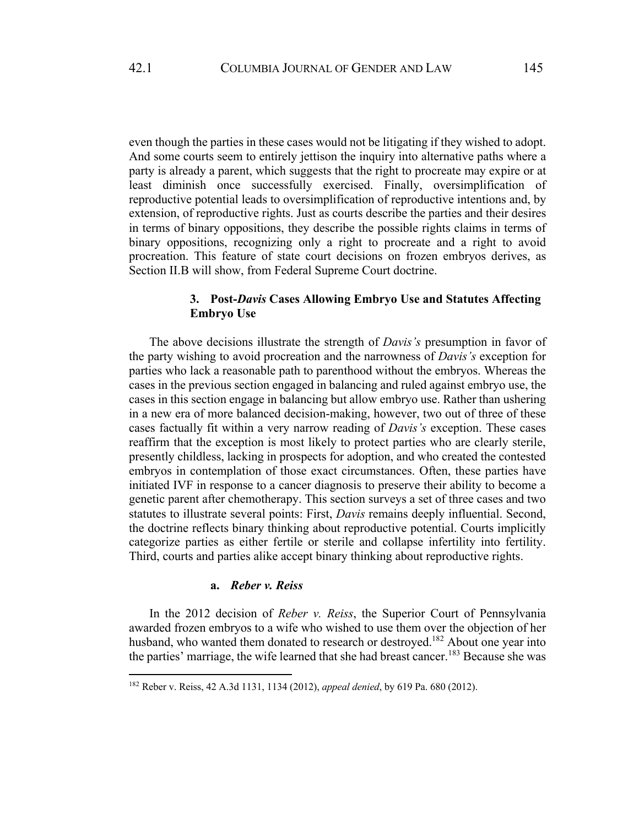even though the parties in these cases would not be litigating if they wished to adopt. And some courts seem to entirely jettison the inquiry into alternative paths where a party is already a parent, which suggests that the right to procreate may expire or at least diminish once successfully exercised. Finally, oversimplification of reproductive potential leads to oversimplification of reproductive intentions and, by extension, of reproductive rights. Just as courts describe the parties and their desires in terms of binary oppositions, they describe the possible rights claims in terms of binary oppositions, recognizing only a right to procreate and a right to avoid procreation. This feature of state court decisions on frozen embryos derives, as Section II.B will show, from Federal Supreme Court doctrine.

# **3. Post-***Davis* **Cases Allowing Embryo Use and Statutes Affecting Embryo Use**

The above decisions illustrate the strength of *Davis's* presumption in favor of the party wishing to avoid procreation and the narrowness of *Davis's* exception for parties who lack a reasonable path to parenthood without the embryos. Whereas the cases in the previous section engaged in balancing and ruled against embryo use, the cases in this section engage in balancing but allow embryo use. Rather than ushering in a new era of more balanced decision-making, however, two out of three of these cases factually fit within a very narrow reading of *Davis's* exception. These cases reaffirm that the exception is most likely to protect parties who are clearly sterile, presently childless, lacking in prospects for adoption, and who created the contested embryos in contemplation of those exact circumstances. Often, these parties have initiated IVF in response to a cancer diagnosis to preserve their ability to become a genetic parent after chemotherapy. This section surveys a set of three cases and two statutes to illustrate several points: First, *Davis* remains deeply influential. Second, the doctrine reflects binary thinking about reproductive potential. Courts implicitly categorize parties as either fertile or sterile and collapse infertility into fertility. Third, courts and parties alike accept binary thinking about reproductive rights.

# **a.** *Reber v. Reiss*

In the 2012 decision of *Reber v. Reiss*, the Superior Court of Pennsylvania awarded frozen embryos to a wife who wished to use them over the objection of her husband, who wanted them donated to research or destroyed.<sup>182</sup> About one year into the parties' marriage, the wife learned that she had breast cancer.<sup>183</sup> Because she was

<sup>182</sup> Reber v. Reiss, 42 A.3d 1131, 1134 (2012), *appeal denied*, by 619 Pa. 680 (2012).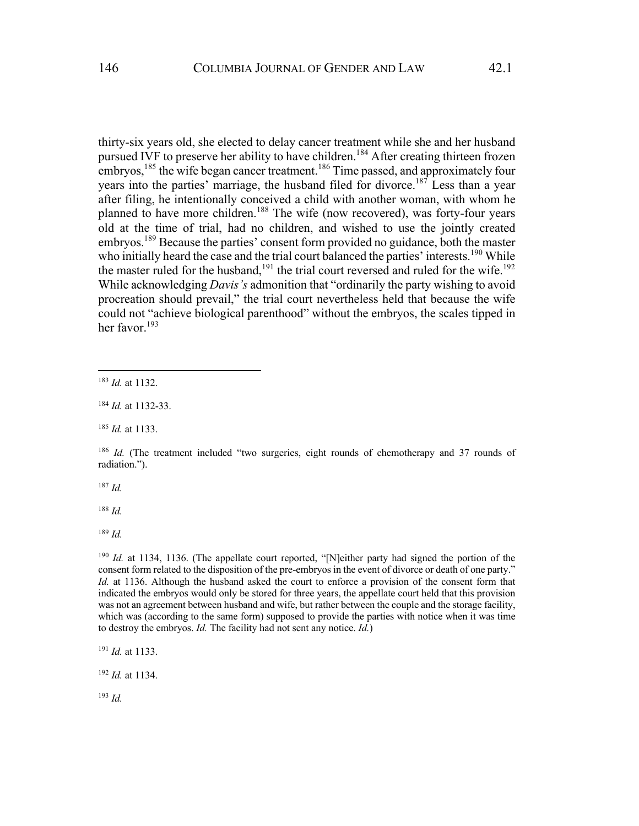thirty-six years old, she elected to delay cancer treatment while she and her husband pursued IVF to preserve her ability to have children.<sup>184</sup> After creating thirteen frozen embryos,  $^{185}$  the wife began cancer treatment.<sup>186</sup> Time passed, and approximately four years into the parties' marriage, the husband filed for divorce.187 Less than a year after filing, he intentionally conceived a child with another woman, with whom he planned to have more children.<sup>188</sup> The wife (now recovered), was forty-four years old at the time of trial, had no children, and wished to use the jointly created embryos.<sup>189</sup> Because the parties' consent form provided no guidance, both the master who initially heard the case and the trial court balanced the parties' interests.<sup>190</sup> While the master ruled for the husband,<sup>191</sup> the trial court reversed and ruled for the wife.<sup>192</sup>

While acknowledging *Davis's* admonition that "ordinarily the party wishing to avoid procreation should prevail," the trial court nevertheless held that because the wife could not "achieve biological parenthood" without the embryos, the scales tipped in her favor.<sup>193</sup>

<sup>187</sup> *Id.*

<sup>188</sup> *Id.*

<sup>189</sup> *Id.*

<sup>190</sup> *Id.* at 1134, 1136. (The appellate court reported, "[N]either party had signed the portion of the consent form related to the disposition of the pre-embryos in the event of divorce or death of one party." *Id.* at 1136. Although the husband asked the court to enforce a provision of the consent form that indicated the embryos would only be stored for three years, the appellate court held that this provision was not an agreement between husband and wife, but rather between the couple and the storage facility, which was (according to the same form) supposed to provide the parties with notice when it was time to destroy the embryos. *Id.* The facility had not sent any notice. *Id.*)

<sup>191</sup> *Id.* at 1133.

<sup>192</sup> *Id.* at 1134.

<sup>193</sup> *Id.*

<sup>183</sup> *Id.* at 1132.

<sup>184</sup> *Id.* at 1132-33.

<sup>185</sup> *Id.* at 1133.

<sup>186</sup> *Id.* (The treatment included "two surgeries, eight rounds of chemotherapy and 37 rounds of radiation.").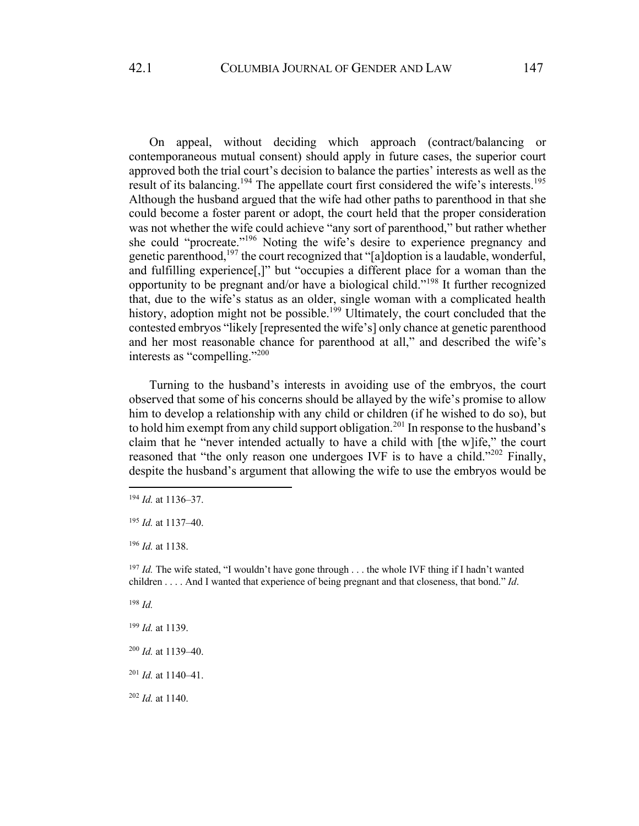On appeal, without deciding which approach (contract/balancing or contemporaneous mutual consent) should apply in future cases, the superior court approved both the trial court's decision to balance the parties' interests as well as the result of its balancing.<sup>194</sup> The appellate court first considered the wife's interests.<sup>195</sup> Although the husband argued that the wife had other paths to parenthood in that she could become a foster parent or adopt, the court held that the proper consideration was not whether the wife could achieve "any sort of parenthood," but rather whether she could "procreate."196 Noting the wife's desire to experience pregnancy and genetic parenthood,<sup>197</sup> the court recognized that "[a]doption is a laudable, wonderful, and fulfilling experience[,]" but "occupies a different place for a woman than the opportunity to be pregnant and/or have a biological child."<sup>198</sup> It further recognized that, due to the wife's status as an older, single woman with a complicated health history, adoption might not be possible.<sup>199</sup> Ultimately, the court concluded that the contested embryos "likely [represented the wife's] only chance at genetic parenthood and her most reasonable chance for parenthood at all," and described the wife's interests as "compelling."<sup>200</sup>

Turning to the husband's interests in avoiding use of the embryos, the court observed that some of his concerns should be allayed by the wife's promise to allow him to develop a relationship with any child or children (if he wished to do so), but to hold him exempt from any child support obligation.<sup>201</sup> In response to the husband's claim that he "never intended actually to have a child with [the w]ife," the court reasoned that "the only reason one undergoes IVF is to have a child."<sup>202</sup> Finally, despite the husband's argument that allowing the wife to use the embryos would be

<sup>198</sup> *Id.*

<sup>194</sup> *Id.* at 1136–37.

<sup>195</sup> *Id.* at 1137–40.

<sup>196</sup> *Id.* at 1138.

<sup>&</sup>lt;sup>197</sup> *Id.* The wife stated, "I wouldn't have gone through . . . the whole IVF thing if I hadn't wanted children . . . . And I wanted that experience of being pregnant and that closeness, that bond." *Id*.

<sup>199</sup> *Id.* at 1139.

<sup>200</sup> *Id.* at 1139–40.

<sup>201</sup> *Id.* at 1140–41.

<sup>202</sup> *Id.* at 1140.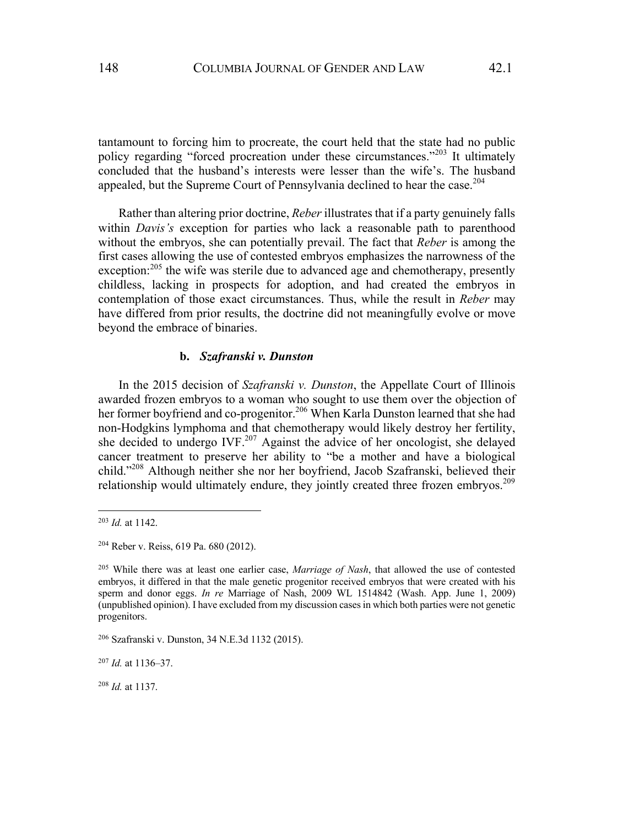tantamount to forcing him to procreate, the court held that the state had no public policy regarding "forced procreation under these circumstances."<sup>203</sup> It ultimately concluded that the husband's interests were lesser than the wife's. The husband appealed, but the Supreme Court of Pennsylvania declined to hear the case.<sup>204</sup>

Rather than altering prior doctrine, *Reber* illustrates that if a party genuinely falls within *Davis's* exception for parties who lack a reasonable path to parenthood without the embryos, she can potentially prevail. The fact that *Reber* is among the first cases allowing the use of contested embryos emphasizes the narrowness of the exception:<sup>205</sup> the wife was sterile due to advanced age and chemotherapy, presently childless, lacking in prospects for adoption, and had created the embryos in contemplation of those exact circumstances. Thus, while the result in *Reber* may have differed from prior results, the doctrine did not meaningfully evolve or move beyond the embrace of binaries.

## **b.** *Szafranski v. Dunston*

In the 2015 decision of *Szafranski v. Dunston*, the Appellate Court of Illinois awarded frozen embryos to a woman who sought to use them over the objection of her former boyfriend and co-progenitor.<sup>206</sup> When Karla Dunston learned that she had non-Hodgkins lymphoma and that chemotherapy would likely destroy her fertility, she decided to undergo  $IVF<sup>207</sup>$  Against the advice of her oncologist, she delayed cancer treatment to preserve her ability to "be a mother and have a biological child."208 Although neither she nor her boyfriend, Jacob Szafranski, believed their relationship would ultimately endure, they jointly created three frozen embryos.<sup>209</sup>

<sup>203</sup> *Id.* at 1142.

<sup>204</sup> Reber v. Reiss, 619 Pa. 680 (2012).

<sup>205</sup> While there was at least one earlier case, *Marriage of Nash*, that allowed the use of contested embryos, it differed in that the male genetic progenitor received embryos that were created with his sperm and donor eggs. *In re* Marriage of Nash, 2009 WL 1514842 (Wash. App. June 1, 2009) (unpublished opinion). I have excluded from my discussion cases in which both parties were not genetic progenitors.

<sup>206</sup> Szafranski v. Dunston, 34 N.E.3d 1132 (2015).

<sup>207</sup> *Id.* at 1136–37.

<sup>208</sup> *Id.* at 1137.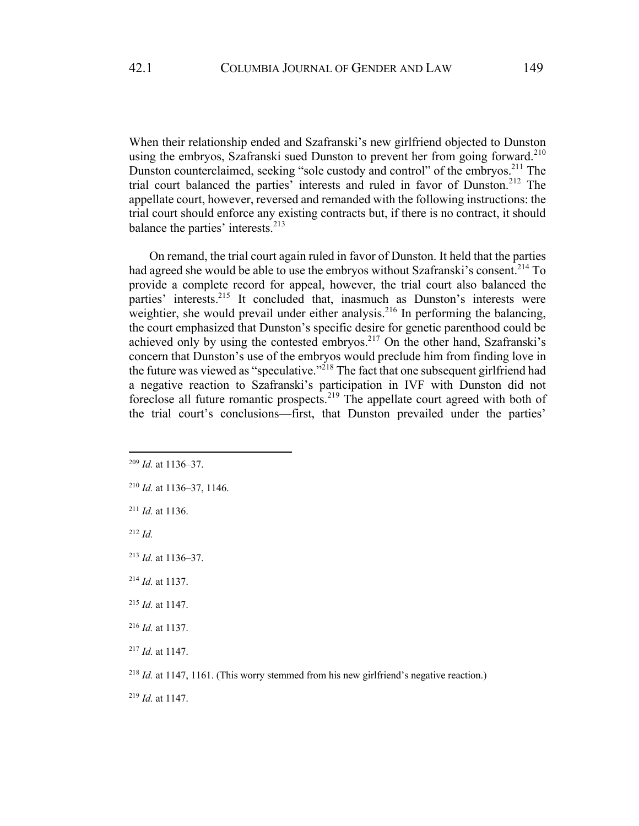When their relationship ended and Szafranski's new girlfriend objected to Dunston using the embryos, Szafranski sued Dunston to prevent her from going forward.<sup>210</sup> Dunston counterclaimed, seeking "sole custody and control" of the embryos.<sup>211</sup> The trial court balanced the parties' interests and ruled in favor of Dunston.<sup>212</sup> The appellate court, however, reversed and remanded with the following instructions: the trial court should enforce any existing contracts but, if there is no contract, it should balance the parties' interests. $^{213}$ 

On remand, the trial court again ruled in favor of Dunston. It held that the parties had agreed she would be able to use the embryos without Szafranski's consent.<sup>214</sup> To provide a complete record for appeal, however, the trial court also balanced the parties' interests.<sup>215</sup> It concluded that, inasmuch as Dunston's interests were weightier, she would prevail under either analysis.<sup>216</sup> In performing the balancing, the court emphasized that Dunston's specific desire for genetic parenthood could be achieved only by using the contested embryos.<sup>217</sup> On the other hand, Szafranski's concern that Dunston's use of the embryos would preclude him from finding love in the future was viewed as "speculative."<sup>218</sup> The fact that one subsequent girlfriend had a negative reaction to Szafranski's participation in IVF with Dunston did not foreclose all future romantic prospects.<sup>219</sup> The appellate court agreed with both of the trial court's conclusions—first, that Dunston prevailed under the parties'

<sup>211</sup> *Id.* at 1136.

<sup>209</sup> *Id.* at 1136–37.

<sup>210</sup> *Id.* at 1136–37, 1146.

<sup>213</sup> *Id.* at 1136–37.

<sup>214</sup> *Id.* at 1137.

<sup>215</sup> *Id.* at 1147.

<sup>216</sup> *Id.* at 1137.

<sup>217</sup> *Id.* at 1147.

<sup>&</sup>lt;sup>218</sup> *Id.* at 1147, 1161. (This worry stemmed from his new girlfriend's negative reaction.)

<sup>219</sup> *Id.* at 1147.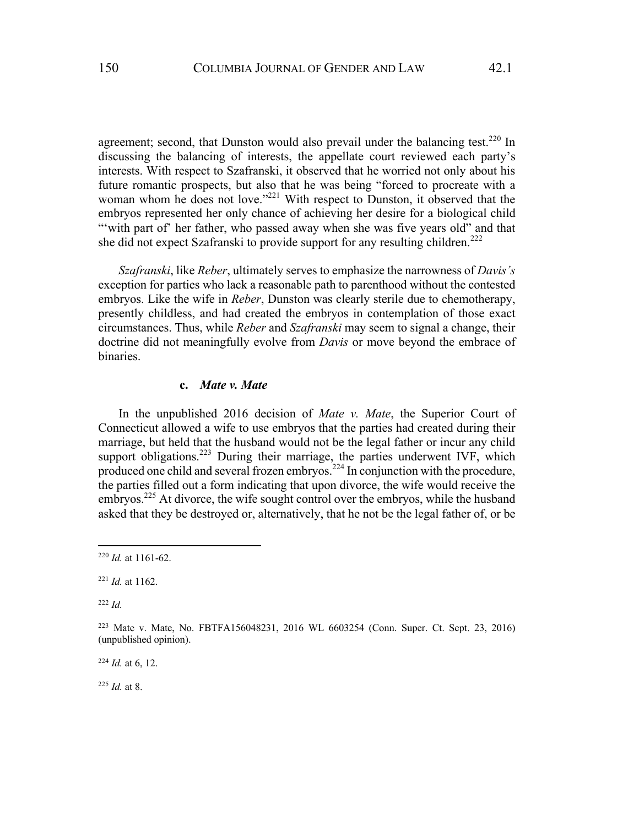agreement; second, that Dunston would also prevail under the balancing test.<sup>220</sup> In discussing the balancing of interests, the appellate court reviewed each party's interests. With respect to Szafranski, it observed that he worried not only about his future romantic prospects, but also that he was being "forced to procreate with a woman whom he does not love."<sup>221</sup> With respect to Dunston, it observed that the embryos represented her only chance of achieving her desire for a biological child ""with part of" her father, who passed away when she was five years old" and that she did not expect Szafranski to provide support for any resulting children.<sup>222</sup>

*Szafranski*, like *Reber*, ultimately serves to emphasize the narrowness of *Davis's* exception for parties who lack a reasonable path to parenthood without the contested embryos. Like the wife in *Reber*, Dunston was clearly sterile due to chemotherapy, presently childless, and had created the embryos in contemplation of those exact circumstances. Thus, while *Reber* and *Szafranski* may seem to signal a change, their doctrine did not meaningfully evolve from *Davis* or move beyond the embrace of binaries.

### **c.** *Mate v. Mate*

In the unpublished 2016 decision of *Mate v. Mate*, the Superior Court of Connecticut allowed a wife to use embryos that the parties had created during their marriage, but held that the husband would not be the legal father or incur any child support obligations.<sup>223</sup> During their marriage, the parties underwent IVF, which produced one child and several frozen embryos.<sup>224</sup> In conjunction with the procedure, the parties filled out a form indicating that upon divorce, the wife would receive the embryos.<sup>225</sup> At divorce, the wife sought control over the embryos, while the husband asked that they be destroyed or, alternatively, that he not be the legal father of, or be

<sup>222</sup> *Id.*

<sup>224</sup> *Id.* at 6, 12.

<sup>225</sup> *Id.* at 8.

<sup>220</sup> *Id.* at 1161-62.

<sup>221</sup> *Id.* at 1162.

<sup>223</sup> Mate v. Mate, No. FBTFA156048231, 2016 WL 6603254 (Conn. Super. Ct. Sept. 23, 2016) (unpublished opinion).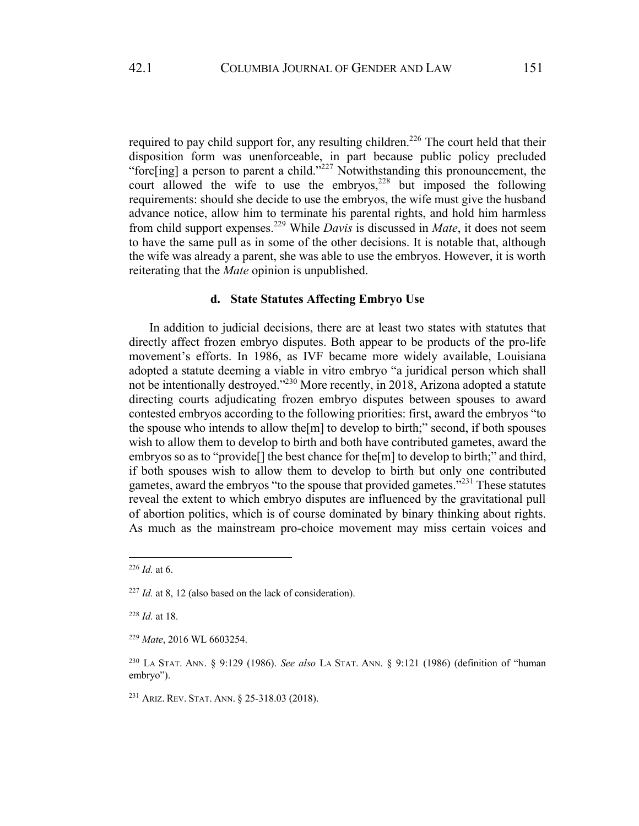required to pay child support for, any resulting children.<sup>226</sup> The court held that their disposition form was unenforceable, in part because public policy precluded "forc[ing] a person to parent a child."<sup>227</sup> Notwithstanding this pronouncement, the court allowed the wife to use the embryos,  $228$  but imposed the following requirements: should she decide to use the embryos, the wife must give the husband advance notice, allow him to terminate his parental rights, and hold him harmless from child support expenses.<sup>229</sup> While *Davis* is discussed in *Mate*, it does not seem to have the same pull as in some of the other decisions. It is notable that, although the wife was already a parent, she was able to use the embryos. However, it is worth reiterating that the *Mate* opinion is unpublished.

### **d. State Statutes Affecting Embryo Use**

In addition to judicial decisions, there are at least two states with statutes that directly affect frozen embryo disputes. Both appear to be products of the pro-life movement's efforts. In 1986, as IVF became more widely available, Louisiana adopted a statute deeming a viable in vitro embryo "a juridical person which shall not be intentionally destroyed."230 More recently, in 2018, Arizona adopted a statute directing courts adjudicating frozen embryo disputes between spouses to award contested embryos according to the following priorities: first, award the embryos "to the spouse who intends to allow the[m] to develop to birth;" second, if both spouses wish to allow them to develop to birth and both have contributed gametes, award the embryos so as to "provide<sup>[]</sup> the best chance for the<sup>[m]</sup> to develop to birth;" and third, if both spouses wish to allow them to develop to birth but only one contributed gametes, award the embryos "to the spouse that provided gametes."<sup>231</sup> These statutes reveal the extent to which embryo disputes are influenced by the gravitational pull of abortion politics, which is of course dominated by binary thinking about rights. As much as the mainstream pro-choice movement may miss certain voices and

<sup>226</sup> *Id.* at 6.

<sup>227</sup> *Id.* at 8, 12 (also based on the lack of consideration).

<sup>228</sup> *Id.* at 18.

<sup>229</sup> *Mate*, 2016 WL 6603254.

<sup>230</sup> LA STAT. ANN. § 9:129 (1986). *See also* LA STAT. ANN. § 9:121 (1986) (definition of "human embryo").

<sup>231</sup> ARIZ. REV. STAT. ANN. § 25-318.03 (2018).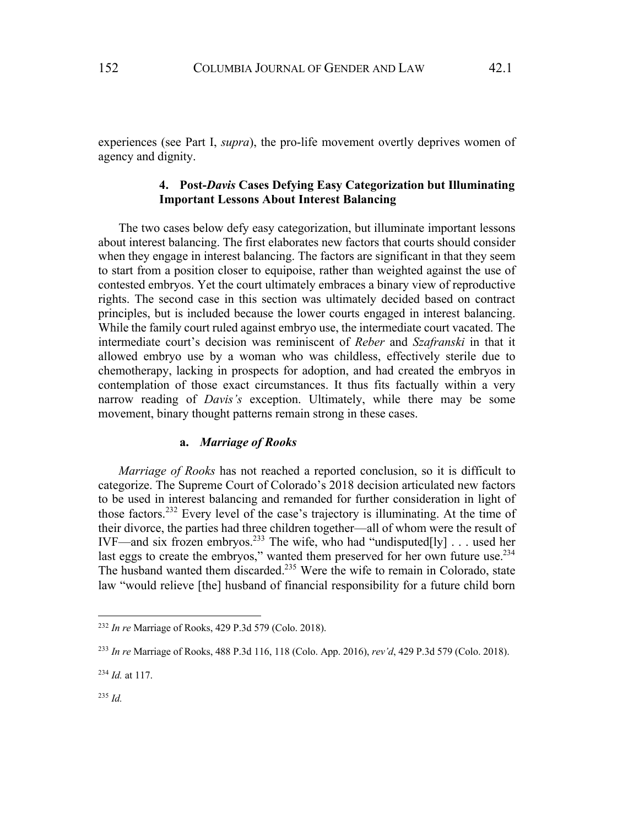experiences (see Part I, *supra*), the pro-life movement overtly deprives women of agency and dignity.

# **4. Post-***Davis* **Cases Defying Easy Categorization but Illuminating Important Lessons About Interest Balancing**

The two cases below defy easy categorization, but illuminate important lessons about interest balancing. The first elaborates new factors that courts should consider when they engage in interest balancing. The factors are significant in that they seem to start from a position closer to equipoise, rather than weighted against the use of contested embryos. Yet the court ultimately embraces a binary view of reproductive rights. The second case in this section was ultimately decided based on contract principles, but is included because the lower courts engaged in interest balancing. While the family court ruled against embryo use, the intermediate court vacated. The intermediate court's decision was reminiscent of *Reber* and *Szafranski* in that it allowed embryo use by a woman who was childless, effectively sterile due to chemotherapy, lacking in prospects for adoption, and had created the embryos in contemplation of those exact circumstances. It thus fits factually within a very narrow reading of *Davis's* exception. Ultimately, while there may be some movement, binary thought patterns remain strong in these cases.

## **a.** *Marriage of Rooks*

*Marriage of Rooks* has not reached a reported conclusion, so it is difficult to categorize. The Supreme Court of Colorado's 2018 decision articulated new factors to be used in interest balancing and remanded for further consideration in light of those factors.<sup>232</sup> Every level of the case's trajectory is illuminating. At the time of their divorce, the parties had three children together—all of whom were the result of IVF—and six frozen embryos.<sup>233</sup> The wife, who had "undisputed[ly] . . . used her last eggs to create the embryos," wanted them preserved for her own future use.<sup>234</sup> The husband wanted them discarded.<sup>235</sup> Were the wife to remain in Colorado, state law "would relieve [the] husband of financial responsibility for a future child born

<sup>232</sup> *In re* Marriage of Rooks, 429 P.3d 579 (Colo. 2018).

<sup>233</sup> *In re* Marriage of Rooks, 488 P.3d 116, 118 (Colo. App. 2016), *rev'd*, 429 P.3d 579 (Colo. 2018).

<sup>234</sup> *Id.* at 117.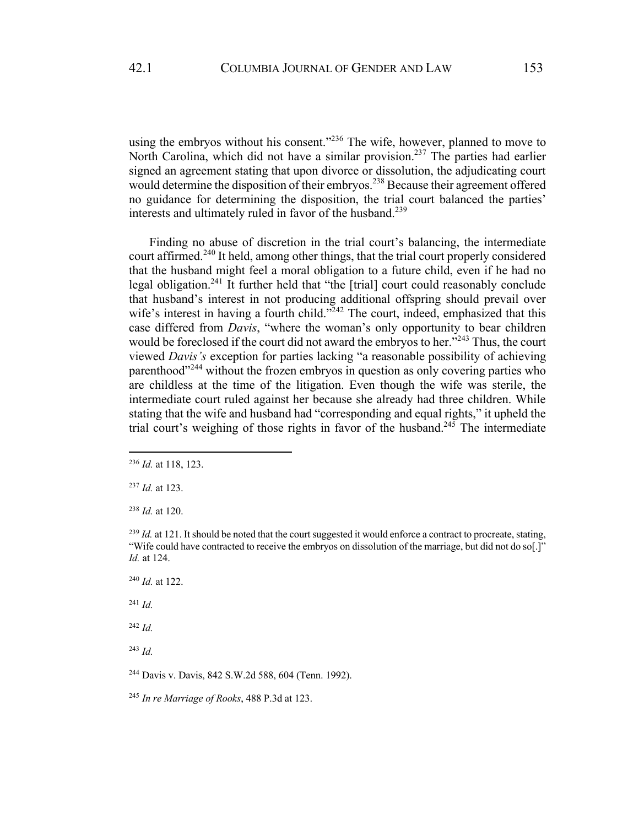using the embryos without his consent."<sup>236</sup> The wife, however, planned to move to North Carolina, which did not have a similar provision.<sup>237</sup> The parties had earlier signed an agreement stating that upon divorce or dissolution, the adjudicating court would determine the disposition of their embryos.<sup>238</sup> Because their agreement offered no guidance for determining the disposition, the trial court balanced the parties' interests and ultimately ruled in favor of the husband.<sup>239</sup>

Finding no abuse of discretion in the trial court's balancing, the intermediate court affirmed.<sup>240</sup> It held, among other things, that the trial court properly considered that the husband might feel a moral obligation to a future child, even if he had no legal obligation.<sup>241</sup> It further held that "the [trial] court could reasonably conclude that husband's interest in not producing additional offspring should prevail over wife's interest in having a fourth child."<sup>242</sup> The court, indeed, emphasized that this case differed from *Davis*, "where the woman's only opportunity to bear children would be foreclosed if the court did not award the embryos to her."<sup>243</sup> Thus, the court viewed *Davis's* exception for parties lacking "a reasonable possibility of achieving parenthood<sup>"244</sup> without the frozen embryos in question as only covering parties who are childless at the time of the litigation. Even though the wife was sterile, the intermediate court ruled against her because she already had three children. While stating that the wife and husband had "corresponding and equal rights," it upheld the trial court's weighing of those rights in favor of the husband.<sup>245</sup> The intermediate

<sup>244</sup> Davis v. Davis, 842 S.W.2d 588, 604 (Tenn. 1992).

<sup>245</sup> *In re Marriage of Rooks*, 488 P.3d at 123.

<sup>236</sup> *Id.* at 118, 123.

<sup>237</sup> *Id.* at 123.

<sup>238</sup> *Id.* at 120.

 $^{239}$  *Id.* at 121. It should be noted that the court suggested it would enforce a contract to procreate, stating, "Wife could have contracted to receive the embryos on dissolution of the marriage, but did not do so[.]" *Id.* at 124.

<sup>240</sup> *Id.* at 122.

<sup>241</sup> *Id.* 

<sup>242</sup> *Id.*

<sup>243</sup> *Id.*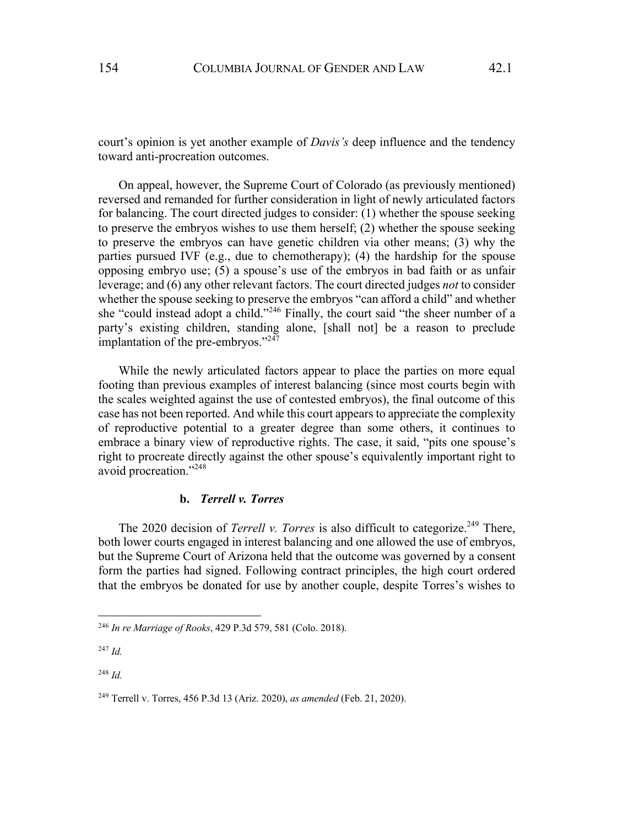court's opinion is yet another example of *Davis's* deep influence and the tendency toward anti-procreation outcomes.

On appeal, however, the Supreme Court of Colorado (as previously mentioned) reversed and remanded for further consideration in light of newly articulated factors for balancing. The court directed judges to consider: (1) whether the spouse seeking to preserve the embryos wishes to use them herself; (2) whether the spouse seeking to preserve the embryos can have genetic children via other means; (3) why the parties pursued IVF (e.g., due to chemotherapy); (4) the hardship for the spouse opposing embryo use; (5) a spouse's use of the embryos in bad faith or as unfair leverage; and (6) any other relevant factors. The court directed judges *not* to consider whether the spouse seeking to preserve the embryos "can afford a child" and whether she "could instead adopt a child."<sup>246</sup> Finally, the court said "the sheer number of a party's existing children, standing alone, [shall not] be a reason to preclude implantation of the pre-embryos."<sup>247</sup>

While the newly articulated factors appear to place the parties on more equal footing than previous examples of interest balancing (since most courts begin with the scales weighted against the use of contested embryos), the final outcome of this case has not been reported. And while this court appears to appreciate the complexity of reproductive potential to a greater degree than some others, it continues to embrace a binary view of reproductive rights. The case, it said, "pits one spouse's right to procreate directly against the other spouse's equivalently important right to avoid procreation."<sup>248</sup>

# **b.** *Terrell v. Torres*

The 2020 decision of *Terrell v. Torres* is also difficult to categorize.<sup>249</sup> There, both lower courts engaged in interest balancing and one allowed the use of embryos, but the Supreme Court of Arizona held that the outcome was governed by a consent form the parties had signed. Following contract principles, the high court ordered that the embryos be donated for use by another couple, despite Torres's wishes to

<sup>246</sup> *In re Marriage of Rooks*, 429 P.3d 579, 581 (Colo. 2018).

<sup>247</sup> *Id.*

<sup>249</sup> Terrell v. Torres, 456 P.3d 13 (Ariz. 2020), *as amended* (Feb. 21, 2020).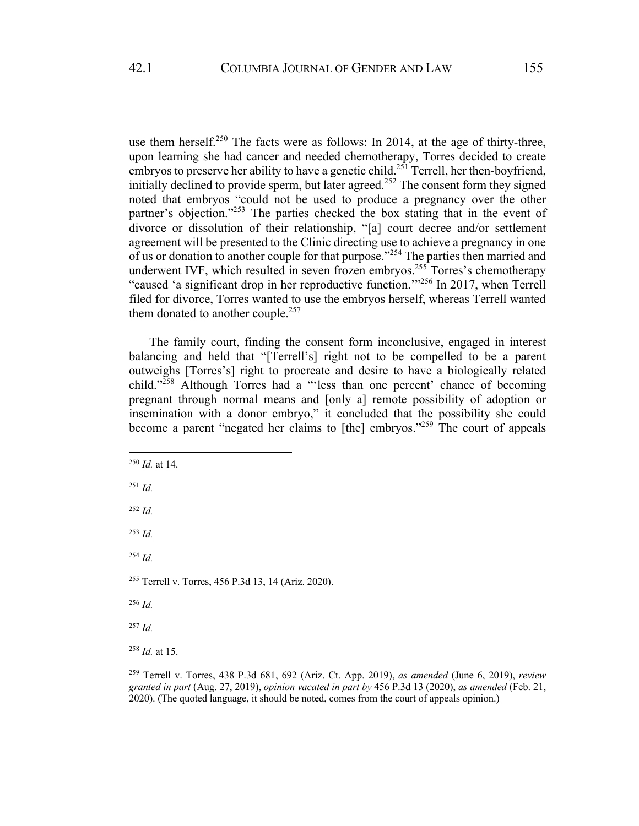use them herself.<sup>250</sup> The facts were as follows: In 2014, at the age of thirty-three, upon learning she had cancer and needed chemotherapy, Torres decided to create embryos to preserve her ability to have a genetic child.<sup>251</sup> Terrell, her then-boyfriend, initially declined to provide sperm, but later agreed.<sup>252</sup> The consent form they signed noted that embryos "could not be used to produce a pregnancy over the other partner's objection."253 The parties checked the box stating that in the event of divorce or dissolution of their relationship, "[a] court decree and/or settlement agreement will be presented to the Clinic directing use to achieve a pregnancy in one of us or donation to another couple for that purpose."<sup>254</sup> The parties then married and underwent IVF, which resulted in seven frozen embryos.<sup>255</sup> Torres's chemotherapy "caused 'a significant drop in her reproductive function.'"256 In 2017, when Terrell filed for divorce, Torres wanted to use the embryos herself, whereas Terrell wanted them donated to another couple.<sup>257</sup>

The family court, finding the consent form inconclusive, engaged in interest balancing and held that "[Terrell's] right not to be compelled to be a parent outweighs [Torres's] right to procreate and desire to have a biologically related child."258 Although Torres had a "'less than one percent' chance of becoming pregnant through normal means and [only a] remote possibility of adoption or insemination with a donor embryo," it concluded that the possibility she could become a parent "negated her claims to [the] embryos."259 The court of appeals

<sup>252</sup> *Id.*

<sup>253</sup> *Id.*

<sup>255</sup> Terrell v. Torres, 456 P.3d 13, 14 (Ariz. 2020).

<sup>256</sup> *Id.*

<sup>257</sup> *Id.*

<sup>258</sup> *Id.* at 15.

<sup>259</sup> Terrell v. Torres, 438 P.3d 681, 692 (Ariz. Ct. App. 2019), *as amended* (June 6, 2019), *review granted in part* (Aug. 27, 2019), *opinion vacated in part by* 456 P.3d 13 (2020), *as amended* (Feb. 21, 2020). (The quoted language, it should be noted, comes from the court of appeals opinion.)

<sup>250</sup> *Id.* at 14.

<sup>251</sup> *Id.*

<sup>254</sup> *Id.*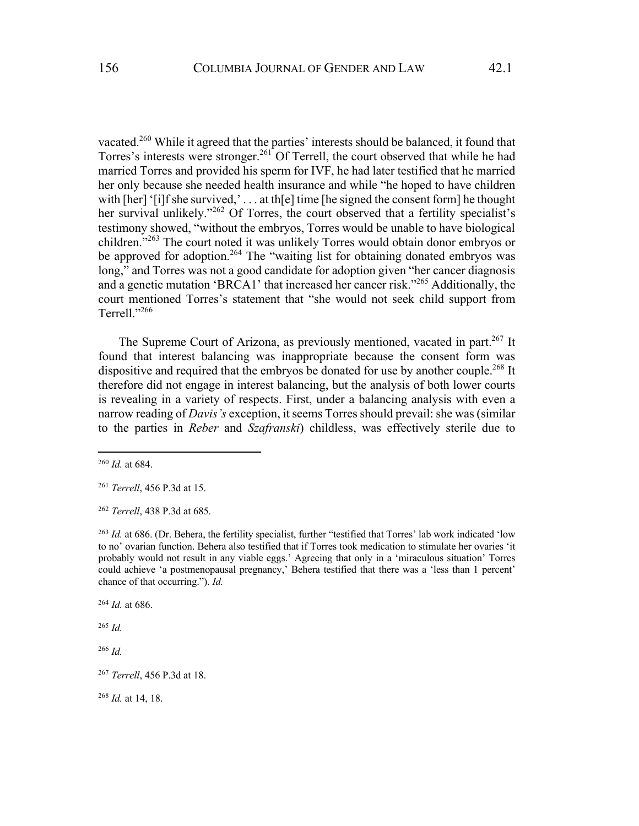vacated.<sup>260</sup> While it agreed that the parties' interests should be balanced, it found that Torres's interests were stronger.<sup>261</sup> Of Terrell, the court observed that while he had married Torres and provided his sperm for IVF, he had later testified that he married her only because she needed health insurance and while "he hoped to have children with [her] '[i]f she survived,' . . . at th[e] time [he signed the consent form] he thought her survival unlikely."<sup>262</sup> Of Torres, the court observed that a fertility specialist's testimony showed, "without the embryos, Torres would be unable to have biological children."263 The court noted it was unlikely Torres would obtain donor embryos or be approved for adoption.<sup>264</sup> The "waiting list for obtaining donated embryos was long," and Torres was not a good candidate for adoption given "her cancer diagnosis and a genetic mutation 'BRCA1' that increased her cancer risk."265 Additionally, the court mentioned Torres's statement that "she would not seek child support from Terrell."<sup>266</sup>

The Supreme Court of Arizona, as previously mentioned, vacated in part.<sup>267</sup> It found that interest balancing was inappropriate because the consent form was dispositive and required that the embryos be donated for use by another couple.<sup>268</sup> It therefore did not engage in interest balancing, but the analysis of both lower courts is revealing in a variety of respects. First, under a balancing analysis with even a narrow reading of *Davis's* exception, it seems Torres should prevail: she was (similar to the parties in *Reber* and *Szafranski*) childless, was effectively sterile due to

<sup>268</sup> *Id.* at 14, 18.

<sup>260</sup> *Id.* at 684.

<sup>261</sup> *Terrell*, 456 P.3d at 15.

<sup>262</sup> *Terrell*, 438 P.3d at 685.

<sup>&</sup>lt;sup>263</sup> *Id.* at 686. (Dr. Behera, the fertility specialist, further "testified that Torres' lab work indicated 'low to no' ovarian function. Behera also testified that if Torres took medication to stimulate her ovaries 'it probably would not result in any viable eggs.' Agreeing that only in a 'miraculous situation' Torres could achieve 'a postmenopausal pregnancy,' Behera testified that there was a 'less than 1 percent' chance of that occurring."). *Id.*

<sup>264</sup> *Id.* at 686.

<sup>265</sup> *Id.*

<sup>266</sup> *Id.*

<sup>267</sup> *Terrell*, 456 P.3d at 18.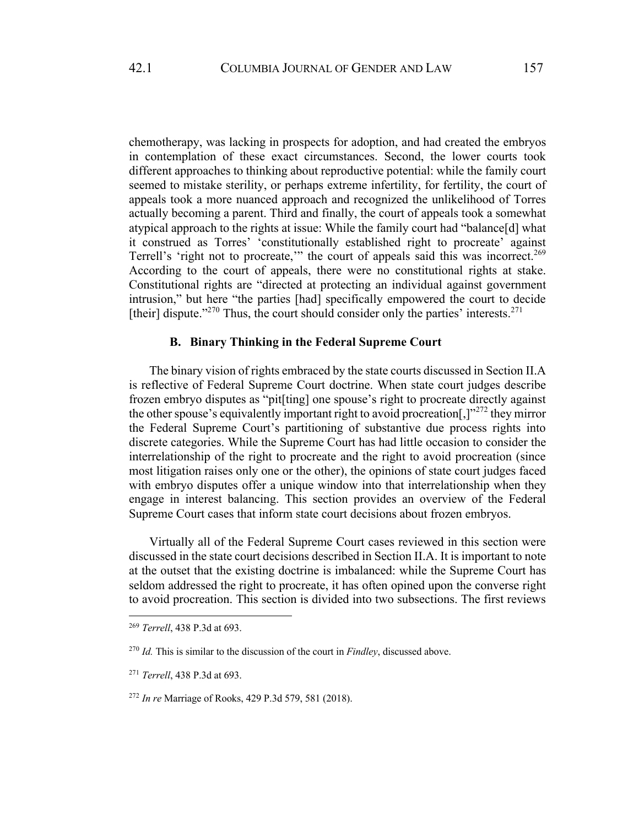chemotherapy, was lacking in prospects for adoption, and had created the embryos in contemplation of these exact circumstances. Second, the lower courts took different approaches to thinking about reproductive potential: while the family court seemed to mistake sterility, or perhaps extreme infertility, for fertility, the court of appeals took a more nuanced approach and recognized the unlikelihood of Torres actually becoming a parent. Third and finally, the court of appeals took a somewhat atypical approach to the rights at issue: While the family court had "balance[d] what it construed as Torres' 'constitutionally established right to procreate' against Terrell's 'right not to procreate,'" the court of appeals said this was incorrect.<sup>269</sup> According to the court of appeals, there were no constitutional rights at stake. Constitutional rights are "directed at protecting an individual against government intrusion," but here "the parties [had] specifically empowered the court to decide [their] dispute."<sup>270</sup> Thus, the court should consider only the parties' interests.<sup>271</sup>

### **B. Binary Thinking in the Federal Supreme Court**

The binary vision of rights embraced by the state courts discussed in Section II.A is reflective of Federal Supreme Court doctrine. When state court judges describe frozen embryo disputes as "pit[ting] one spouse's right to procreate directly against the other spouse's equivalently important right to avoid procreation[,]"<sup>272</sup> they mirror the Federal Supreme Court's partitioning of substantive due process rights into discrete categories. While the Supreme Court has had little occasion to consider the interrelationship of the right to procreate and the right to avoid procreation (since most litigation raises only one or the other), the opinions of state court judges faced with embryo disputes offer a unique window into that interrelationship when they engage in interest balancing. This section provides an overview of the Federal Supreme Court cases that inform state court decisions about frozen embryos.

Virtually all of the Federal Supreme Court cases reviewed in this section were discussed in the state court decisions described in Section II.A. It is important to note at the outset that the existing doctrine is imbalanced: while the Supreme Court has seldom addressed the right to procreate, it has often opined upon the converse right to avoid procreation. This section is divided into two subsections. The first reviews

<sup>269</sup> *Terrell*, 438 P.3d at 693.

<sup>270</sup> *Id.* This is similar to the discussion of the court in *Findley*, discussed above.

<sup>271</sup> *Terrell*, 438 P.3d at 693.

<sup>272</sup> *In re* Marriage of Rooks, 429 P.3d 579, 581 (2018).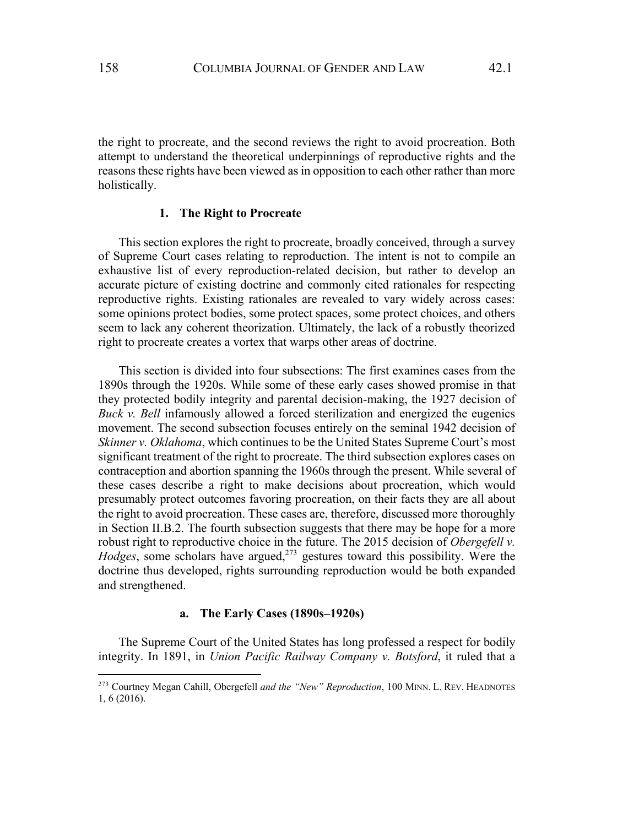the right to procreate, and the second reviews the right to avoid procreation. Both attempt to understand the theoretical underpinnings of reproductive rights and the reasons these rights have been viewed as in opposition to each other rather than more holistically.

### **1. The Right to Procreate**

This section explores the right to procreate, broadly conceived, through a survey of Supreme Court cases relating to reproduction. The intent is not to compile an exhaustive list of every reproduction-related decision, but rather to develop an accurate picture of existing doctrine and commonly cited rationales for respecting reproductive rights. Existing rationales are revealed to vary widely across cases: some opinions protect bodies, some protect spaces, some protect choices, and others seem to lack any coherent theorization. Ultimately, the lack of a robustly theorized right to procreate creates a vortex that warps other areas of doctrine.

This section is divided into four subsections: The first examines cases from the 1890s through the 1920s. While some of these early cases showed promise in that they protected bodily integrity and parental decision-making, the 1927 decision of *Buck v. Bell* infamously allowed a forced sterilization and energized the eugenics movement. The second subsection focuses entirely on the seminal 1942 decision of *Skinner v. Oklahoma*, which continues to be the United States Supreme Court's most significant treatment of the right to procreate. The third subsection explores cases on contraception and abortion spanning the 1960s through the present. While several of these cases describe a right to make decisions about procreation, which would presumably protect outcomes favoring procreation, on their facts they are all about the right to avoid procreation. These cases are, therefore, discussed more thoroughly in Section II.B.2. The fourth subsection suggests that there may be hope for a more robust right to reproductive choice in the future. The 2015 decision of *Obergefell v. Hodges*, some scholars have argued,<sup>273</sup> gestures toward this possibility. Were the doctrine thus developed, rights surrounding reproduction would be both expanded and strengthened.

### **a. The Early Cases (1890s–1920s)**

The Supreme Court of the United States has long professed a respect for bodily integrity. In 1891, in *Union Pacific Railway Company v. Botsford*, it ruled that a

<sup>273</sup> Courtney Megan Cahill, Obergefell *and the "New" Reproduction*, 100 MINN. L. REV. HEADNOTES 1, 6 (2016).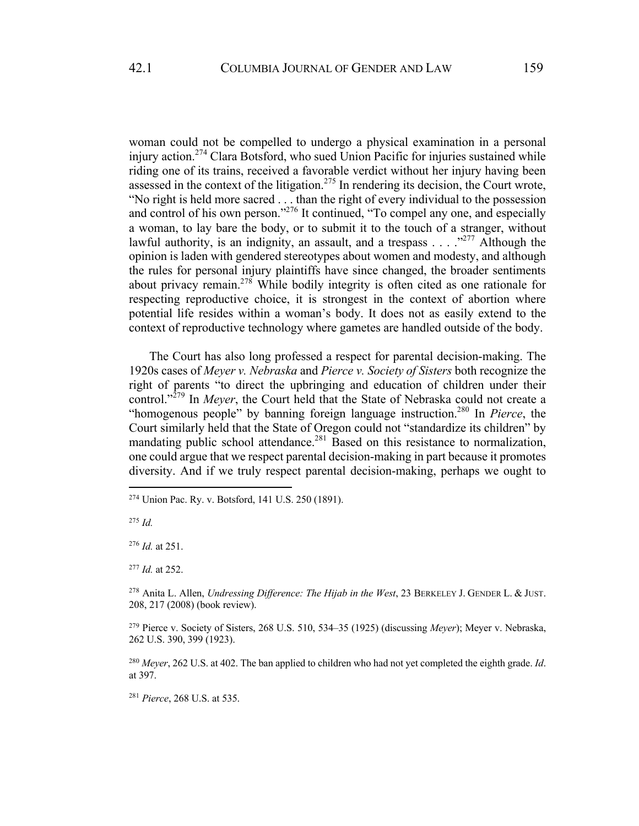woman could not be compelled to undergo a physical examination in a personal injury action.<sup>274</sup> Clara Botsford, who sued Union Pacific for injuries sustained while riding one of its trains, received a favorable verdict without her injury having been assessed in the context of the litigation.<sup>275</sup> In rendering its decision, the Court wrote, "No right is held more sacred . . . than the right of every individual to the possession and control of his own person."276 It continued, "To compel any one, and especially a woman, to lay bare the body, or to submit it to the touch of a stranger, without lawful authority, is an indignity, an assault, and a trespass  $\ldots$  .  $\cdot$ <sup>277</sup> Although the opinion is laden with gendered stereotypes about women and modesty, and although the rules for personal injury plaintiffs have since changed, the broader sentiments about privacy remain.<sup>278</sup> While bodily integrity is often cited as one rationale for respecting reproductive choice, it is strongest in the context of abortion where potential life resides within a woman's body. It does not as easily extend to the context of reproductive technology where gametes are handled outside of the body.

The Court has also long professed a respect for parental decision-making. The 1920s cases of *Meyer v. Nebraska* and *Pierce v. Society of Sisters* both recognize the right of parents "to direct the upbringing and education of children under their control."<sup>279</sup> In *Meyer*, the Court held that the State of Nebraska could not create a "homogenous people" by banning foreign language instruction.280 In *Pierce*, the Court similarly held that the State of Oregon could not "standardize its children" by mandating public school attendance.<sup>281</sup> Based on this resistance to normalization, one could argue that we respect parental decision-making in part because it promotes diversity. And if we truly respect parental decision-making, perhaps we ought to

<sup>275</sup> *Id.*

<sup>276</sup> *Id.* at 251.

<sup>277</sup> *Id.* at 252.

<sup>278</sup> Anita L. Allen, *Undressing Difference: The Hijab in the West*, 23 BERKELEY J. GENDER L. & JUST. 208, 217 (2008) (book review).

<sup>279</sup> Pierce v. Society of Sisters, 268 U.S. 510, 534–35 (1925) (discussing *Meyer*); Meyer v. Nebraska, 262 U.S. 390, 399 (1923).

<sup>280</sup> *Meyer*, 262 U.S. at 402. The ban applied to children who had not yet completed the eighth grade. *Id*. at 397.

<sup>281</sup> *Pierce*, 268 U.S. at 535.

<sup>274</sup> Union Pac. Ry. v. Botsford, 141 U.S. 250 (1891).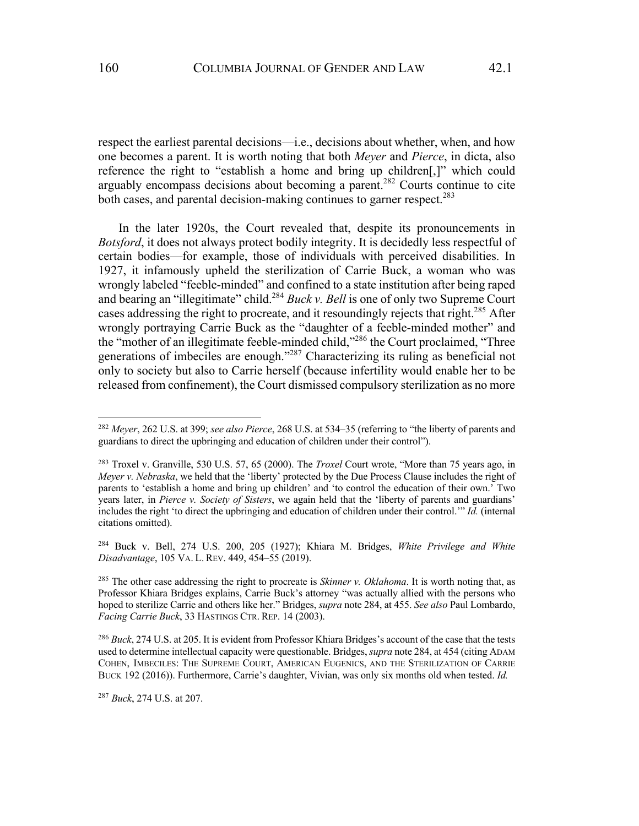respect the earliest parental decisions—i.e., decisions about whether, when, and how one becomes a parent. It is worth noting that both *Meyer* and *Pierce*, in dicta, also reference the right to "establish a home and bring up children[,]" which could arguably encompass decisions about becoming a parent.<sup>282</sup> Courts continue to cite both cases, and parental decision-making continues to garner respect.<sup>283</sup>

In the later 1920s, the Court revealed that, despite its pronouncements in *Botsford*, it does not always protect bodily integrity. It is decidedly less respectful of certain bodies—for example, those of individuals with perceived disabilities. In 1927, it infamously upheld the sterilization of Carrie Buck, a woman who was wrongly labeled "feeble-minded" and confined to a state institution after being raped and bearing an "illegitimate" child.<sup>284</sup> *Buck v. Bell* is one of only two Supreme Court cases addressing the right to procreate, and it resoundingly rejects that right.<sup>285</sup> After wrongly portraying Carrie Buck as the "daughter of a feeble-minded mother" and the "mother of an illegitimate feeble-minded child,"286 the Court proclaimed, "Three generations of imbeciles are enough."287 Characterizing its ruling as beneficial not only to society but also to Carrie herself (because infertility would enable her to be released from confinement), the Court dismissed compulsory sterilization as no more

<sup>284</sup> Buck v. Bell, 274 U.S. 200, 205 (1927); Khiara M. Bridges, *White Privilege and White Disadvantage*, 105 VA. L. REV. 449, 454–55 (2019).

<sup>285</sup> The other case addressing the right to procreate is *Skinner v. Oklahoma*. It is worth noting that, as Professor Khiara Bridges explains, Carrie Buck's attorney "was actually allied with the persons who hoped to sterilize Carrie and others like her." Bridges, *supra* note 284, at 455. *See also* Paul Lombardo, *Facing Carrie Buck*, 33 HASTINGS CTR. REP. 14 (2003).

<sup>286</sup> *Buck*, 274 U.S. at 205. It is evident from Professor Khiara Bridges's account of the case that the tests used to determine intellectual capacity were questionable. Bridges, *supra* note 284, at 454 (citing ADAM COHEN, IMBECILES: THE SUPREME COURT, AMERICAN EUGENICS, AND THE STERILIZATION OF CARRIE BUCK 192 (2016)). Furthermore, Carrie's daughter, Vivian, was only six months old when tested. *Id.*

<sup>287</sup> *Buck*, 274 U.S. at 207.

<sup>282</sup> *Meyer*, 262 U.S. at 399; *see also Pierce*, 268 U.S. at 534–35 (referring to "the liberty of parents and guardians to direct the upbringing and education of children under their control").

<sup>283</sup> Troxel v. Granville, 530 U.S. 57, 65 (2000). The *Troxel* Court wrote, "More than 75 years ago, in *Meyer v. Nebraska*, we held that the 'liberty' protected by the Due Process Clause includes the right of parents to 'establish a home and bring up children' and 'to control the education of their own.' Two years later, in *Pierce v. Society of Sisters*, we again held that the 'liberty of parents and guardians' includes the right 'to direct the upbringing and education of children under their control.'" *Id.* (internal citations omitted).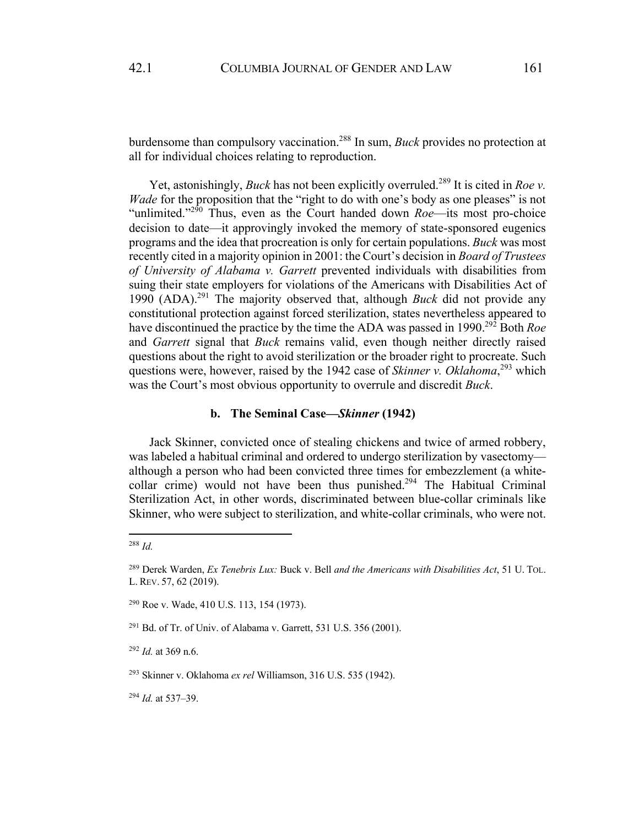burdensome than compulsory vaccination.288 In sum, *Buck* provides no protection at all for individual choices relating to reproduction.

Yet, astonishingly, *Buck* has not been explicitly overruled.<sup>289</sup> It is cited in *Roe v*. *Wade* for the proposition that the "right to do with one's body as one pleases" is not "unlimited."<sup>290</sup> Thus, even as the Court handed down *Roe*—its most pro-choice decision to date—it approvingly invoked the memory of state-sponsored eugenics programs and the idea that procreation is only for certain populations. *Buck* was most recently cited in a majority opinion in 2001: the Court's decision in *Board of Trustees of University of Alabama v. Garrett* prevented individuals with disabilities from suing their state employers for violations of the Americans with Disabilities Act of 1990 (ADA).291 The majority observed that, although *Buck* did not provide any constitutional protection against forced sterilization, states nevertheless appeared to have discontinued the practice by the time the ADA was passed in 1990.<sup>292</sup> Both *Roe* and *Garrett* signal that *Buck* remains valid, even though neither directly raised questions about the right to avoid sterilization or the broader right to procreate. Such questions were, however, raised by the 1942 case of *Skinner v. Oklahoma*, <sup>293</sup> which was the Court's most obvious opportunity to overrule and discredit *Buck*.

## **b. The Seminal Case—***Skinner* **(1942)**

Jack Skinner, convicted once of stealing chickens and twice of armed robbery, was labeled a habitual criminal and ordered to undergo sterilization by vasectomy although a person who had been convicted three times for embezzlement (a whitecollar crime) would not have been thus punished.<sup>294</sup> The Habitual Criminal Sterilization Act, in other words, discriminated between blue-collar criminals like Skinner, who were subject to sterilization, and white-collar criminals, who were not.

<sup>292</sup> *Id.* at 369 n.6.

<sup>293</sup> Skinner v. Oklahoma *ex rel* Williamson, 316 U.S. 535 (1942).

<sup>294</sup> *Id.* at 537–39.

<sup>288</sup> *Id.*

<sup>289</sup> Derek Warden, *Ex Tenebris Lux:* Buck v. Bell *and the Americans with Disabilities Act*, 51 U. TOL. L. REV. 57, 62 (2019).

<sup>290</sup> Roe v. Wade, 410 U.S. 113, 154 (1973).

 $291$  Bd. of Tr. of Univ. of Alabama v. Garrett, 531 U.S. 356 (2001).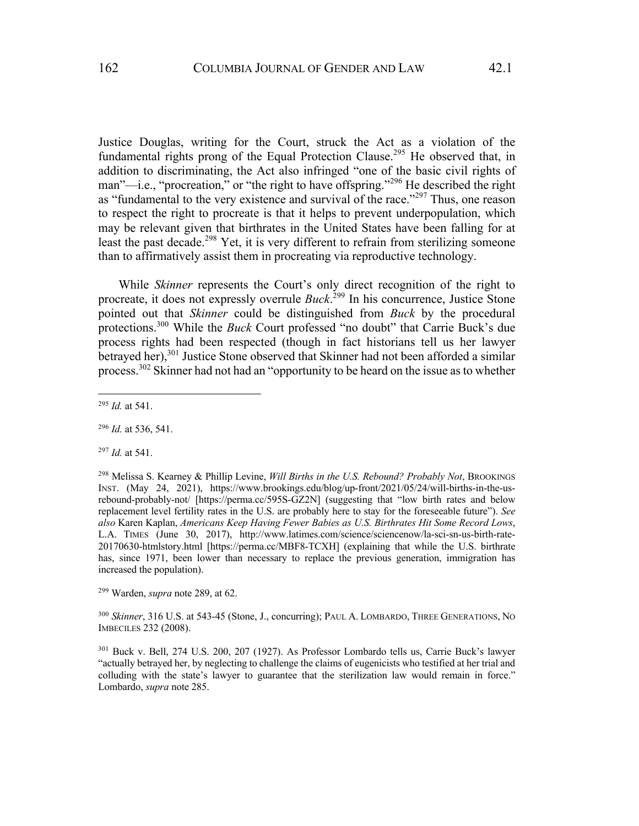Justice Douglas, writing for the Court, struck the Act as a violation of the fundamental rights prong of the Equal Protection Clause.<sup>295</sup> He observed that, in addition to discriminating, the Act also infringed "one of the basic civil rights of man"—i.e., "procreation," or "the right to have offspring."<sup>296</sup> He described the right as "fundamental to the very existence and survival of the race."<sup>297</sup> Thus, one reason to respect the right to procreate is that it helps to prevent underpopulation, which may be relevant given that birthrates in the United States have been falling for at least the past decade.<sup>298</sup> Yet, it is very different to refrain from sterilizing someone than to affirmatively assist them in procreating via reproductive technology.

While *Skinner* represents the Court's only direct recognition of the right to procreate, it does not expressly overrule *Buck*. <sup>299</sup> In his concurrence, Justice Stone pointed out that *Skinner* could be distinguished from *Buck* by the procedural protections.300 While the *Buck* Court professed "no doubt" that Carrie Buck's due process rights had been respected (though in fact historians tell us her lawyer betrayed her),<sup>301</sup> Justice Stone observed that Skinner had not been afforded a similar process.302 Skinner had not had an "opportunity to be heard on the issue as to whether

<sup>296</sup> *Id.* at 536, 541.

<sup>297</sup> *Id.* at 541.

<sup>298</sup> Melissa S. Kearney & Phillip Levine, *Will Births in the U.S. Rebound? Probably Not*, BROOKINGS INST. (May 24, 2021), https://www.brookings.edu/blog/up-front/2021/05/24/will-births-in-the-usrebound-probably-not/ [https://perma.cc/595S-GZ2N] (suggesting that "low birth rates and below replacement level fertility rates in the U.S. are probably here to stay for the foreseeable future"). *See also* Karen Kaplan, *Americans Keep Having Fewer Babies as U.S. Birthrates Hit Some Record Lows*, L.A. TIMES (June 30, 2017), http://www.latimes.com/science/sciencenow/la-sci-sn-us-birth-rate-20170630-htmlstory.html [https://perma.cc/MBF8-TCXH] (explaining that while the U.S. birthrate has, since 1971, been lower than necessary to replace the previous generation, immigration has increased the population).

<sup>299</sup> Warden, *supra* note 289, at 62.

<sup>300</sup> *Skinner*, 316 U.S. at 543-45 (Stone, J., concurring); PAUL A. LOMBARDO, THREE GENERATIONS, NO IMBECILES 232 (2008).

<sup>301</sup> Buck v. Bell, 274 U.S. 200, 207 (1927). As Professor Lombardo tells us, Carrie Buck's lawyer "actually betrayed her, by neglecting to challenge the claims of eugenicists who testified at her trial and colluding with the state's lawyer to guarantee that the sterilization law would remain in force." Lombardo, *supra* note 285.

<sup>295</sup> *Id.* at 541.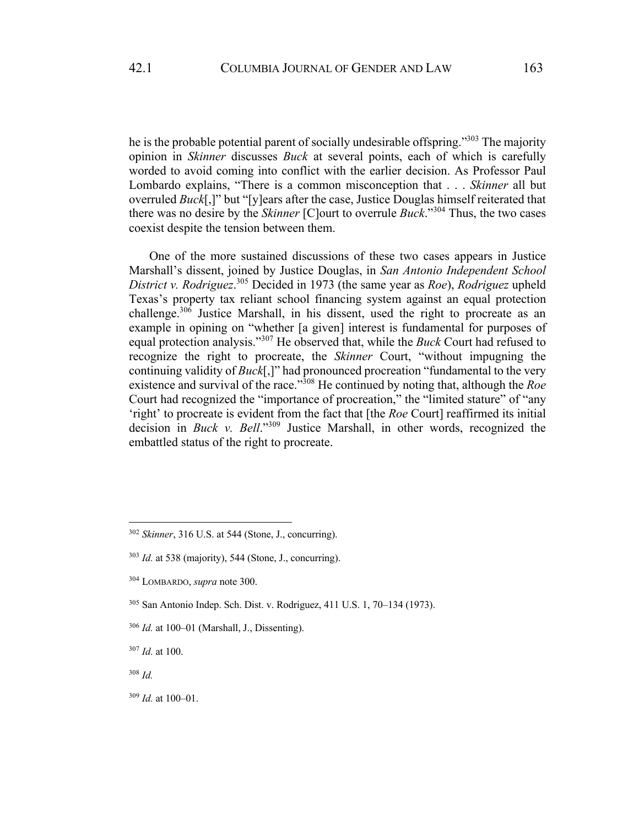he is the probable potential parent of socially undesirable offspring."303 The majority opinion in *Skinner* discusses *Buck* at several points, each of which is carefully worded to avoid coming into conflict with the earlier decision. As Professor Paul Lombardo explains, "There is a common misconception that . . . *Skinner* all but overruled *Buck*[,]" but "[y]ears after the case, Justice Douglas himself reiterated that there was no desire by the *Skinner* [C]ourt to overrule *Buck*."<sup>304</sup> Thus, the two cases coexist despite the tension between them.

One of the more sustained discussions of these two cases appears in Justice Marshall's dissent, joined by Justice Douglas, in *San Antonio Independent School District v. Rodriguez*. <sup>305</sup> Decided in 1973 (the same year as *Roe*), *Rodriguez* upheld Texas's property tax reliant school financing system against an equal protection challenge. $306$  Justice Marshall, in his dissent, used the right to procreate as an example in opining on "whether [a given] interest is fundamental for purposes of equal protection analysis."<sup>307</sup> He observed that, while the *Buck* Court had refused to recognize the right to procreate, the *Skinner* Court, "without impugning the continuing validity of *Buck*[,]" had pronounced procreation "fundamental to the very existence and survival of the race."<sup>308</sup> He continued by noting that, although the *Roe* Court had recognized the "importance of procreation," the "limited stature" of "any 'right' to procreate is evident from the fact that [the *Roe* Court] reaffirmed its initial decision in *Buck v. Bell*."<sup>309</sup> Justice Marshall, in other words, recognized the embattled status of the right to procreate.

<sup>302</sup> *Skinner*, 316 U.S. at 544 (Stone, J., concurring).

<sup>303</sup> *Id.* at 538 (majority), 544 (Stone, J., concurring).

<sup>304</sup> LOMBARDO, *supra* note 300.

<sup>305</sup> San Antonio Indep. Sch. Dist. v. Rodriguez, 411 U.S. 1, 70–134 (1973).

<sup>306</sup> *Id.* at 100–01 (Marshall, J., Dissenting).

<sup>307</sup> *Id.* at 100.

<sup>308</sup> *Id.*

<sup>309</sup> *Id.* at 100–01.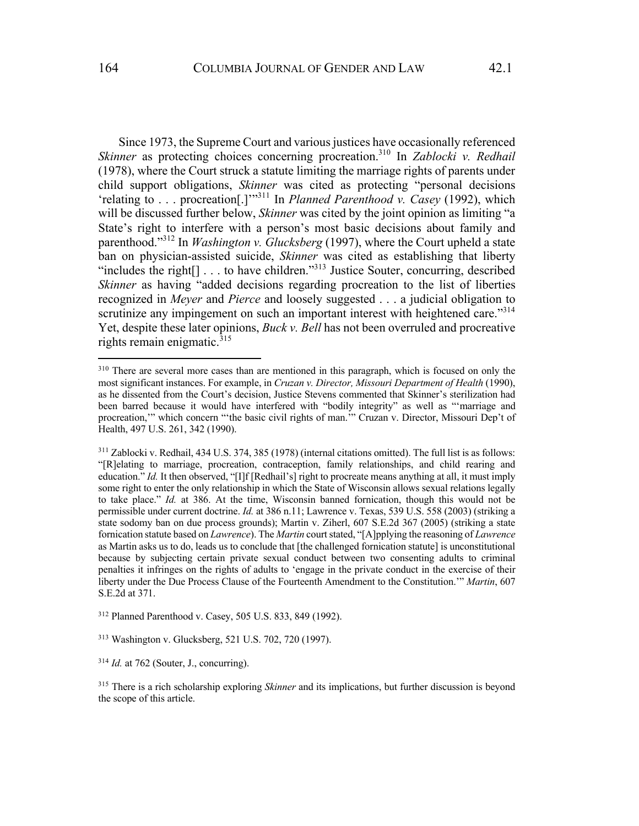Since 1973, the Supreme Court and various justices have occasionally referenced *Skinner* as protecting choices concerning procreation.<sup>310</sup> In *Zablocki v. Redhail* (1978), where the Court struck a statute limiting the marriage rights of parents under child support obligations, *Skinner* was cited as protecting "personal decisions 'relating to . . . procreation[.]'"311 In *Planned Parenthood v. Casey* (1992), which will be discussed further below, *Skinner* was cited by the joint opinion as limiting "a State's right to interfere with a person's most basic decisions about family and parenthood."312 In *Washington v. Glucksberg* (1997), where the Court upheld a state ban on physician-assisted suicide, *Skinner* was cited as establishing that liberty "includes the right<sup>[]</sup> . . . to have children."<sup>313</sup> Justice Souter, concurring, described *Skinner* as having "added decisions regarding procreation to the list of liberties recognized in *Meyer* and *Pierce* and loosely suggested . . . a judicial obligation to scrutinize any impingement on such an important interest with heightened care."<sup>314</sup> Yet, despite these later opinions, *Buck v. Bell* has not been overruled and procreative rights remain enigmatic. $315$ 

<sup>312</sup> Planned Parenthood v. Casey, 505 U.S. 833, 849 (1992).

<sup>&</sup>lt;sup>310</sup> There are several more cases than are mentioned in this paragraph, which is focused on only the most significant instances. For example, in *Cruzan v. Director, Missouri Department of Health* (1990), as he dissented from the Court's decision, Justice Stevens commented that Skinner's sterilization had been barred because it would have interfered with "bodily integrity" as well as "'marriage and procreation,'" which concern "'the basic civil rights of man.'" Cruzan v. Director, Missouri Dep't of Health, 497 U.S. 261, 342 (1990).

<sup>311</sup> Zablocki v. Redhail, 434 U.S. 374, 385 (1978) (internal citations omitted). The full list is as follows: "[R]elating to marriage, procreation, contraception, family relationships, and child rearing and education." *Id.* It then observed, "[I]f [Redhail's] right to procreate means anything at all, it must imply some right to enter the only relationship in which the State of Wisconsin allows sexual relations legally to take place." *Id.* at 386. At the time, Wisconsin banned fornication, though this would not be permissible under current doctrine. *Id.* at 386 n.11; Lawrence v. Texas, 539 U.S. 558 (2003) (striking a state sodomy ban on due process grounds); Martin v. Ziherl, 607 S.E.2d 367 (2005) (striking a state fornication statute based on *Lawrence*). The *Martin* court stated, "[A]pplying the reasoning of *Lawrence* as Martin asks us to do, leads us to conclude that [the challenged fornication statute] is unconstitutional because by subjecting certain private sexual conduct between two consenting adults to criminal penalties it infringes on the rights of adults to 'engage in the private conduct in the exercise of their liberty under the Due Process Clause of the Fourteenth Amendment to the Constitution.'" *Martin*, 607 S.E.2d at 371.

<sup>313</sup> Washington v. Glucksberg, 521 U.S. 702, 720 (1997).

<sup>314</sup> *Id.* at 762 (Souter, J., concurring).

<sup>315</sup> There is a rich scholarship exploring *Skinner* and its implications, but further discussion is beyond the scope of this article.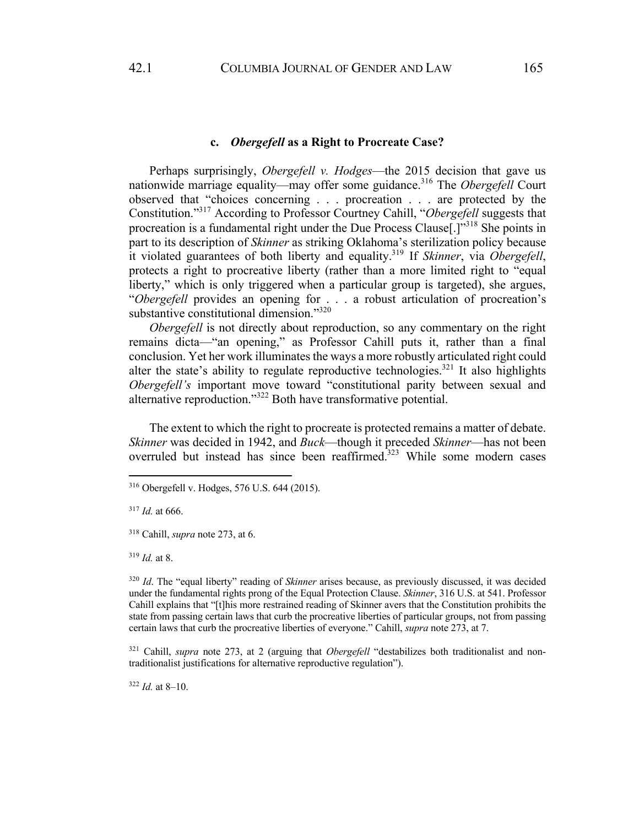### **c.** *Obergefell* **as a Right to Procreate Case?**

Perhaps surprisingly, *Obergefell v. Hodges*—the 2015 decision that gave us nationwide marriage equality—may offer some guidance.316 The *Obergefell* Court observed that "choices concerning . . . procreation . . . are protected by the Constitution."317 According to Professor Courtney Cahill, "*Obergefell* suggests that procreation is a fundamental right under the Due Process Clause[.]"318 She points in part to its description of *Skinner* as striking Oklahoma's sterilization policy because it violated guarantees of both liberty and equality.319 If *Skinner*, via *Obergefell*, protects a right to procreative liberty (rather than a more limited right to "equal liberty," which is only triggered when a particular group is targeted), she argues, "*Obergefell* provides an opening for . . . a robust articulation of procreation's substantive constitutional dimension."320

*Obergefell* is not directly about reproduction, so any commentary on the right remains dicta—"an opening," as Professor Cahill puts it, rather than a final conclusion. Yet her work illuminates the ways a more robustly articulated right could alter the state's ability to regulate reproductive technologies.<sup>321</sup> It also highlights *Obergefell's* important move toward "constitutional parity between sexual and alternative reproduction."322 Both have transformative potential.

The extent to which the right to procreate is protected remains a matter of debate. *Skinner* was decided in 1942, and *Buck*—though it preceded *Skinner*—has not been overruled but instead has since been reaffirmed. $323$  While some modern cases

<sup>317</sup> *Id.* at 666.

<sup>318</sup> Cahill, *supra* note 273, at 6.

<sup>319</sup> *Id.* at 8.

<sup>320</sup> *Id*. The "equal liberty" reading of *Skinner* arises because, as previously discussed, it was decided under the fundamental rights prong of the Equal Protection Clause. *Skinner*, 316 U.S. at 541. Professor Cahill explains that "[t]his more restrained reading of Skinner avers that the Constitution prohibits the state from passing certain laws that curb the procreative liberties of particular groups, not from passing certain laws that curb the procreative liberties of everyone." Cahill, *supra* note 273, at 7.

<sup>321</sup> Cahill, *supra* note 273, at 2 (arguing that *Obergefell* "destabilizes both traditionalist and nontraditionalist justifications for alternative reproductive regulation").

 $322$  *Id.* at 8–10.

<sup>316</sup> Obergefell v. Hodges, 576 U.S. 644 (2015).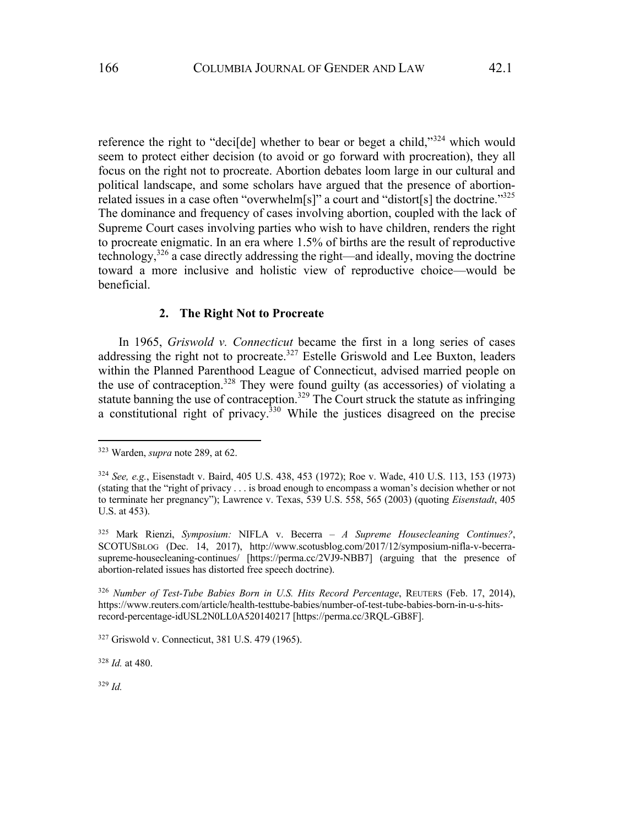reference the right to "deci<sup>[de]</sup> whether to bear or beget a child,"<sup>324</sup> which would seem to protect either decision (to avoid or go forward with procreation), they all focus on the right not to procreate. Abortion debates loom large in our cultural and political landscape, and some scholars have argued that the presence of abortionrelated issues in a case often "overwhelm[s]" a court and "distort[s] the doctrine."325 The dominance and frequency of cases involving abortion, coupled with the lack of Supreme Court cases involving parties who wish to have children, renders the right to procreate enigmatic. In an era where 1.5% of births are the result of reproductive technology,326 a case directly addressing the right—and ideally, moving the doctrine toward a more inclusive and holistic view of reproductive choice—would be beneficial.

#### **2. The Right Not to Procreate**

In 1965, *Griswold v. Connecticut* became the first in a long series of cases addressing the right not to procreate.<sup>327</sup> Estelle Griswold and Lee Buxton, leaders within the Planned Parenthood League of Connecticut, advised married people on the use of contraception.<sup>328</sup> They were found guilty (as accessories) of violating a statute banning the use of contraception.<sup>329</sup> The Court struck the statute as infringing a constitutional right of privacy.<sup>330</sup> While the justices disagreed on the precise

<sup>323</sup> Warden, *supra* note 289, at 62.

<sup>324</sup> *See, e.g.*, Eisenstadt v. Baird, 405 U.S. 438, 453 (1972); Roe v. Wade, 410 U.S. 113, 153 (1973) (stating that the "right of privacy . . . is broad enough to encompass a woman's decision whether or not to terminate her pregnancy"); Lawrence v. Texas, 539 U.S. 558, 565 (2003) (quoting *Eisenstadt*, 405 U.S. at 453).

<sup>325</sup> Mark Rienzi, *Symposium:* NIFLA v. Becerra *– A Supreme Housecleaning Continues?*, SCOTUSBLOG (Dec. 14, 2017), http://www.scotusblog.com/2017/12/symposium-nifla-v-becerrasupreme-housecleaning-continues/ [https://perma.cc/2VJ9-NBB7] (arguing that the presence of abortion-related issues has distorted free speech doctrine).

<sup>&</sup>lt;sup>326</sup> Number of Test-Tube Babies Born in U.S. Hits Record Percentage, REUTERS (Feb. 17, 2014), https://www.reuters.com/article/health-testtube-babies/number-of-test-tube-babies-born-in-u-s-hitsrecord-percentage-idUSL2N0LL0A520140217 [https://perma.cc/3RQL-GB8F].

<sup>327</sup> Griswold v. Connecticut, 381 U.S. 479 (1965).

<sup>328</sup> *Id.* at 480.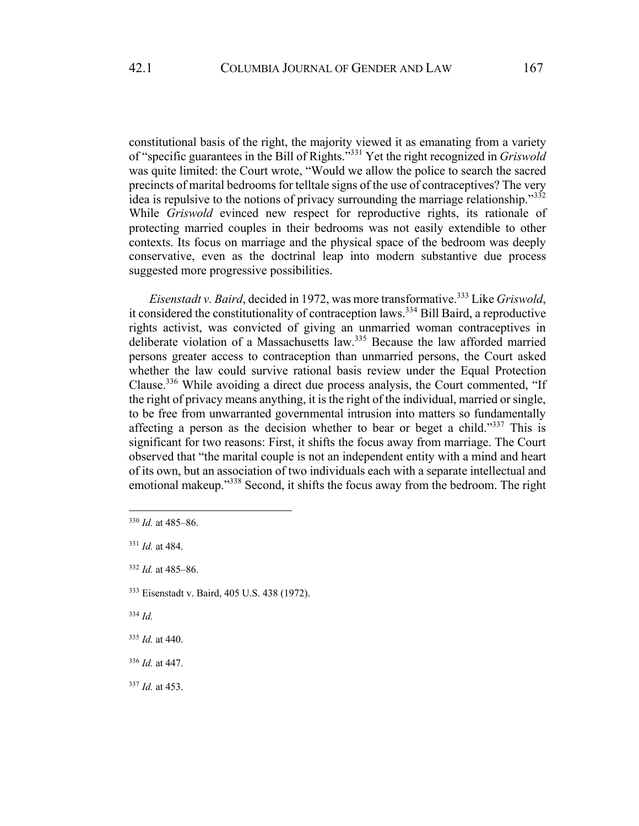constitutional basis of the right, the majority viewed it as emanating from a variety of "specific guarantees in the Bill of Rights."331 Yet the right recognized in *Griswold* was quite limited: the Court wrote, "Would we allow the police to search the sacred precincts of marital bedrooms for telltale signs of the use of contraceptives? The very idea is repulsive to the notions of privacy surrounding the marriage relationship."<sup>332</sup> While *Griswold* evinced new respect for reproductive rights, its rationale of protecting married couples in their bedrooms was not easily extendible to other contexts. Its focus on marriage and the physical space of the bedroom was deeply conservative, even as the doctrinal leap into modern substantive due process suggested more progressive possibilities.

*Eisenstadt v. Baird*, decided in 1972, was more transformative.333 Like *Griswold*, it considered the constitutionality of contraception laws.<sup>334</sup> Bill Baird, a reproductive rights activist, was convicted of giving an unmarried woman contraceptives in deliberate violation of a Massachusetts law.335 Because the law afforded married persons greater access to contraception than unmarried persons, the Court asked whether the law could survive rational basis review under the Equal Protection Clause.336 While avoiding a direct due process analysis, the Court commented, "If the right of privacy means anything, it is the right of the individual, married or single, to be free from unwarranted governmental intrusion into matters so fundamentally affecting a person as the decision whether to bear or beget a child."337 This is significant for two reasons: First, it shifts the focus away from marriage. The Court observed that "the marital couple is not an independent entity with a mind and heart of its own, but an association of two individuals each with a separate intellectual and emotional makeup."<sup>338</sup> Second, it shifts the focus away from the bedroom. The right

- <sup>336</sup> *Id.* at 447.
- <sup>337</sup> *Id.* at 453.

<sup>330</sup> *Id.* at 485–86.

<sup>331</sup> *Id.* at 484.

<sup>332</sup> *Id.* at 485–86.

<sup>333</sup> Eisenstadt v. Baird, 405 U.S. 438 (1972).

<sup>335</sup> *Id.* at 440.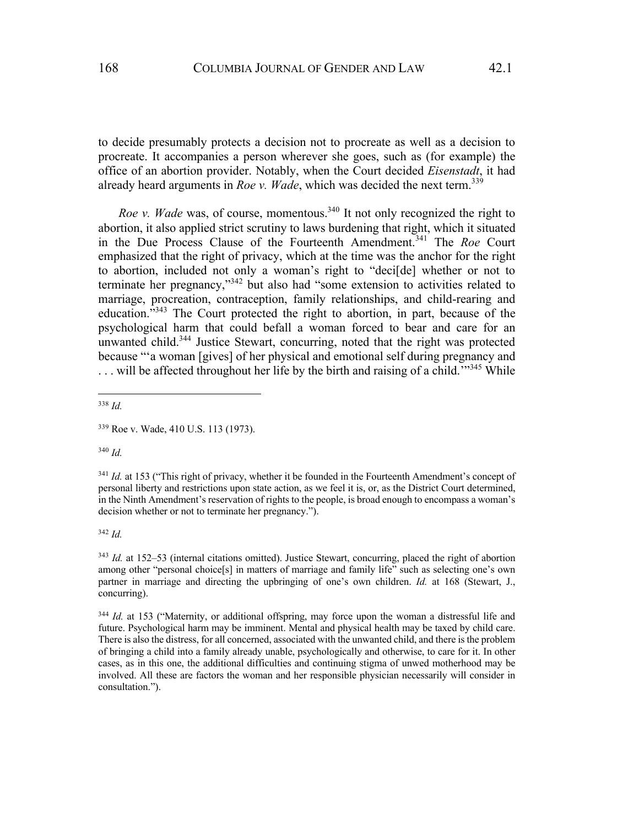to decide presumably protects a decision not to procreate as well as a decision to procreate. It accompanies a person wherever she goes, such as (for example) the office of an abortion provider. Notably, when the Court decided *Eisenstadt*, it had already heard arguments in *Roe v. Wade*, which was decided the next term.<sup>339</sup>

*Roe v. Wade* was, of course, momentous.<sup>340</sup> It not only recognized the right to abortion, it also applied strict scrutiny to laws burdening that right, which it situated in the Due Process Clause of the Fourteenth Amendment.<sup>341</sup> The *Roe* Court emphasized that the right of privacy, which at the time was the anchor for the right to abortion, included not only a woman's right to "deci[de] whether or not to terminate her pregnancy,"<sup>342</sup> but also had "some extension to activities related to marriage, procreation, contraception, family relationships, and child-rearing and education."343 The Court protected the right to abortion, in part, because of the psychological harm that could befall a woman forced to bear and care for an unwanted child.<sup>344</sup> Justice Stewart, concurring, noted that the right was protected because "'a woman [gives] of her physical and emotional self during pregnancy and  $\dots$  will be affected throughout her life by the birth and raising of a child.<sup>'"345</sup> While

<sup>338</sup> *Id.*

<sup>340</sup> *Id.*

<sup>341</sup> *Id.* at 153 ("This right of privacy, whether it be founded in the Fourteenth Amendment's concept of personal liberty and restrictions upon state action, as we feel it is, or, as the District Court determined, in the Ninth Amendment's reservation of rights to the people, is broad enough to encompass a woman's decision whether or not to terminate her pregnancy.").

<sup>342</sup> *Id.*

<sup>343</sup> *Id.* at 152–53 (internal citations omitted). Justice Stewart, concurring, placed the right of abortion among other "personal choice[s] in matters of marriage and family life" such as selecting one's own partner in marriage and directing the upbringing of one's own children. *Id.* at 168 (Stewart, J., concurring).

<sup>344</sup> *Id.* at 153 ("Maternity, or additional offspring, may force upon the woman a distressful life and future. Psychological harm may be imminent. Mental and physical health may be taxed by child care. There is also the distress, for all concerned, associated with the unwanted child, and there is the problem of bringing a child into a family already unable, psychologically and otherwise, to care for it. In other cases, as in this one, the additional difficulties and continuing stigma of unwed motherhood may be involved. All these are factors the woman and her responsible physician necessarily will consider in consultation.").

<sup>339</sup> Roe v. Wade, 410 U.S. 113 (1973).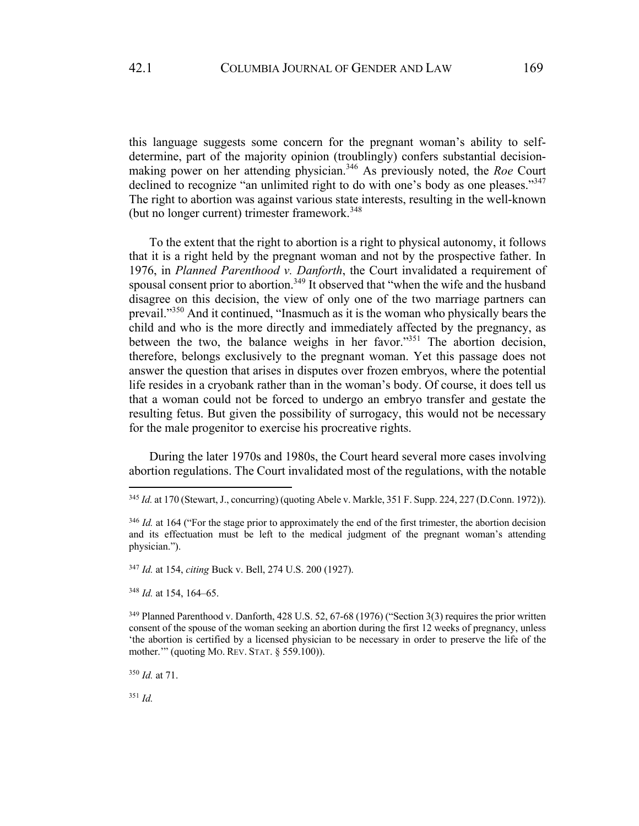this language suggests some concern for the pregnant woman's ability to selfdetermine, part of the majority opinion (troublingly) confers substantial decisionmaking power on her attending physician.<sup>346</sup> As previously noted, the *Roe* Court declined to recognize "an unlimited right to do with one's body as one pleases."<sup>347</sup> The right to abortion was against various state interests, resulting in the well-known (but no longer current) trimester framework.<sup>348</sup>

To the extent that the right to abortion is a right to physical autonomy, it follows that it is a right held by the pregnant woman and not by the prospective father. In 1976, in *Planned Parenthood v. Danforth*, the Court invalidated a requirement of spousal consent prior to abortion.<sup>349</sup> It observed that "when the wife and the husband disagree on this decision, the view of only one of the two marriage partners can prevail."350 And it continued, "Inasmuch as it is the woman who physically bears the child and who is the more directly and immediately affected by the pregnancy, as between the two, the balance weighs in her favor."351 The abortion decision, therefore, belongs exclusively to the pregnant woman. Yet this passage does not answer the question that arises in disputes over frozen embryos, where the potential life resides in a cryobank rather than in the woman's body. Of course, it does tell us that a woman could not be forced to undergo an embryo transfer and gestate the resulting fetus. But given the possibility of surrogacy, this would not be necessary for the male progenitor to exercise his procreative rights.

During the later 1970s and 1980s, the Court heard several more cases involving abortion regulations. The Court invalidated most of the regulations, with the notable

<sup>347</sup> *Id.* at 154, *citing* Buck v. Bell, 274 U.S. 200 (1927).

<sup>348</sup> *Id.* at 154, 164–65.

<sup>350</sup> *Id.* at 71.

<sup>345</sup> *Id.* at 170 (Stewart, J., concurring) (quoting Abele v. Markle, 351 F. Supp. 224, 227 (D.Conn. 1972)).

<sup>&</sup>lt;sup>346</sup> *Id.* at 164 ("For the stage prior to approximately the end of the first trimester, the abortion decision and its effectuation must be left to the medical judgment of the pregnant woman's attending physician.").

<sup>349</sup> Planned Parenthood v. Danforth, 428 U.S. 52, 67-68 (1976) ("Section 3(3) requires the prior written consent of the spouse of the woman seeking an abortion during the first 12 weeks of pregnancy, unless 'the abortion is certified by a licensed physician to be necessary in order to preserve the life of the mother.'" (quoting MO. REV. STAT. § 559.100)).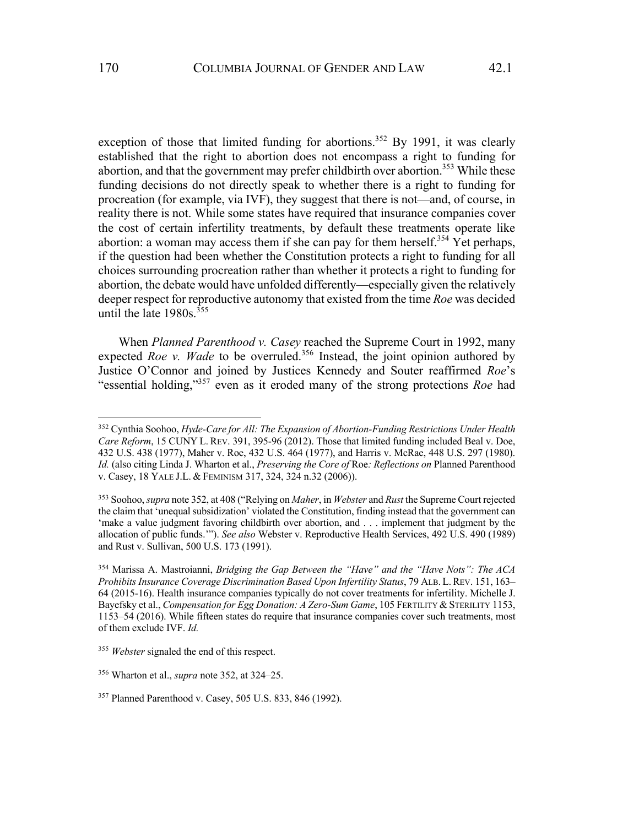exception of those that limited funding for abortions.<sup>352</sup> By 1991, it was clearly established that the right to abortion does not encompass a right to funding for abortion, and that the government may prefer childbirth over abortion.<sup>353</sup> While these funding decisions do not directly speak to whether there is a right to funding for procreation (for example, via IVF), they suggest that there is not—and, of course, in reality there is not. While some states have required that insurance companies cover the cost of certain infertility treatments, by default these treatments operate like abortion: a woman may access them if she can pay for them herself.<sup>354</sup> Yet perhaps, if the question had been whether the Constitution protects a right to funding for all choices surrounding procreation rather than whether it protects a right to funding for abortion, the debate would have unfolded differently—especially given the relatively deeper respect for reproductive autonomy that existed from the time *Roe* was decided until the late  $1980s.<sup>355</sup>$ 

When *Planned Parenthood v. Casey* reached the Supreme Court in 1992, many expected *Roe v. Wade* to be overruled.<sup>356</sup> Instead, the joint opinion authored by Justice O'Connor and joined by Justices Kennedy and Souter reaffirmed *Roe*'s "essential holding,"357 even as it eroded many of the strong protections *Roe* had

<sup>352</sup> Cynthia Soohoo, *Hyde-Care for All: The Expansion of Abortion-Funding Restrictions Under Health Care Reform*, 15 CUNY L. REV. 391, 395-96 (2012). Those that limited funding included Beal v. Doe, 432 U.S. 438 (1977), Maher v. Roe, 432 U.S. 464 (1977), and Harris v. McRae, 448 U.S. 297 (1980). *Id.* (also citing Linda J. Wharton et al., *Preserving the Core of* Roe*: Reflections on* Planned Parenthood v. Casey, 18 YALE J.L. & FEMINISM 317, 324, 324 n.32 (2006)).

<sup>353</sup> Soohoo, *supra* note 352, at 408 ("Relying on *Maher*, in *Webster* and *Rust* the Supreme Court rejected the claim that 'unequal subsidization' violated the Constitution, finding instead that the government can 'make a value judgment favoring childbirth over abortion, and . . . implement that judgment by the allocation of public funds.'"). *See also* Webster v. Reproductive Health Services, 492 U.S. 490 (1989) and Rust v. Sullivan, 500 U.S. 173 (1991).

<sup>354</sup> Marissa A. Mastroianni, *Bridging the Gap Between the "Have" and the "Have Nots": The ACA Prohibits Insurance Coverage Discrimination Based Upon Infertility Status*, 79 ALB. L.REV. 151, 163– 64 (2015-16). Health insurance companies typically do not cover treatments for infertility. Michelle J. Bayefsky et al., *Compensation for Egg Donation: A Zero-Sum Game*, 105 FERTILITY & STERILITY 1153, 1153–54 (2016). While fifteen states do require that insurance companies cover such treatments, most of them exclude IVF. *Id.*

<sup>355</sup> *Webster* signaled the end of this respect.

<sup>356</sup> Wharton et al., *supra* note 352, at 324–25.

<sup>357</sup> Planned Parenthood v. Casey, 505 U.S. 833, 846 (1992).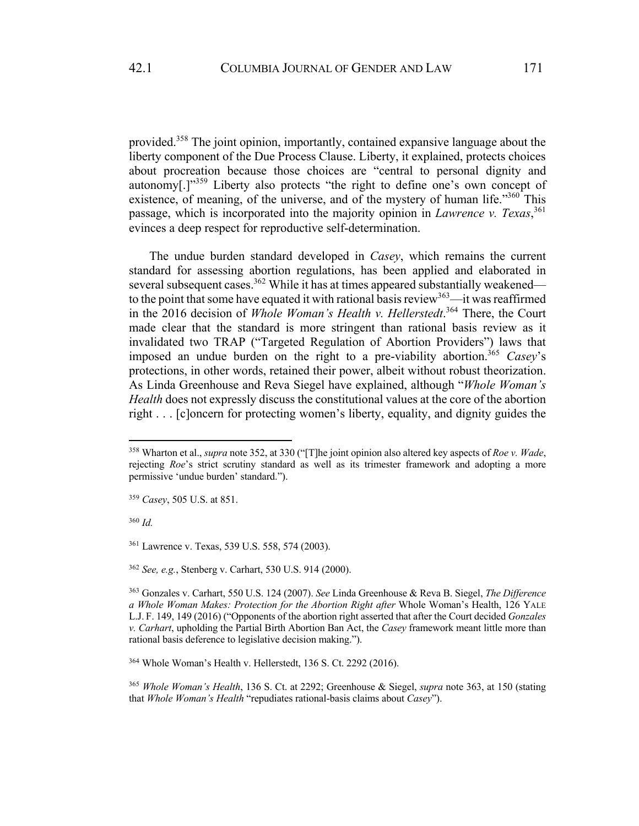provided.358 The joint opinion, importantly, contained expansive language about the liberty component of the Due Process Clause. Liberty, it explained, protects choices about procreation because those choices are "central to personal dignity and autonomy[.]"<sup>359</sup> Liberty also protects "the right to define one's own concept of existence, of meaning, of the universe, and of the mystery of human life."<sup>360</sup> This passage, which is incorporated into the majority opinion in *Lawrence v. Texas*, 361 evinces a deep respect for reproductive self-determination.

The undue burden standard developed in *Casey*, which remains the current standard for assessing abortion regulations, has been applied and elaborated in several subsequent cases.<sup>362</sup> While it has at times appeared substantially weakened to the point that some have equated it with rational basis review<sup>363</sup>—it was reaffirmed in the 2016 decision of *Whole Woman's Health v. Hellerstedt*. <sup>364</sup> There, the Court made clear that the standard is more stringent than rational basis review as it invalidated two TRAP ("Targeted Regulation of Abortion Providers") laws that imposed an undue burden on the right to a pre-viability abortion.365 *Casey*'s protections, in other words, retained their power, albeit without robust theorization. As Linda Greenhouse and Reva Siegel have explained, although "*Whole Woman's Health* does not expressly discuss the constitutional values at the core of the abortion right . . . [c]oncern for protecting women's liberty, equality, and dignity guides the

<sup>358</sup> Wharton et al., *supra* note 352, at 330 ("[T]he joint opinion also altered key aspects of *Roe v. Wade*, rejecting *Roe*'s strict scrutiny standard as well as its trimester framework and adopting a more permissive 'undue burden' standard.").

<sup>359</sup> *Casey*, 505 U.S. at 851.

<sup>361</sup> Lawrence v. Texas, 539 U.S. 558, 574 (2003).

<sup>362</sup> *See, e.g.*, Stenberg v. Carhart, 530 U.S. 914 (2000).

<sup>363</sup> Gonzales v. Carhart, 550 U.S. 124 (2007). *See* Linda Greenhouse & Reva B. Siegel, *The Difference a Whole Woman Makes: Protection for the Abortion Right after* Whole Woman's Health, 126 YALE L.J. F. 149, 149 (2016) ("Opponents of the abortion right asserted that after the Court decided *Gonzales v. Carhart*, upholding the Partial Birth Abortion Ban Act, the *Casey* framework meant little more than rational basis deference to legislative decision making.").

<sup>364</sup> Whole Woman's Health v. Hellerstedt, 136 S. Ct. 2292 (2016).

<sup>365</sup> *Whole Woman's Health*, 136 S. Ct. at 2292; Greenhouse & Siegel, *supra* note 363, at 150 (stating that *Whole Woman's Health* "repudiates rational-basis claims about *Casey*").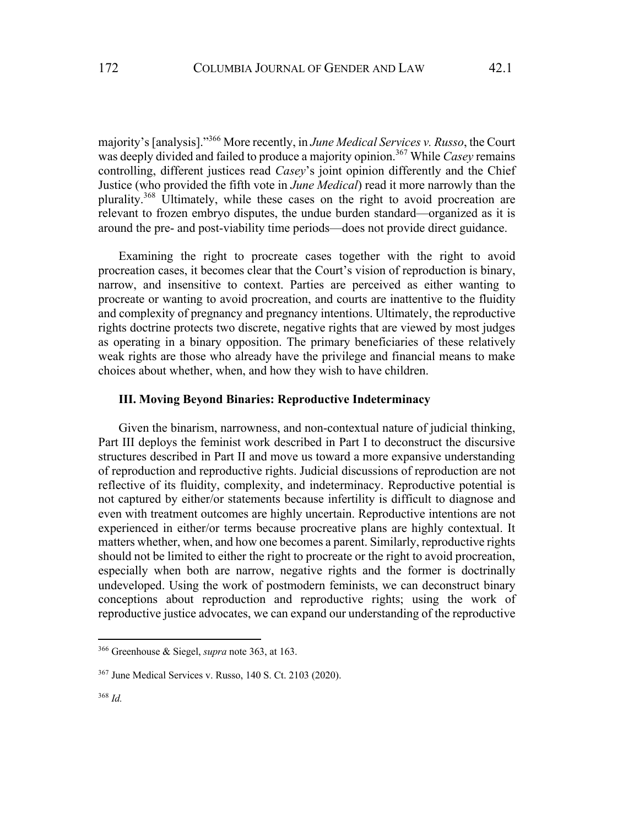majority's [analysis]."366 More recently, in *June Medical Services v. Russo*, the Court was deeply divided and failed to produce a majority opinion.<sup>367</sup> While *Casey* remains controlling, different justices read *Casey*'s joint opinion differently and the Chief Justice (who provided the fifth vote in *June Medical*) read it more narrowly than the plurality.<sup>368</sup> Ultimately, while these cases on the right to avoid procreation are relevant to frozen embryo disputes, the undue burden standard—organized as it is around the pre- and post-viability time periods—does not provide direct guidance.

Examining the right to procreate cases together with the right to avoid procreation cases, it becomes clear that the Court's vision of reproduction is binary, narrow, and insensitive to context. Parties are perceived as either wanting to procreate or wanting to avoid procreation, and courts are inattentive to the fluidity and complexity of pregnancy and pregnancy intentions. Ultimately, the reproductive rights doctrine protects two discrete, negative rights that are viewed by most judges as operating in a binary opposition. The primary beneficiaries of these relatively weak rights are those who already have the privilege and financial means to make choices about whether, when, and how they wish to have children.

#### **III. Moving Beyond Binaries: Reproductive Indeterminacy**

Given the binarism, narrowness, and non-contextual nature of judicial thinking, Part III deploys the feminist work described in Part I to deconstruct the discursive structures described in Part II and move us toward a more expansive understanding of reproduction and reproductive rights. Judicial discussions of reproduction are not reflective of its fluidity, complexity, and indeterminacy. Reproductive potential is not captured by either/or statements because infertility is difficult to diagnose and even with treatment outcomes are highly uncertain. Reproductive intentions are not experienced in either/or terms because procreative plans are highly contextual. It matters whether, when, and how one becomes a parent. Similarly, reproductive rights should not be limited to either the right to procreate or the right to avoid procreation, especially when both are narrow, negative rights and the former is doctrinally undeveloped. Using the work of postmodern feminists, we can deconstruct binary conceptions about reproduction and reproductive rights; using the work of reproductive justice advocates, we can expand our understanding of the reproductive

<sup>366</sup> Greenhouse & Siegel, *supra* note 363, at 163.

<sup>367</sup> June Medical Services v. Russo, 140 S. Ct. 2103 (2020).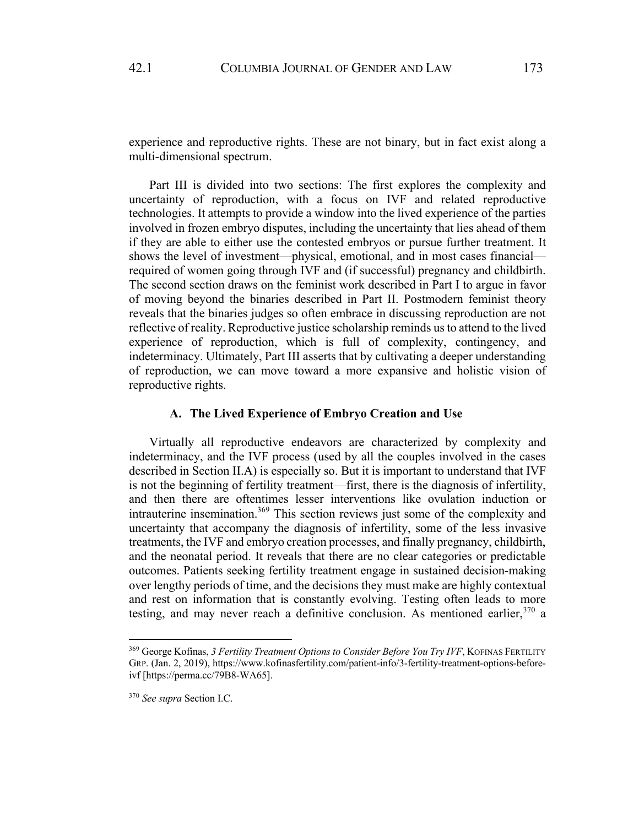experience and reproductive rights. These are not binary, but in fact exist along a multi-dimensional spectrum.

Part III is divided into two sections: The first explores the complexity and uncertainty of reproduction, with a focus on IVF and related reproductive technologies. It attempts to provide a window into the lived experience of the parties involved in frozen embryo disputes, including the uncertainty that lies ahead of them if they are able to either use the contested embryos or pursue further treatment. It shows the level of investment—physical, emotional, and in most cases financial required of women going through IVF and (if successful) pregnancy and childbirth. The second section draws on the feminist work described in Part I to argue in favor of moving beyond the binaries described in Part II. Postmodern feminist theory reveals that the binaries judges so often embrace in discussing reproduction are not reflective of reality. Reproductive justice scholarship reminds us to attend to the lived experience of reproduction, which is full of complexity, contingency, and indeterminacy. Ultimately, Part III asserts that by cultivating a deeper understanding of reproduction, we can move toward a more expansive and holistic vision of reproductive rights.

## **A. The Lived Experience of Embryo Creation and Use**

Virtually all reproductive endeavors are characterized by complexity and indeterminacy, and the IVF process (used by all the couples involved in the cases described in Section II.A) is especially so. But it is important to understand that IVF is not the beginning of fertility treatment—first, there is the diagnosis of infertility, and then there are oftentimes lesser interventions like ovulation induction or intrauterine insemination. $369$  This section reviews just some of the complexity and uncertainty that accompany the diagnosis of infertility, some of the less invasive treatments, the IVF and embryo creation processes, and finally pregnancy, childbirth, and the neonatal period. It reveals that there are no clear categories or predictable outcomes. Patients seeking fertility treatment engage in sustained decision-making over lengthy periods of time, and the decisions they must make are highly contextual and rest on information that is constantly evolving. Testing often leads to more testing, and may never reach a definitive conclusion. As mentioned earlier, 370 a

<sup>&</sup>lt;sup>369</sup> George Kofinas, *3 Fertility Treatment Options to Consider Before You Try IVF*, KOFINAS FERTILITY GRP. (Jan. 2, 2019), https://www.kofinasfertility.com/patient-info/3-fertility-treatment-options-beforeivf [https://perma.cc/79B8-WA65].

<sup>370</sup> *See supra* Section I.C.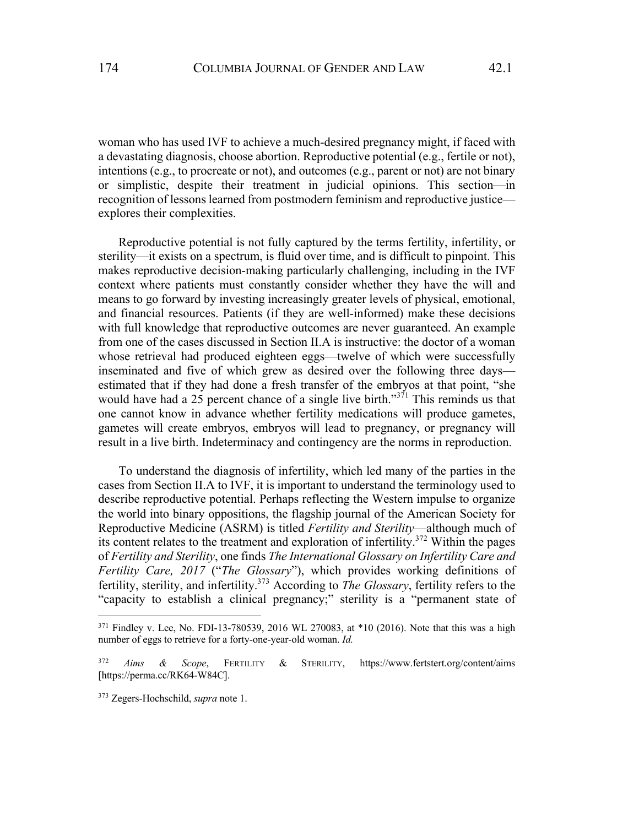woman who has used IVF to achieve a much-desired pregnancy might, if faced with a devastating diagnosis, choose abortion. Reproductive potential (e.g., fertile or not), intentions (e.g., to procreate or not), and outcomes (e.g., parent or not) are not binary or simplistic, despite their treatment in judicial opinions. This section—in recognition of lessons learned from postmodern feminism and reproductive justice explores their complexities.

Reproductive potential is not fully captured by the terms fertility, infertility, or sterility—it exists on a spectrum, is fluid over time, and is difficult to pinpoint. This makes reproductive decision-making particularly challenging, including in the IVF context where patients must constantly consider whether they have the will and means to go forward by investing increasingly greater levels of physical, emotional, and financial resources. Patients (if they are well-informed) make these decisions with full knowledge that reproductive outcomes are never guaranteed. An example from one of the cases discussed in Section II.A is instructive: the doctor of a woman whose retrieval had produced eighteen eggs—twelve of which were successfully inseminated and five of which grew as desired over the following three days estimated that if they had done a fresh transfer of the embryos at that point, "she would have had a  $25$  percent chance of a single live birth."<sup>371</sup> This reminds us that one cannot know in advance whether fertility medications will produce gametes, gametes will create embryos, embryos will lead to pregnancy, or pregnancy will result in a live birth. Indeterminacy and contingency are the norms in reproduction.

To understand the diagnosis of infertility, which led many of the parties in the cases from Section II.A to IVF, it is important to understand the terminology used to describe reproductive potential. Perhaps reflecting the Western impulse to organize the world into binary oppositions, the flagship journal of the American Society for Reproductive Medicine (ASRM) is titled *Fertility and Sterility*—although much of its content relates to the treatment and exploration of infertility.<sup>372</sup> Within the pages of *Fertility and Sterility*, one finds *The International Glossary on Infertility Care and Fertility Care, 2017* ("*The Glossary*"), which provides working definitions of fertility, sterility, and infertility.373 According to *The Glossary*, fertility refers to the "capacity to establish a clinical pregnancy;" sterility is a "permanent state of

 $371$  Findley v. Lee, No. FDI-13-780539, 2016 WL 270083, at  $*10$  (2016). Note that this was a high number of eggs to retrieve for a forty-one-year-old woman. *Id.*

<sup>372</sup> *Aims & Scope*, FERTILITY & STERILITY, https://www.fertstert.org/content/aims [https://perma.cc/RK64-W84C].

<sup>373</sup> Zegers-Hochschild, *supra* note 1.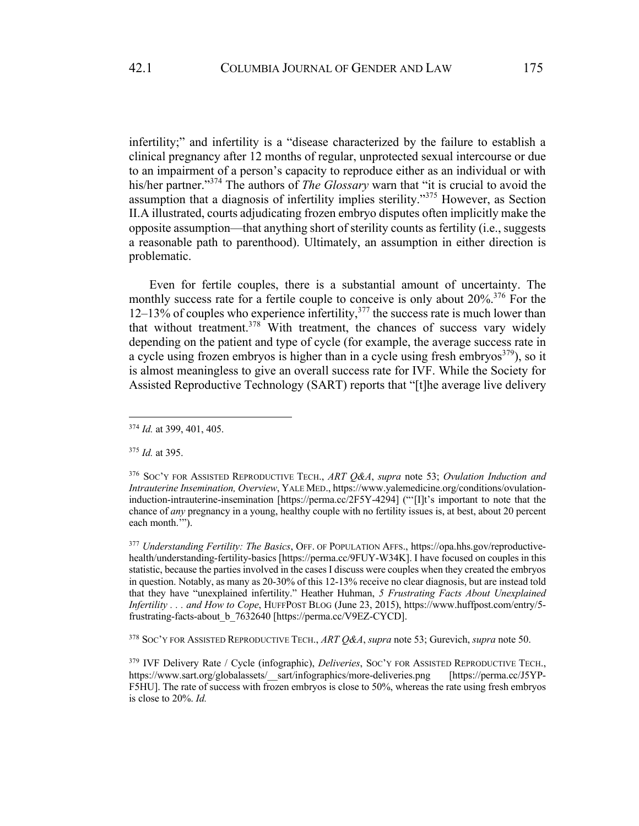infertility;" and infertility is a "disease characterized by the failure to establish a clinical pregnancy after 12 months of regular, unprotected sexual intercourse or due to an impairment of a person's capacity to reproduce either as an individual or with his/her partner."<sup>374</sup> The authors of *The Glossary* warn that "it is crucial to avoid the assumption that a diagnosis of infertility implies sterility."<sup>375</sup> However, as Section II.A illustrated, courts adjudicating frozen embryo disputes often implicitly make the opposite assumption—that anything short of sterility counts as fertility (i.e., suggests a reasonable path to parenthood). Ultimately, an assumption in either direction is problematic.

Even for fertile couples, there is a substantial amount of uncertainty. The monthly success rate for a fertile couple to conceive is only about 20%.<sup>376</sup> For the 12–13% of couples who experience infertility, <sup>377</sup> the success rate is much lower than that without treatment. $378$  With treatment, the chances of success vary widely depending on the patient and type of cycle (for example, the average success rate in a cycle using frozen embryos is higher than in a cycle using fresh embryos<sup>379</sup>), so it is almost meaningless to give an overall success rate for IVF. While the Society for Assisted Reproductive Technology (SART) reports that "[t]he average live delivery

<sup>378</sup> SOC'Y FOR ASSISTED REPRODUCTIVE TECH., *ART Q&A*, *supra* note 53; Gurevich, *supra* note 50.

<sup>374</sup> *Id.* at 399, 401, 405.

<sup>375</sup> *Id.* at 395.

<sup>376</sup> SOC'Y FOR ASSISTED REPRODUCTIVE TECH., *ART Q&A*, *supra* note 53; *Ovulation Induction and Intrauterine Insemination, Overview*, YALE MED., https://www.yalemedicine.org/conditions/ovulationinduction-intrauterine-insemination [https://perma.cc/2F5Y-4294] ("'[I]t's important to note that the chance of *any* pregnancy in a young, healthy couple with no fertility issues is, at best, about 20 percent each month.'").

<sup>377</sup> *Understanding Fertility: The Basics*, OFF. OF POPULATION AFFS., https://opa.hhs.gov/reproductivehealth/understanding-fertility-basics [https://perma.cc/9FUY-W34K]. I have focused on couples in this statistic, because the parties involved in the cases I discuss were couples when they created the embryos in question. Notably, as many as 20-30% of this 12-13% receive no clear diagnosis, but are instead told that they have "unexplained infertility." Heather Huhman, *5 Frustrating Facts About Unexplained Infertility . . . and How to Cope*, HUFFPOST BLOG (June 23, 2015), https://www.huffpost.com/entry/5 frustrating-facts-about\_b\_7632640 [https://perma.cc/V9EZ-CYCD].

<sup>379</sup> IVF Delivery Rate / Cycle (infographic), *Deliveries*, SOC'Y FOR ASSISTED REPRODUCTIVE TECH., https://www.sart.org/globalassets/\_\_sart/infographics/more-deliveries.png [https://perma.cc/J5YP-F5HU]. The rate of success with frozen embryos is close to 50%, whereas the rate using fresh embryos is close to 20%. *Id.*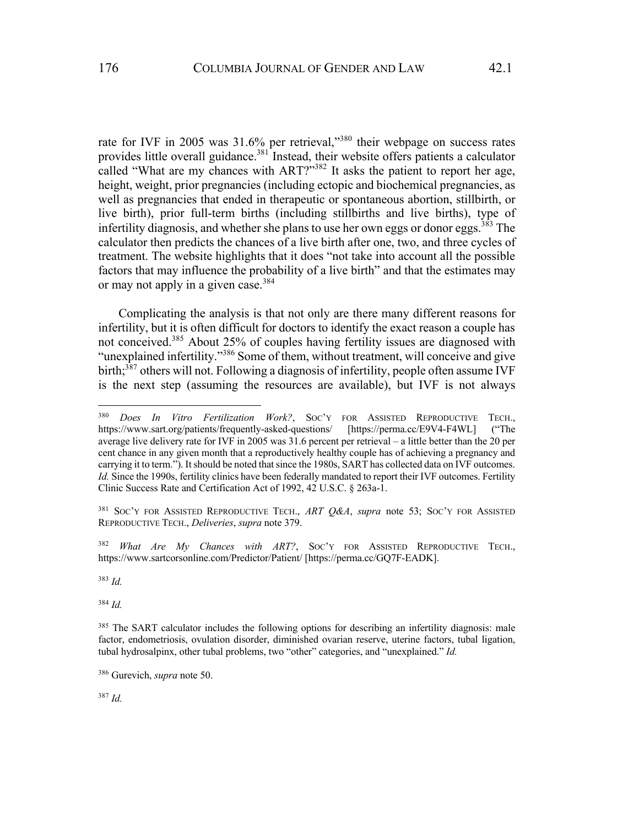rate for IVF in 2005 was  $31.6\%$  per retrieval,"<sup>380</sup> their webpage on success rates provides little overall guidance.<sup>381</sup> Instead, their website offers patients a calculator called "What are my chances with ART?"<sup>382</sup> It asks the patient to report her age, height, weight, prior pregnancies (including ectopic and biochemical pregnancies, as well as pregnancies that ended in therapeutic or spontaneous abortion, stillbirth, or live birth), prior full-term births (including stillbirths and live births), type of infertility diagnosis, and whether she plans to use her own eggs or donor eggs.<sup>383</sup> The calculator then predicts the chances of a live birth after one, two, and three cycles of treatment. The website highlights that it does "not take into account all the possible factors that may influence the probability of a live birth" and that the estimates may or may not apply in a given case.  $384$ 

Complicating the analysis is that not only are there many different reasons for infertility, but it is often difficult for doctors to identify the exact reason a couple has not conceived.<sup>385</sup> About 25% of couples having fertility issues are diagnosed with "unexplained infertility."<sup>386</sup> Some of them, without treatment, will conceive and give birth;<sup>387</sup> others will not. Following a diagnosis of infertility, people often assume IVF is the next step (assuming the resources are available), but IVF is not always

<sup>381</sup> SOC'Y FOR ASSISTED REPRODUCTIVE TECH., *ART Q&A*, *supra* note 53; SOC'Y FOR ASSISTED REPRODUCTIVE TECH., *Deliveries*, *supra* note 379.

<sup>382</sup> *What Are My Chances with ART?*, SOC'Y FOR ASSISTED REPRODUCTIVE TECH., https://www.sartcorsonline.com/Predictor/Patient/ [https://perma.cc/GQ7F-EADK].

<sup>383</sup> *Id.*

<sup>384</sup> *Id.*

<sup>380</sup> *Does In Vitro Fertilization Work?*, SOC'Y FOR ASSISTED REPRODUCTIVE TECH., https://www.sart.org/patients/frequently-asked-questions/ [https://perma.cc/E9V4-F4WL] ("The average live delivery rate for IVF in 2005 was 31.6 percent per retrieval – a little better than the 20 per cent chance in any given month that a reproductively healthy couple has of achieving a pregnancy and carrying it to term."). It should be noted that since the 1980s, SART has collected data on IVF outcomes. *Id.* Since the 1990s, fertility clinics have been federally mandated to report their IVF outcomes. Fertility Clinic Success Rate and Certification Act of 1992, 42 U.S.C. § 263a-1.

<sup>&</sup>lt;sup>385</sup> The SART calculator includes the following options for describing an infertility diagnosis: male factor, endometriosis, ovulation disorder, diminished ovarian reserve, uterine factors, tubal ligation, tubal hydrosalpinx, other tubal problems, two "other" categories, and "unexplained." *Id.*

<sup>386</sup> Gurevich, *supra* note 50.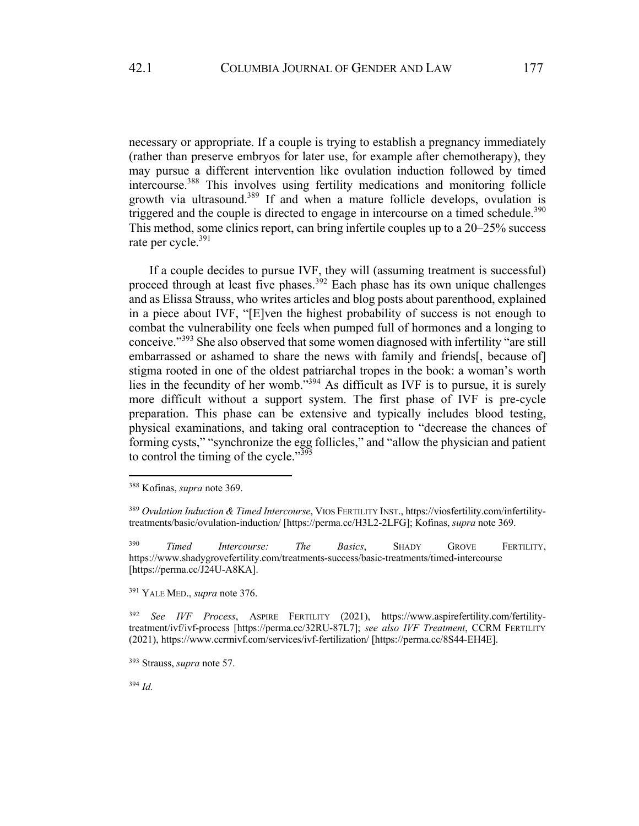necessary or appropriate. If a couple is trying to establish a pregnancy immediately (rather than preserve embryos for later use, for example after chemotherapy), they may pursue a different intervention like ovulation induction followed by timed intercourse.<sup>388</sup> This involves using fertility medications and monitoring follicle growth via ultrasound.<sup>389</sup> If and when a mature follicle develops, ovulation is triggered and the couple is directed to engage in intercourse on a timed schedule.<sup>390</sup> This method, some clinics report, can bring infertile couples up to a 20–25% success rate per cycle.<sup>391</sup>

If a couple decides to pursue IVF, they will (assuming treatment is successful) proceed through at least five phases.<sup>392</sup> Each phase has its own unique challenges and as Elissa Strauss, who writes articles and blog posts about parenthood, explained in a piece about IVF, "[E]ven the highest probability of success is not enough to combat the vulnerability one feels when pumped full of hormones and a longing to conceive."<sup>393</sup> She also observed that some women diagnosed with infertility "are still embarrassed or ashamed to share the news with family and friends[, because of] stigma rooted in one of the oldest patriarchal tropes in the book: a woman's worth lies in the fecundity of her womb."394 As difficult as IVF is to pursue, it is surely more difficult without a support system. The first phase of IVF is pre-cycle preparation. This phase can be extensive and typically includes blood testing, physical examinations, and taking oral contraception to "decrease the chances of forming cysts," "synchronize the egg follicles," and "allow the physician and patient to control the timing of the cycle."<sup>395</sup>

<sup>391</sup> YALE MED., *supra* note 376.

<sup>392</sup> *See IVF Process*, ASPIRE FERTILITY (2021), https://www.aspirefertility.com/fertilitytreatment/ivf/ivf-process [https://perma.cc/32RU-87L7]; *see also IVF Treatment*, CCRM FERTILITY (2021), https://www.ccrmivf.com/services/ivf-fertilization/ [https://perma.cc/8S44-EH4E].

<sup>388</sup> Kofinas, *supra* note 369.

<sup>389</sup> *Ovulation Induction & Timed Intercourse*, VIOS FERTILITY INST., https://viosfertility.com/infertilitytreatments/basic/ovulation-induction/ [https://perma.cc/H3L2-2LFG]; Kofinas, *supra* note 369.

<sup>390</sup> *Timed Intercourse: The Basics*, SHADY GROVE FERTILITY, https://www.shadygrovefertility.com/treatments-success/basic-treatments/timed-intercourse [https://perma.cc/J24U-A8KA].

<sup>393</sup> Strauss, *supra* note 57.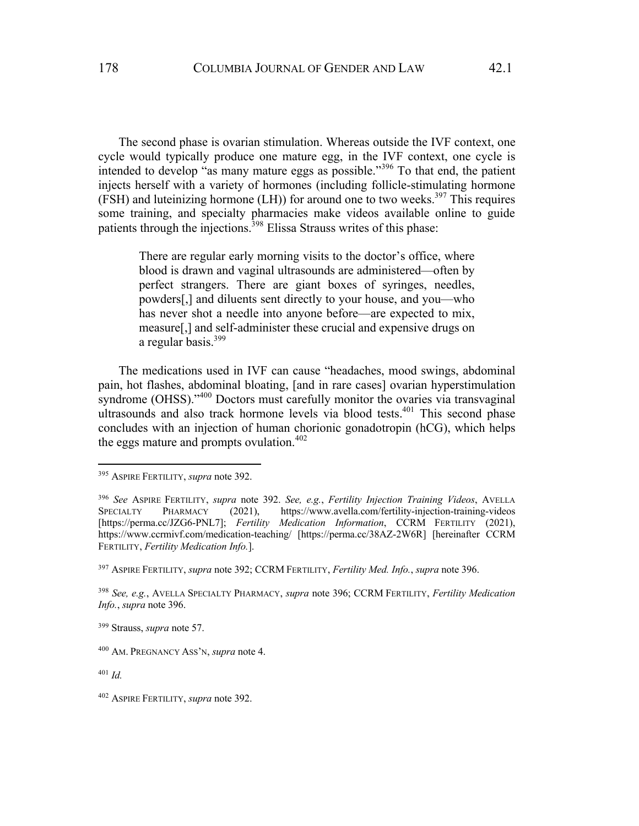The second phase is ovarian stimulation. Whereas outside the IVF context, one cycle would typically produce one mature egg, in the IVF context, one cycle is intended to develop "as many mature eggs as possible."<sup>396</sup> To that end, the patient injects herself with a variety of hormones (including follicle-stimulating hormone (FSH) and luteinizing hormone (LH)) for around one to two weeks.<sup>397</sup> This requires some training, and specialty pharmacies make videos available online to guide patients through the injections.398 Elissa Strauss writes of this phase:

There are regular early morning visits to the doctor's office, where blood is drawn and vaginal ultrasounds are administered—often by perfect strangers. There are giant boxes of syringes, needles, powders[,] and diluents sent directly to your house, and you—who has never shot a needle into anyone before—are expected to mix, measure[,] and self-administer these crucial and expensive drugs on a regular basis.<sup>399</sup>

The medications used in IVF can cause "headaches, mood swings, abdominal pain, hot flashes, abdominal bloating, [and in rare cases] ovarian hyperstimulation syndrome (OHSS)."<sup>400</sup> Doctors must carefully monitor the ovaries via transvaginal ultrasounds and also track hormone levels via blood tests.<sup>401</sup> This second phase concludes with an injection of human chorionic gonadotropin (hCG), which helps the eggs mature and prompts ovulation.<sup>402</sup>

<sup>395</sup> ASPIRE FERTILITY, *supra* note 392.

<sup>396</sup> *See* ASPIRE FERTILITY, *supra* note 392. *See, e.g.*, *Fertility Injection Training Videos*, AVELLA SPECIALTY PHARMACY (2021), https://www.avella.com/fertility-injection-training-videos [https://perma.cc/JZG6-PNL7]; *Fertility Medication Information*, CCRM FERTILITY (2021), https://www.ccrmivf.com/medication-teaching/ [https://perma.cc/38AZ-2W6R] [hereinafter CCRM FERTILITY, *Fertility Medication Info.*].

<sup>397</sup> ASPIRE FERTILITY, *supra* note 392; CCRM FERTILITY, *Fertility Med. Info.*, *supra* note 396.

<sup>398</sup> *See, e.g.*, AVELLA SPECIALTY PHARMACY, *supra* note 396; CCRM FERTILITY, *Fertility Medication Info.*, *supra* note 396.

<sup>399</sup> Strauss, *supra* note 57.

<sup>400</sup> AM. PREGNANCY ASS'N, *supra* note 4.

<sup>402</sup> ASPIRE FERTILITY, *supra* note 392.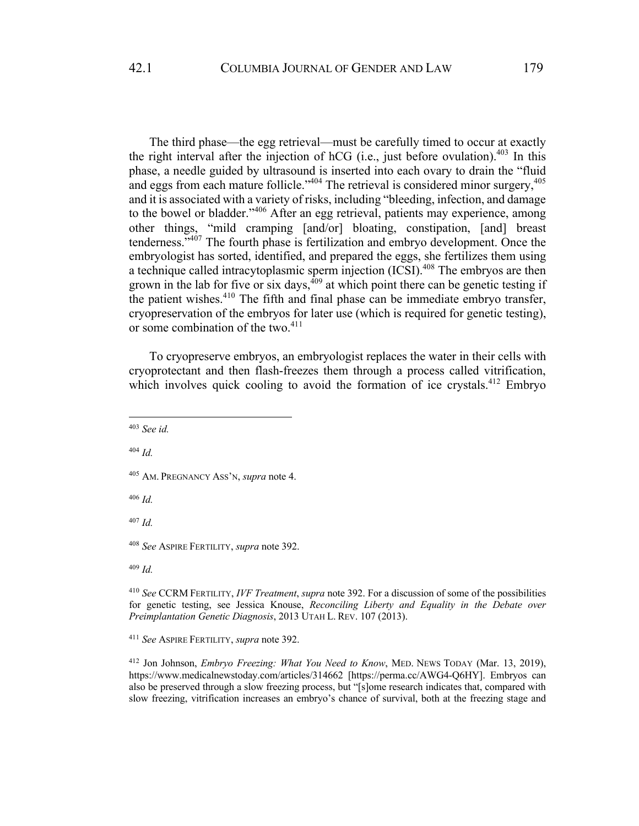The third phase—the egg retrieval—must be carefully timed to occur at exactly the right interval after the injection of hCG (i.e., just before ovulation).<sup>403</sup> In this phase, a needle guided by ultrasound is inserted into each ovary to drain the "fluid and eggs from each mature follicle."<sup>404</sup> The retrieval is considered minor surgery,<sup>405</sup> and it is associated with a variety of risks, including "bleeding, infection, and damage to the bowel or bladder."<sup>406</sup> After an egg retrieval, patients may experience, among other things, "mild cramping [and/or] bloating, constipation, [and] breast tenderness."407 The fourth phase is fertilization and embryo development. Once the embryologist has sorted, identified, and prepared the eggs, she fertilizes them using a technique called intracytoplasmic sperm injection (ICSI).<sup>408</sup> The embryos are then grown in the lab for five or six days,  $409$  at which point there can be genetic testing if the patient wishes.<sup>410</sup> The fifth and final phase can be immediate embryo transfer, cryopreservation of the embryos for later use (which is required for genetic testing), or some combination of the two. $411$ 

To cryopreserve embryos, an embryologist replaces the water in their cells with cryoprotectant and then flash-freezes them through a process called vitrification, which involves quick cooling to avoid the formation of ice crystals.<sup>412</sup> Embryo

<sup>404</sup> *Id.*

<sup>406</sup> *Id.*

<sup>407</sup> *Id.*

<sup>408</sup> *See* ASPIRE FERTILITY, *supra* note 392.

<sup>410</sup> *See* CCRM FERTILITY, *IVF Treatment*, *supra* note 392. For a discussion of some of the possibilities for genetic testing, see Jessica Knouse, *Reconciling Liberty and Equality in the Debate over Preimplantation Genetic Diagnosis*, 2013 UTAH L. REV. 107 (2013).

<sup>411</sup> *See* ASPIRE FERTILITY, *supra* note 392.

<sup>412</sup> Jon Johnson, *Embryo Freezing: What You Need to Know*, MED. NEWS TODAY (Mar. 13, 2019), https://www.medicalnewstoday.com/articles/314662 [https://perma.cc/AWG4-Q6HY]. Embryos can also be preserved through a slow freezing process, but "[s]ome research indicates that, compared with slow freezing, vitrification increases an embryo's chance of survival, both at the freezing stage and

<sup>403</sup> *See id.*

<sup>405</sup> AM. PREGNANCY ASS'N, *supra* note 4.

<sup>409</sup> *Id.*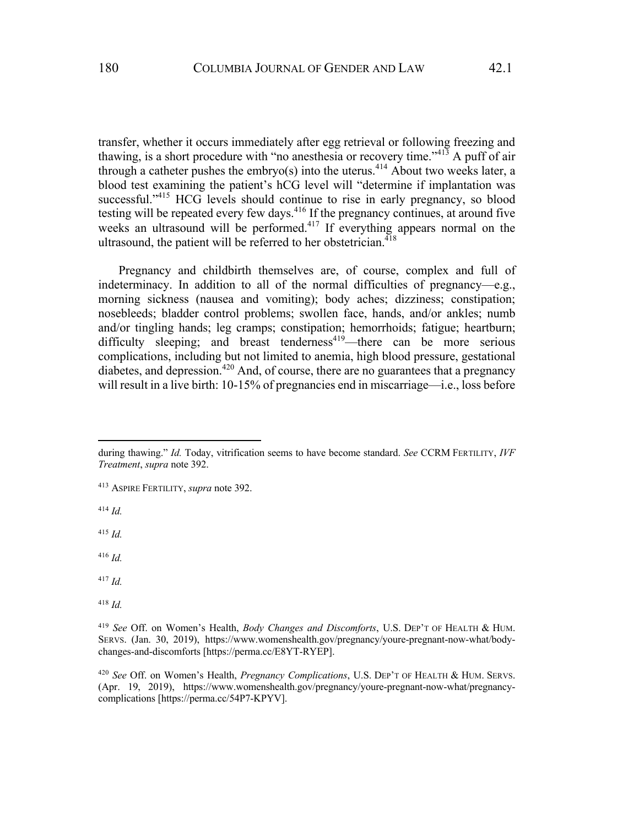transfer, whether it occurs immediately after egg retrieval or following freezing and thawing, is a short procedure with "no anesthesia or recovery time."<sup> $41\overline{3}$ </sup> A puff of air through a catheter pushes the embryo(s) into the uterus.<sup>414</sup> About two weeks later, a blood test examining the patient's hCG level will "determine if implantation was successful."<sup>415</sup> HCG levels should continue to rise in early pregnancy, so blood testing will be repeated every few days.<sup>416</sup> If the pregnancy continues, at around five weeks an ultrasound will be performed.<sup>417</sup> If everything appears normal on the ultrasound, the patient will be referred to her obstetrician.<sup>418</sup>

Pregnancy and childbirth themselves are, of course, complex and full of indeterminacy. In addition to all of the normal difficulties of pregnancy—e.g., morning sickness (nausea and vomiting); body aches; dizziness; constipation; nosebleeds; bladder control problems; swollen face, hands, and/or ankles; numb and/or tingling hands; leg cramps; constipation; hemorrhoids; fatigue; heartburn; difficulty sleeping; and breast tenderness<sup>419</sup>—there can be more serious complications, including but not limited to anemia, high blood pressure, gestational diabetes, and depression.<sup>420</sup> And, of course, there are no guarantees that a pregnancy will result in a live birth: 10-15% of pregnancies end in miscarriage—i.e., loss before

<sup>414</sup> *Id.*

- <sup>417</sup> *Id.*
- <sup>418</sup> *Id.*

during thawing." *Id.* Today, vitrification seems to have become standard. *See* CCRM FERTILITY, *IVF Treatment*, *supra* note 392.

<sup>413</sup> ASPIRE FERTILITY, *supra* note 392.

<sup>416</sup> *Id.*

<sup>419</sup> *See* Off. on Women's Health, *Body Changes and Discomforts*, U.S. DEP'T OF HEALTH & HUM. SERVS. (Jan. 30, 2019), https://www.womenshealth.gov/pregnancy/youre-pregnant-now-what/bodychanges-and-discomforts [https://perma.cc/E8YT-RYEP].

<sup>420</sup> *See* Off. on Women's Health, *Pregnancy Complications*, U.S. DEP'T OF HEALTH & HUM. SERVS. (Apr. 19, 2019), https://www.womenshealth.gov/pregnancy/youre-pregnant-now-what/pregnancycomplications [https://perma.cc/54P7-KPYV].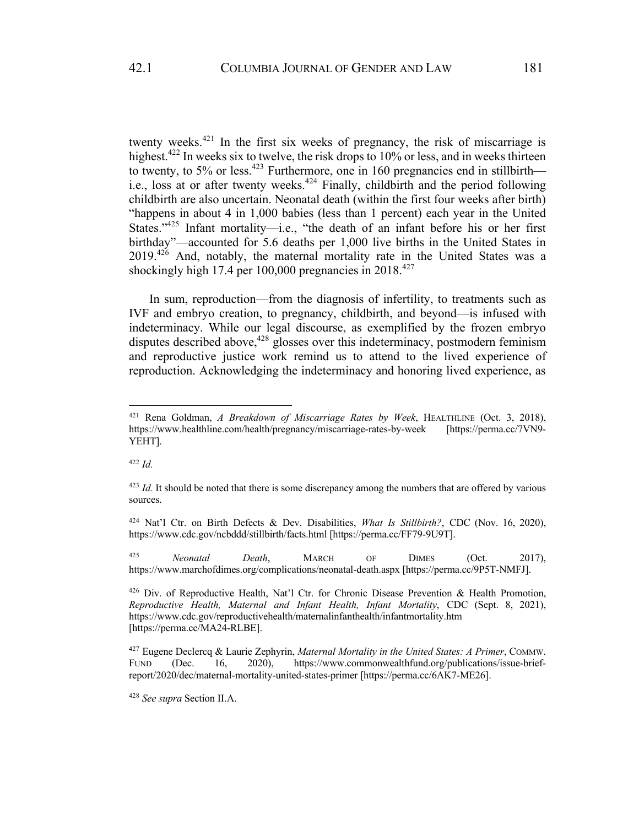twenty weeks.<sup>421</sup> In the first six weeks of pregnancy, the risk of miscarriage is highest.<sup>422</sup> In weeks six to twelve, the risk drops to 10% or less, and in weeks thirteen to twenty, to 5% or less.<sup>423</sup> Furthermore, one in 160 pregnancies end in stillbirth i.e., loss at or after twenty weeks.<sup>424</sup> Finally, childbirth and the period following childbirth are also uncertain. Neonatal death (within the first four weeks after birth) "happens in about 4 in 1,000 babies (less than 1 percent) each year in the United States."425 Infant mortality—i.e., "the death of an infant before his or her first birthday"—accounted for 5.6 deaths per 1,000 live births in the United States in  $2019.<sup>426</sup>$  And, notably, the maternal mortality rate in the United States was a shockingly high 17.4 per 100,000 pregnancies in  $2018^{427}$ 

In sum, reproduction—from the diagnosis of infertility, to treatments such as IVF and embryo creation, to pregnancy, childbirth, and beyond—is infused with indeterminacy. While our legal discourse, as exemplified by the frozen embryo disputes described above,<sup>428</sup> glosses over this indeterminacy, postmodern feminism and reproductive justice work remind us to attend to the lived experience of reproduction. Acknowledging the indeterminacy and honoring lived experience, as

<sup>422</sup> *Id.*

<sup>425</sup> *Neonatal Death*, MARCH OF DIMES (Oct. 2017), https://www.marchofdimes.org/complications/neonatal-death.aspx [https://perma.cc/9P5T-NMFJ].

<sup>421</sup> Rena Goldman, *A Breakdown of Miscarriage Rates by Week*, HEALTHLINE (Oct. 3, 2018), https://www.healthline.com/health/pregnancy/miscarriage-rates-by-week [https://perma.cc/7VN9- YEHT].

<sup>&</sup>lt;sup>423</sup> *Id.* It should be noted that there is some discrepancy among the numbers that are offered by various sources.

<sup>424</sup> Nat'l Ctr. on Birth Defects & Dev. Disabilities, *What Is Stillbirth?*, CDC (Nov. 16, 2020), https://www.cdc.gov/ncbddd/stillbirth/facts.html [https://perma.cc/FF79-9U9T].

<sup>426</sup> Div. of Reproductive Health, Nat'l Ctr. for Chronic Disease Prevention & Health Promotion, *Reproductive Health, Maternal and Infant Health, Infant Mortality*, CDC (Sept. 8, 2021), https://www.cdc.gov/reproductivehealth/maternalinfanthealth/infantmortality.htm [https://perma.cc/MA24-RLBE].

<sup>427</sup> Eugene Declercq & Laurie Zephyrin, *Maternal Mortality in the United States: A Primer*, COMMW. FUND (Dec. 16, 2020), https://www.commonwealthfund.org/publications/issue-briefreport/2020/dec/maternal-mortality-united-states-primer [https://perma.cc/6AK7-ME26].

<sup>428</sup> *See supra* Section II.A.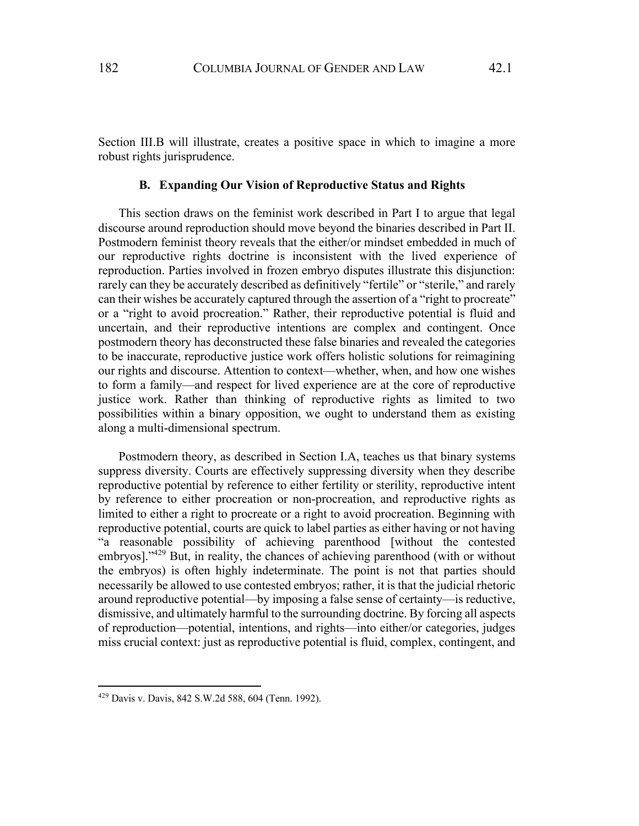Section III.B will illustrate, creates a positive space in which to imagine a more robust rights jurisprudence.

### **B. Expanding Our Vision of Reproductive Status and Rights**

This section draws on the feminist work described in Part I to argue that legal discourse around reproduction should move beyond the binaries described in Part II. Postmodern feminist theory reveals that the either/or mindset embedded in much of our reproductive rights doctrine is inconsistent with the lived experience of reproduction. Parties involved in frozen embryo disputes illustrate this disjunction: rarely can they be accurately described as definitively "fertile" or "sterile," and rarely can their wishes be accurately captured through the assertion of a "right to procreate" or a "right to avoid procreation." Rather, their reproductive potential is fluid and uncertain, and their reproductive intentions are complex and contingent. Once postmodern theory has deconstructed these false binaries and revealed the categories to be inaccurate, reproductive justice work offers holistic solutions for reimagining our rights and discourse. Attention to context—whether, when, and how one wishes to form a family—and respect for lived experience are at the core of reproductive justice work. Rather than thinking of reproductive rights as limited to two possibilities within a binary opposition, we ought to understand them as existing along a multi-dimensional spectrum.

Postmodern theory, as described in Section I.A, teaches us that binary systems suppress diversity. Courts are effectively suppressing diversity when they describe reproductive potential by reference to either fertility or sterility, reproductive intent by reference to either procreation or non-procreation, and reproductive rights as limited to either a right to procreate or a right to avoid procreation. Beginning with reproductive potential, courts are quick to label parties as either having or not having "a reasonable possibility of achieving parenthood [without the contested embryos]."<sup>429</sup> But, in reality, the chances of achieving parenthood (with or without the embryos) is often highly indeterminate. The point is not that parties should necessarily be allowed to use contested embryos; rather, it is that the judicial rhetoric around reproductive potential—by imposing a false sense of certainty—is reductive, dismissive, and ultimately harmful to the surrounding doctrine. By forcing all aspects of reproduction—potential, intentions, and rights—into either/or categories, judges miss crucial context: just as reproductive potential is fluid, complex, contingent, and

<sup>429</sup> Davis v. Davis, 842 S.W.2d 588, 604 (Tenn. 1992).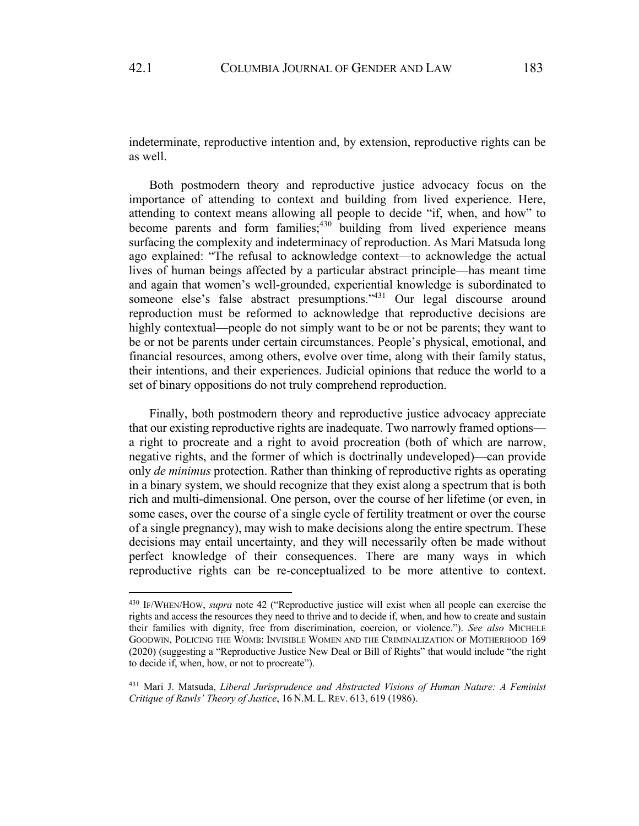indeterminate, reproductive intention and, by extension, reproductive rights can be as well.

Both postmodern theory and reproductive justice advocacy focus on the importance of attending to context and building from lived experience. Here, attending to context means allowing all people to decide "if, when, and how" to become parents and form families;  $430$  building from lived experience means surfacing the complexity and indeterminacy of reproduction. As Mari Matsuda long ago explained: "The refusal to acknowledge context—to acknowledge the actual lives of human beings affected by a particular abstract principle—has meant time and again that women's well-grounded, experiential knowledge is subordinated to someone else's false abstract presumptions."<sup>431</sup> Our legal discourse around reproduction must be reformed to acknowledge that reproductive decisions are highly contextual—people do not simply want to be or not be parents; they want to be or not be parents under certain circumstances. People's physical, emotional, and financial resources, among others, evolve over time, along with their family status, their intentions, and their experiences. Judicial opinions that reduce the world to a set of binary oppositions do not truly comprehend reproduction.

Finally, both postmodern theory and reproductive justice advocacy appreciate that our existing reproductive rights are inadequate. Two narrowly framed options a right to procreate and a right to avoid procreation (both of which are narrow, negative rights, and the former of which is doctrinally undeveloped)—can provide only *de minimus* protection. Rather than thinking of reproductive rights as operating in a binary system, we should recognize that they exist along a spectrum that is both rich and multi-dimensional. One person, over the course of her lifetime (or even, in some cases, over the course of a single cycle of fertility treatment or over the course of a single pregnancy), may wish to make decisions along the entire spectrum. These decisions may entail uncertainty, and they will necessarily often be made without perfect knowledge of their consequences. There are many ways in which reproductive rights can be re-conceptualized to be more attentive to context.

<sup>430</sup> IF/WHEN/HOW, *supra* note 42 ("Reproductive justice will exist when all people can exercise the rights and access the resources they need to thrive and to decide if, when, and how to create and sustain their families with dignity, free from discrimination, coercion, or violence."). *See also* MICHELE GOODWIN, POLICING THE WOMB: INVISIBLE WOMEN AND THE CRIMINALIZATION OF MOTHERHOOD 169 (2020) (suggesting a "Reproductive Justice New Deal or Bill of Rights" that would include "the right to decide if, when, how, or not to procreate").

<sup>431</sup> Mari J. Matsuda, *Liberal Jurisprudence and Abstracted Visions of Human Nature: A Feminist Critique of Rawls' Theory of Justice*, 16 N.M. L. REV. 613, 619 (1986).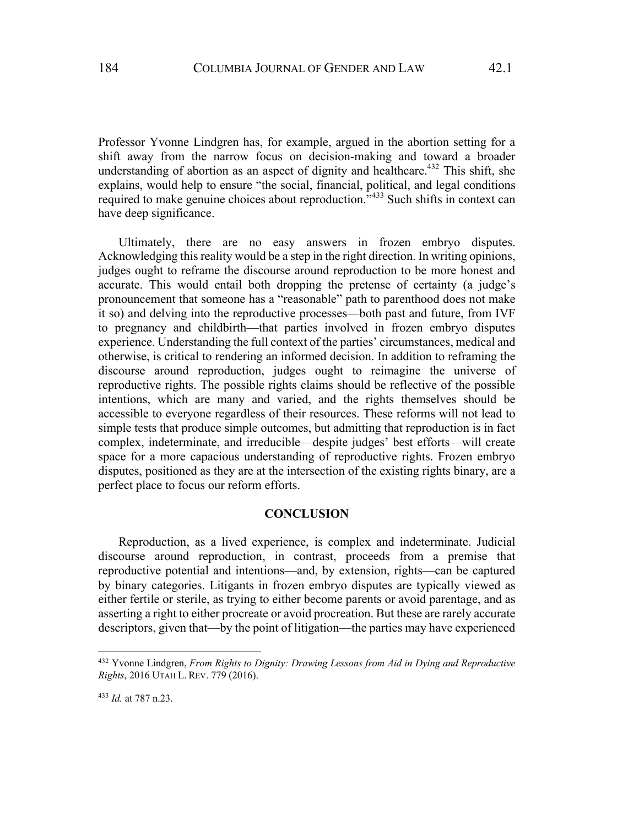Professor Yvonne Lindgren has, for example, argued in the abortion setting for a shift away from the narrow focus on decision-making and toward a broader understanding of abortion as an aspect of dignity and healthcare.<sup>432</sup> This shift, she explains, would help to ensure "the social, financial, political, and legal conditions required to make genuine choices about reproduction."<sup>433</sup> Such shifts in context can have deep significance.

Ultimately, there are no easy answers in frozen embryo disputes. Acknowledging this reality would be a step in the right direction. In writing opinions, judges ought to reframe the discourse around reproduction to be more honest and accurate. This would entail both dropping the pretense of certainty (a judge's pronouncement that someone has a "reasonable" path to parenthood does not make it so) and delving into the reproductive processes—both past and future, from IVF to pregnancy and childbirth—that parties involved in frozen embryo disputes experience. Understanding the full context of the parties' circumstances, medical and otherwise, is critical to rendering an informed decision. In addition to reframing the discourse around reproduction, judges ought to reimagine the universe of reproductive rights. The possible rights claims should be reflective of the possible intentions, which are many and varied, and the rights themselves should be accessible to everyone regardless of their resources. These reforms will not lead to simple tests that produce simple outcomes, but admitting that reproduction is in fact complex, indeterminate, and irreducible—despite judges' best efforts—will create space for a more capacious understanding of reproductive rights. Frozen embryo disputes, positioned as they are at the intersection of the existing rights binary, are a perfect place to focus our reform efforts.

## **CONCLUSION**

Reproduction, as a lived experience, is complex and indeterminate. Judicial discourse around reproduction, in contrast, proceeds from a premise that reproductive potential and intentions—and, by extension, rights—can be captured by binary categories. Litigants in frozen embryo disputes are typically viewed as either fertile or sterile, as trying to either become parents or avoid parentage, and as asserting a right to either procreate or avoid procreation. But these are rarely accurate descriptors, given that—by the point of litigation—the parties may have experienced

<sup>432</sup> Yvonne Lindgren, *From Rights to Dignity: Drawing Lessons from Aid in Dying and Reproductive Rights*, 2016 UTAH L. REV. 779 (2016).

<sup>433</sup> *Id.* at 787 n.23.